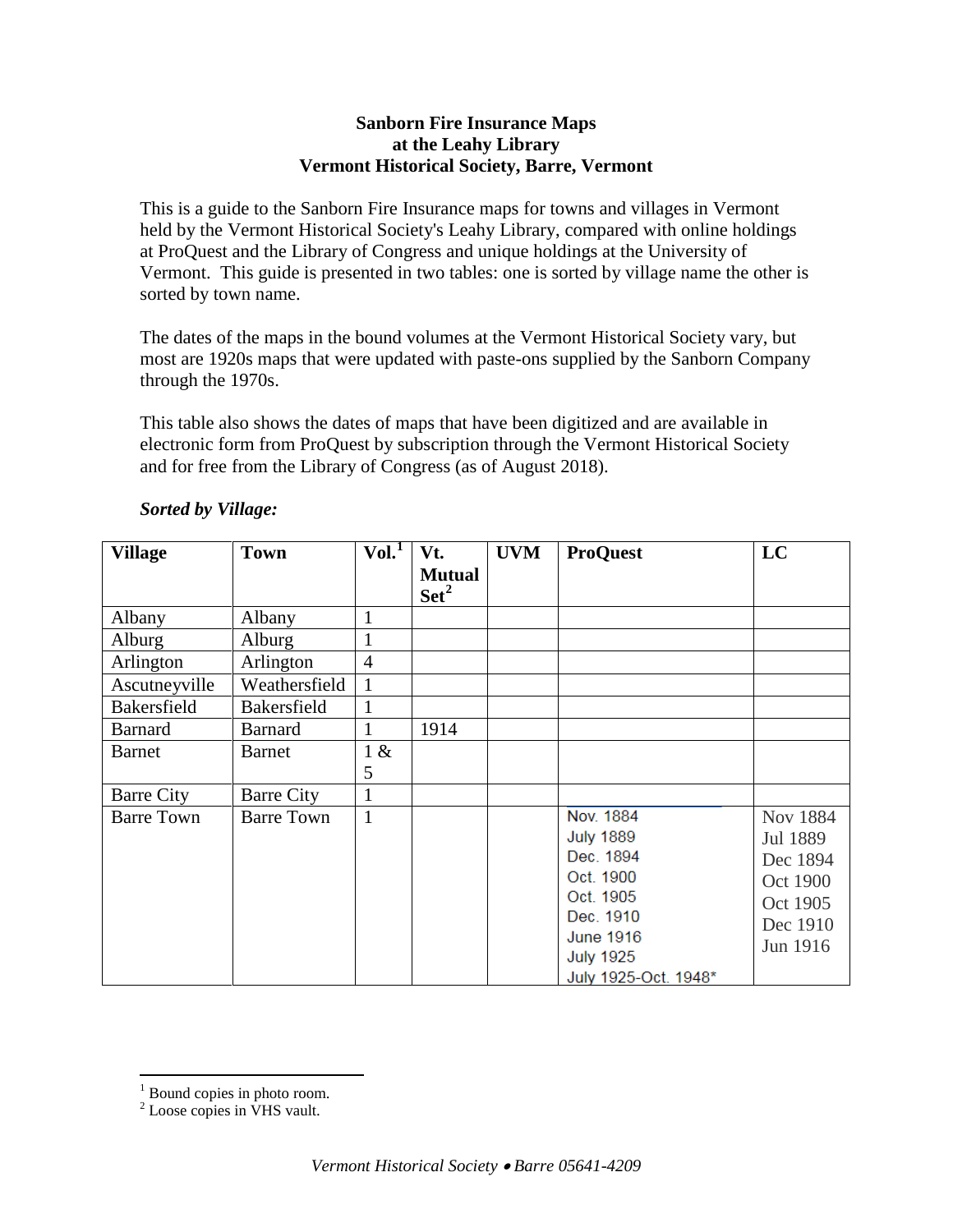## **Sanborn Fire Insurance Maps at the Leahy Library Vermont Historical Society, Barre, Vermont**

This is a guide to the Sanborn Fire Insurance maps for towns and villages in Vermont held by the Vermont Historical Society's Leahy Library, compared with online holdings at ProQuest and the Library of Congress and unique holdings at the University of Vermont. This guide is presented in two tables: one is sorted by village name the other is sorted by town name.

The dates of the maps in the bound volumes at the Vermont Historical Society vary, but most are 1920s maps that were updated with paste-ons supplied by the Sanborn Company through the 1970s.

This table also shows the dates of maps that have been digitized and are available in electronic form from ProQuest by subscription through the Vermont Historical Society and for free from the Library of Congress (as of August 2018).

| <b>Village</b>    | <b>Town</b>       | Vol. <sup>1</sup> | Vt.                             | <b>UVM</b> | <b>ProQuest</b>      | LC              |
|-------------------|-------------------|-------------------|---------------------------------|------------|----------------------|-----------------|
|                   |                   |                   | <b>Mutual</b><br>$\text{Set}^2$ |            |                      |                 |
| Albany            | Albany            | $\mathbf{1}$      |                                 |            |                      |                 |
| Alburg            | Alburg            | 1                 |                                 |            |                      |                 |
| Arlington         | Arlington         | $\overline{4}$    |                                 |            |                      |                 |
| Ascutneyville     | Weathersfield     | $\mathbf{1}$      |                                 |            |                      |                 |
| Bakersfield       | Bakersfield       | $\mathbf{1}$      |                                 |            |                      |                 |
| <b>Barnard</b>    | <b>Barnard</b>    | $\mathbf{1}$      | 1914                            |            |                      |                 |
| <b>Barnet</b>     | <b>Barnet</b>     | 1 &               |                                 |            |                      |                 |
|                   |                   | 5                 |                                 |            |                      |                 |
| <b>Barre City</b> | <b>Barre City</b> | $\mathbf{1}$      |                                 |            |                      |                 |
| <b>Barre Town</b> | <b>Barre Town</b> | $\mathbf{1}$      |                                 |            | Nov. 1884            | <b>Nov 1884</b> |
|                   |                   |                   |                                 |            | <b>July 1889</b>     | Jul 1889        |
|                   |                   |                   |                                 |            | Dec. 1894            | Dec 1894        |
|                   |                   |                   |                                 |            | Oct. 1900            | Oct 1900        |
|                   |                   |                   |                                 |            | Oct. 1905            | Oct 1905        |
|                   |                   |                   |                                 |            | Dec. 1910            | Dec 1910        |
|                   |                   |                   |                                 |            | <b>June 1916</b>     | Jun 1916        |
|                   |                   |                   |                                 |            | <b>July 1925</b>     |                 |
|                   |                   |                   |                                 |            | July 1925-Oct. 1948* |                 |

## *Sorted by Village:*

<span id="page-0-0"></span> $<sup>1</sup>$  Bound copies in photo room.</sup>

<span id="page-0-1"></span><sup>&</sup>lt;sup>2</sup> Loose copies in VHS vault.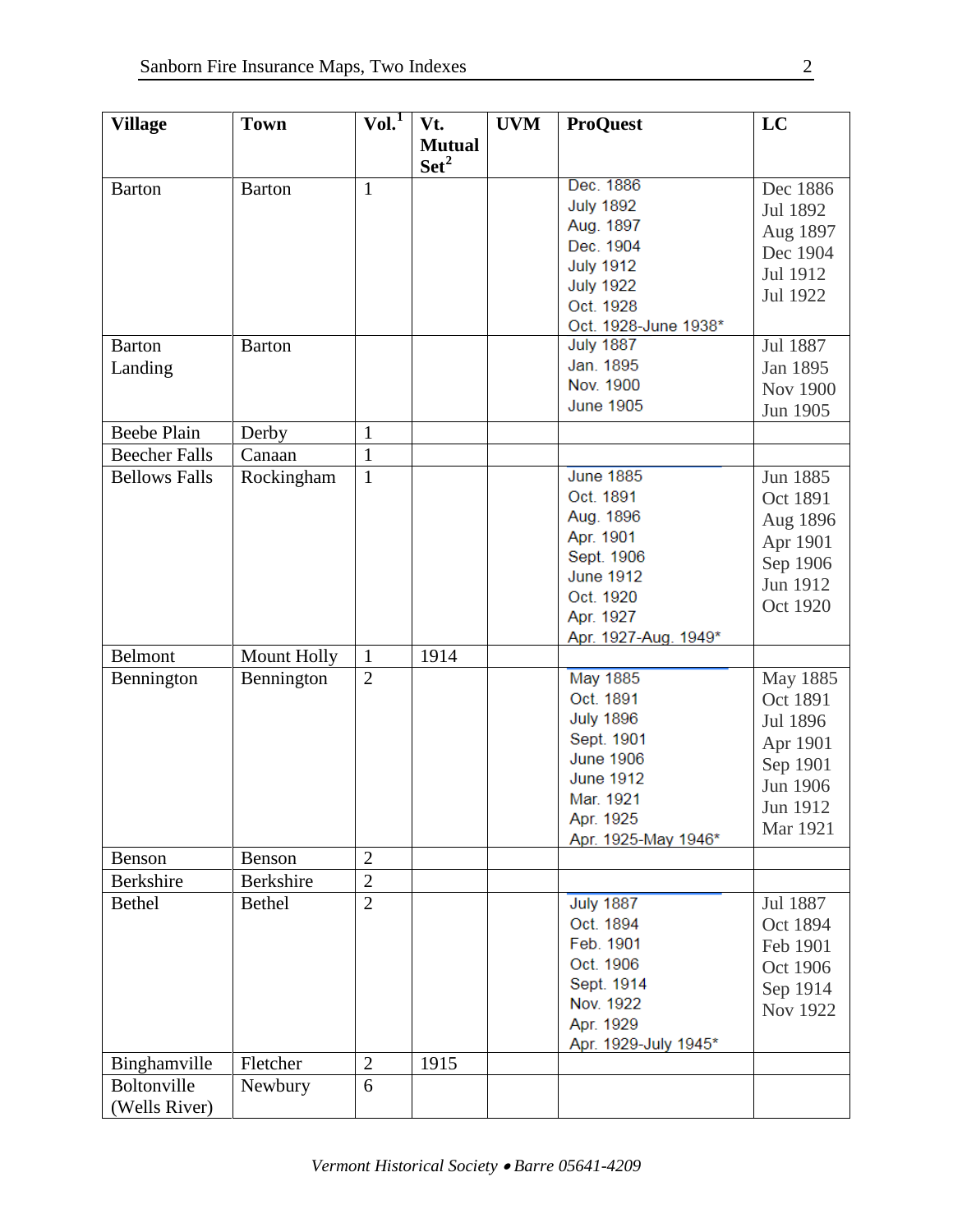| <b>Village</b>       | <b>Town</b>        | Vol. <sup>1</sup> | Vt.              | <b>UVM</b> | <b>ProQuest</b>      | LC       |
|----------------------|--------------------|-------------------|------------------|------------|----------------------|----------|
|                      |                    |                   | <b>Mutual</b>    |            |                      |          |
|                      |                    |                   | Set <sup>2</sup> |            |                      |          |
| <b>Barton</b>        | <b>Barton</b>      | $\mathbf{1}$      |                  |            | Dec. 1886            | Dec 1886 |
|                      |                    |                   |                  |            | <b>July 1892</b>     | Jul 1892 |
|                      |                    |                   |                  |            | Aug. 1897            | Aug 1897 |
|                      |                    |                   |                  |            | Dec. 1904            | Dec 1904 |
|                      |                    |                   |                  |            | <b>July 1912</b>     | Jul 1912 |
|                      |                    |                   |                  |            | <b>July 1922</b>     | Jul 1922 |
|                      |                    |                   |                  |            | Oct. 1928            |          |
|                      |                    |                   |                  |            | Oct. 1928-June 1938* |          |
| <b>Barton</b>        | <b>Barton</b>      |                   |                  |            | <b>July 1887</b>     | Jul 1887 |
| Landing              |                    |                   |                  |            | Jan. 1895            | Jan 1895 |
|                      |                    |                   |                  |            | Nov. 1900            | Nov 1900 |
|                      |                    |                   |                  |            | <b>June 1905</b>     | Jun 1905 |
| <b>Beebe Plain</b>   | Derby              | $\mathbf{1}$      |                  |            |                      |          |
| <b>Beecher Falls</b> | Canaan             | $\mathbf{1}$      |                  |            |                      |          |
| <b>Bellows Falls</b> | Rockingham         | $\mathbf{1}$      |                  |            | <b>June 1885</b>     | Jun 1885 |
|                      |                    |                   |                  |            | Oct. 1891            |          |
|                      |                    |                   |                  |            | Aug. 1896            | Oct 1891 |
|                      |                    |                   |                  |            | Apr. 1901            | Aug 1896 |
|                      |                    |                   |                  |            | Sept. 1906           | Apr 1901 |
|                      |                    |                   |                  |            | <b>June 1912</b>     | Sep 1906 |
|                      |                    |                   |                  |            | Oct. 1920            | Jun 1912 |
|                      |                    |                   |                  |            | Apr. 1927            | Oct 1920 |
|                      |                    |                   |                  |            |                      |          |
| Belmont              | <b>Mount Holly</b> | $\mathbf{1}$      | 1914             |            | Apr. 1927-Aug. 1949* |          |
|                      |                    | $\overline{2}$    |                  |            | <b>May 1885</b>      |          |
| Bennington           | Bennington         |                   |                  |            |                      | May 1885 |
|                      |                    |                   |                  |            | Oct. 1891            | Oct 1891 |
|                      |                    |                   |                  |            | <b>July 1896</b>     | Jul 1896 |
|                      |                    |                   |                  |            | Sept. 1901           | Apr 1901 |
|                      |                    |                   |                  |            | <b>June 1906</b>     | Sep 1901 |
|                      |                    |                   |                  |            | <b>June 1912</b>     | Jun 1906 |
|                      |                    |                   |                  |            | Mar. 1921            | Jun 1912 |
|                      |                    |                   |                  |            | Apr. 1925            | Mar 1921 |
|                      |                    |                   |                  |            | Apr. 1925-May 1946*  |          |
| Benson               | Benson             | $\overline{2}$    |                  |            |                      |          |
| <b>Berkshire</b>     | Berkshire          | $\overline{2}$    |                  |            |                      |          |
| <b>Bethel</b>        | <b>Bethel</b>      | $\overline{2}$    |                  |            | <b>July 1887</b>     | Jul 1887 |
|                      |                    |                   |                  |            | Oct. 1894            | Oct 1894 |
|                      |                    |                   |                  |            | Feb. 1901            | Feb 1901 |
|                      |                    |                   |                  |            | Oct. 1906            | Oct 1906 |
|                      |                    |                   |                  |            | Sept. 1914           | Sep 1914 |
|                      |                    |                   |                  |            | Nov. 1922            | Nov 1922 |
|                      |                    |                   |                  |            | Apr. 1929            |          |
|                      |                    |                   |                  |            | Apr. 1929-July 1945* |          |
| Binghamville         | Fletcher           | $\overline{2}$    | 1915             |            |                      |          |
| Boltonville          | Newbury            | 6                 |                  |            |                      |          |
| (Wells River)        |                    |                   |                  |            |                      |          |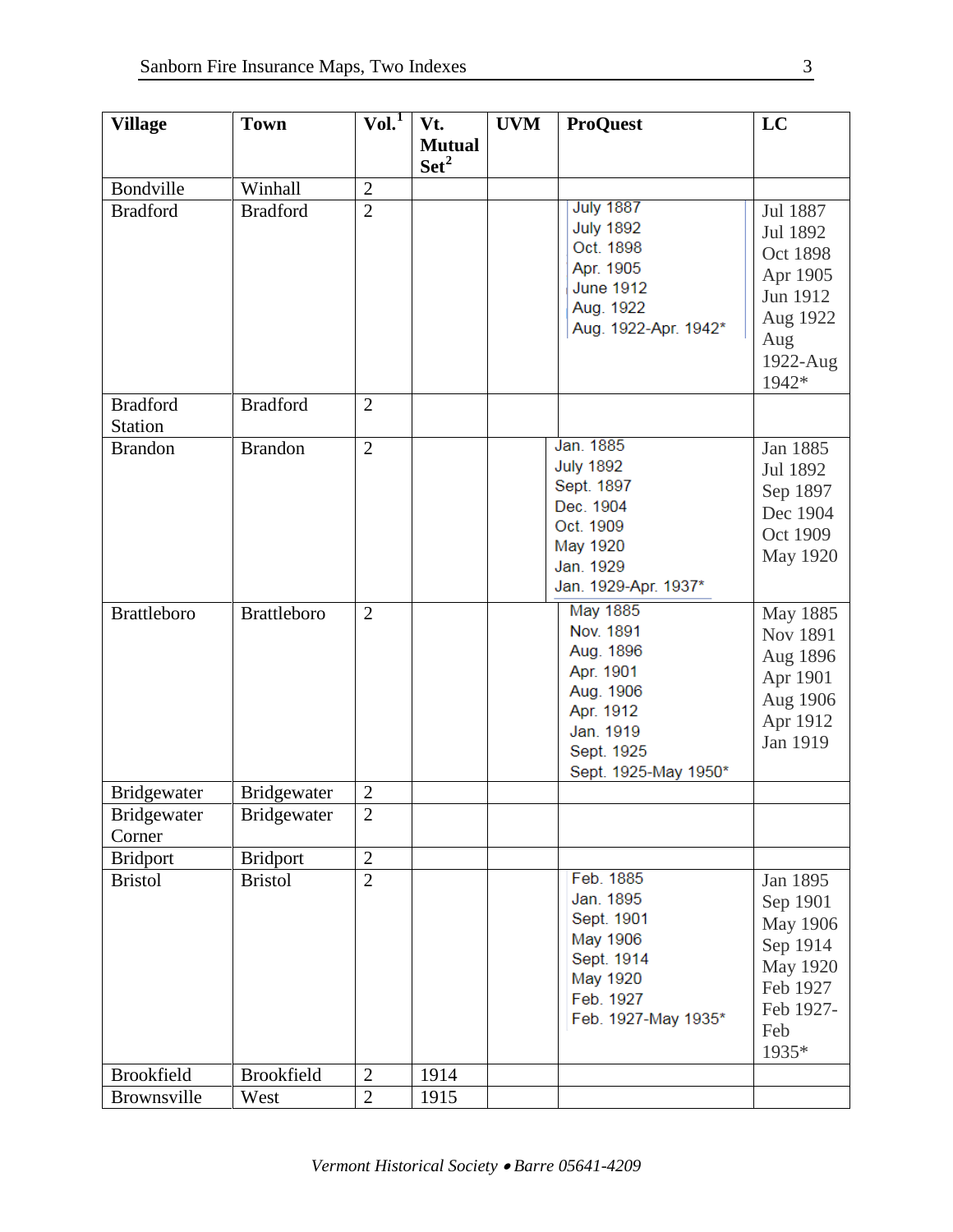| <b>Village</b>             | <b>Town</b>        | Vol. <sup>1</sup> | Vt.                               | <b>UVM</b> | <b>ProQuest</b>                                                                                                              | LC                                                                                                |
|----------------------------|--------------------|-------------------|-----------------------------------|------------|------------------------------------------------------------------------------------------------------------------------------|---------------------------------------------------------------------------------------------------|
|                            |                    |                   | <b>Mutual</b><br>Set <sup>2</sup> |            |                                                                                                                              |                                                                                                   |
| Bondville                  | Winhall            | $\overline{2}$    |                                   |            |                                                                                                                              |                                                                                                   |
| <b>Bradford</b>            | <b>Bradford</b>    | $\overline{2}$    |                                   |            | <b>July 1887</b><br><b>July 1892</b><br>Oct. 1898<br>Apr. 1905<br><b>June 1912</b><br>Aug. 1922<br>Aug. 1922-Apr. 1942*      | Jul 1887<br>Jul 1892<br>Oct 1898<br>Apr 1905<br>Jun 1912<br>Aug 1922<br>Aug<br>1922-Aug<br>1942*  |
| <b>Bradford</b><br>Station | <b>Bradford</b>    | $\overline{2}$    |                                   |            |                                                                                                                              |                                                                                                   |
| <b>Brandon</b>             | <b>Brandon</b>     | $\overline{2}$    |                                   |            | Jan. 1885<br><b>July 1892</b><br>Sept. 1897<br>Dec. 1904<br>Oct. 1909<br>May 1920<br>Jan. 1929<br>Jan. 1929-Apr. 1937*       | Jan 1885<br>Jul 1892<br>Sep 1897<br>Dec 1904<br>Oct 1909<br>May 1920                              |
| <b>Brattleboro</b>         | <b>Brattleboro</b> | $\overline{2}$    |                                   |            | May 1885<br>Nov. 1891<br>Aug. 1896<br>Apr. 1901<br>Aug. 1906<br>Apr. 1912<br>Jan. 1919<br>Sept. 1925<br>Sept. 1925-May 1950* | May 1885<br>Nov 1891<br>Aug 1896<br>Apr 1901<br>Aug 1906<br>Apr 1912<br>Jan 1919                  |
| <b>Bridgewater</b>         | <b>Bridgewater</b> | $\overline{2}$    |                                   |            |                                                                                                                              |                                                                                                   |
| Bridgewater<br>Corner      | Bridgewater        | $\overline{2}$    |                                   |            |                                                                                                                              |                                                                                                   |
| <b>Bridport</b>            | <b>Bridport</b>    | $\overline{2}$    |                                   |            |                                                                                                                              |                                                                                                   |
| <b>Bristol</b>             | <b>Bristol</b>     | $\overline{2}$    |                                   |            | Feb. 1885<br>Jan. 1895<br>Sept. 1901<br>May 1906<br>Sept. 1914<br>May 1920<br>Feb. 1927<br>Feb. 1927-May 1935*               | Jan 1895<br>Sep 1901<br>May 1906<br>Sep 1914<br>May 1920<br>Feb 1927<br>Feb 1927-<br>Feb<br>1935* |
| <b>Brookfield</b>          | <b>Brookfield</b>  | $\overline{2}$    | 1914                              |            |                                                                                                                              |                                                                                                   |
| Brownsville                | West               | $\overline{2}$    | 1915                              |            |                                                                                                                              |                                                                                                   |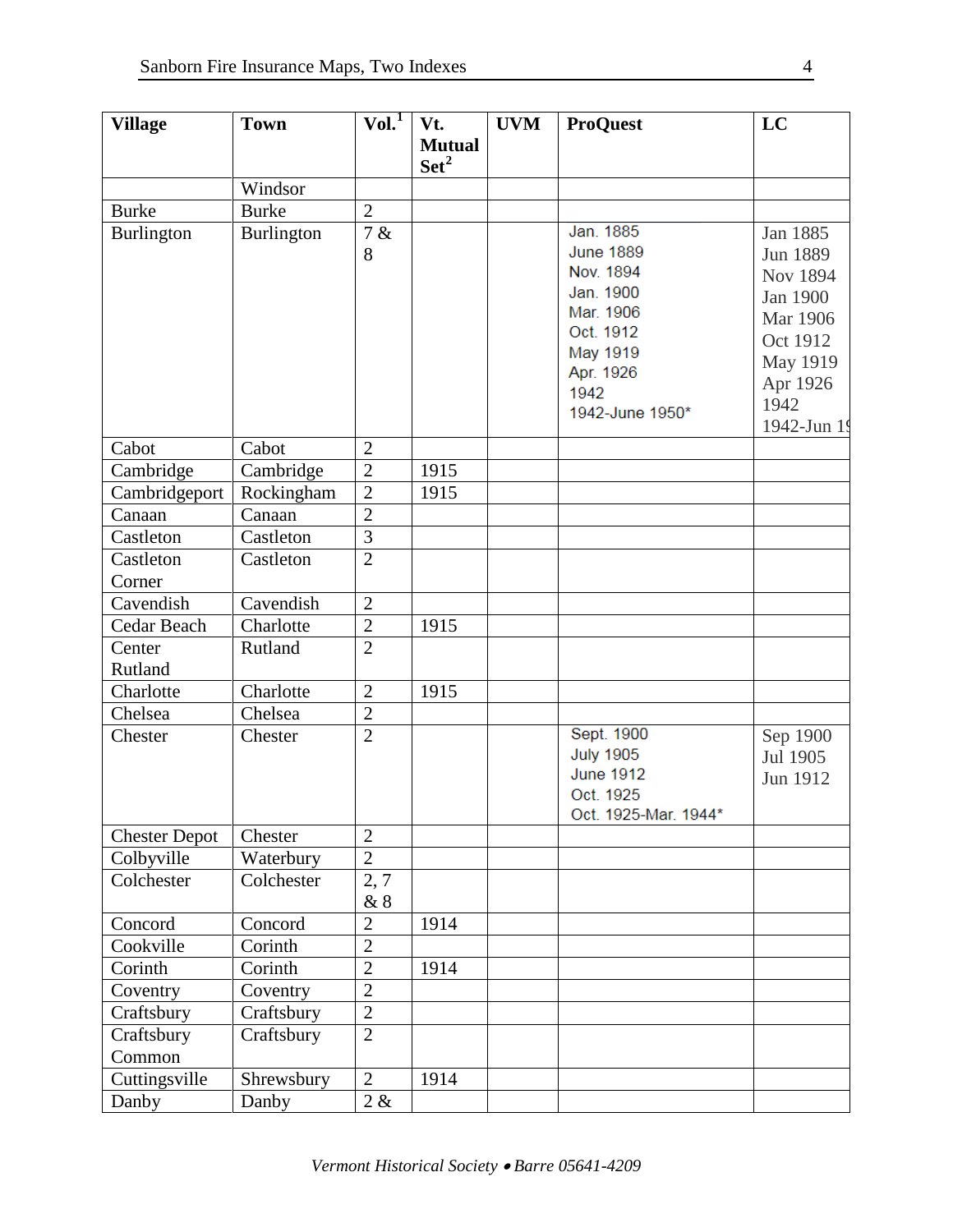| <b>Village</b>       | <b>Town</b>          | VoI.                             | Vt.              | <b>UVM</b> | <b>ProQuest</b>               | LC          |
|----------------------|----------------------|----------------------------------|------------------|------------|-------------------------------|-------------|
|                      |                      |                                  | <b>Mutual</b>    |            |                               |             |
|                      |                      |                                  | $\mathbf{Set}^2$ |            |                               |             |
|                      | Windsor              |                                  |                  |            |                               |             |
| <b>Burke</b>         | <b>Burke</b>         | $\overline{2}$                   |                  |            |                               |             |
| <b>Burlington</b>    | Burlington           | 7 &                              |                  |            | Jan. 1885                     | Jan 1885    |
|                      |                      | 8                                |                  |            | <b>June 1889</b><br>Nov. 1894 | Jun 1889    |
|                      |                      |                                  |                  |            | Jan. 1900                     | Nov 1894    |
|                      |                      |                                  |                  |            | Mar. 1906                     | Jan 1900    |
|                      |                      |                                  |                  |            | Oct. 1912                     | Mar 1906    |
|                      |                      |                                  |                  |            | May 1919                      | Oct 1912    |
|                      |                      |                                  |                  |            | Apr. 1926                     | May 1919    |
|                      |                      |                                  |                  |            | 1942                          | Apr 1926    |
|                      |                      |                                  |                  |            | 1942-June 1950*               | 1942        |
|                      |                      |                                  |                  |            |                               | 1942-Jun 19 |
| Cabot                | Cabot                | $\overline{2}$                   |                  |            |                               |             |
| Cambridge            | Cambridge            | $\overline{2}$                   | 1915             |            |                               |             |
| Cambridgeport        | Rockingham<br>Canaan | $\overline{2}$<br>$\overline{2}$ | 1915             |            |                               |             |
| Canaan<br>Castleton  | Castleton            | 3                                |                  |            |                               |             |
| Castleton            | Castleton            | $\overline{2}$                   |                  |            |                               |             |
| Corner               |                      |                                  |                  |            |                               |             |
| Cavendish            | Cavendish            | $\overline{2}$                   |                  |            |                               |             |
| Cedar Beach          | Charlotte            | $\overline{2}$                   | 1915             |            |                               |             |
| Center               | Rutland              | $\overline{2}$                   |                  |            |                               |             |
| Rutland              |                      |                                  |                  |            |                               |             |
| Charlotte            | Charlotte            | $\overline{2}$                   | 1915             |            |                               |             |
| Chelsea              | Chelsea              | $\overline{2}$                   |                  |            |                               |             |
| Chester              | Chester              | $\overline{2}$                   |                  |            | Sept. 1900                    | Sep 1900    |
|                      |                      |                                  |                  |            | <b>July 1905</b>              | Jul 1905    |
|                      |                      |                                  |                  |            | <b>June 1912</b>              | Jun 1912    |
|                      |                      |                                  |                  |            | Oct. 1925                     |             |
|                      |                      |                                  |                  |            | Oct. 1925-Mar. 1944*          |             |
| <b>Chester Depot</b> | Chester              | $\overline{2}$                   |                  |            |                               |             |
| Colbyville           | Waterbury            | $\overline{2}$                   |                  |            |                               |             |
| Colchester           | Colchester           | 2, 7<br>&8                       |                  |            |                               |             |
| Concord              | Concord              | $\overline{2}$                   | 1914             |            |                               |             |
| Cookville            | Corinth              | $\overline{2}$                   |                  |            |                               |             |
| Corinth              | Corinth              | $\overline{2}$                   | 1914             |            |                               |             |
| Coventry             | Coventry             | $\overline{2}$                   |                  |            |                               |             |
| Craftsbury           | Craftsbury           | $\overline{2}$                   |                  |            |                               |             |
| Craftsbury           | Craftsbury           | $\overline{2}$                   |                  |            |                               |             |
| Common               |                      |                                  |                  |            |                               |             |
| Cuttingsville        | Shrewsbury           | $\overline{2}$                   | 1914             |            |                               |             |
| Danby                | Danby                | 2 &                              |                  |            |                               |             |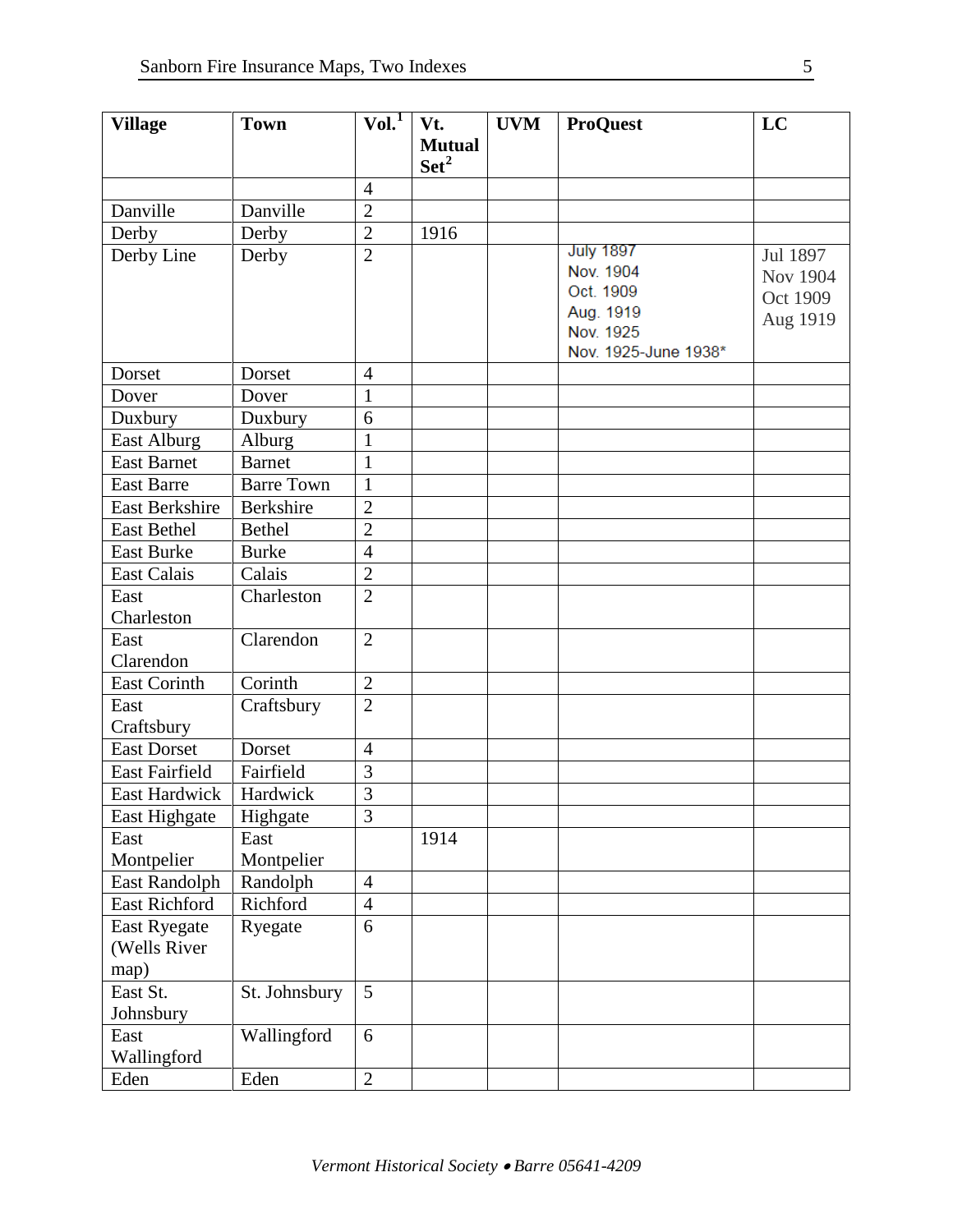| <b>Village</b>                                                                                                                                                                                                                                                                                   | <b>Town</b>                                                                                                                                                                               | Vol. <sup>1</sup>                                                                                                                                                     | Vt.              | <b>UVM</b> | <b>ProQuest</b>        | LC              |
|--------------------------------------------------------------------------------------------------------------------------------------------------------------------------------------------------------------------------------------------------------------------------------------------------|-------------------------------------------------------------------------------------------------------------------------------------------------------------------------------------------|-----------------------------------------------------------------------------------------------------------------------------------------------------------------------|------------------|------------|------------------------|-----------------|
|                                                                                                                                                                                                                                                                                                  |                                                                                                                                                                                           |                                                                                                                                                                       | <b>Mutual</b>    |            |                        |                 |
|                                                                                                                                                                                                                                                                                                  |                                                                                                                                                                                           |                                                                                                                                                                       | Set <sup>2</sup> |            |                        |                 |
|                                                                                                                                                                                                                                                                                                  |                                                                                                                                                                                           | $\overline{4}$                                                                                                                                                        |                  |            |                        |                 |
| Danville                                                                                                                                                                                                                                                                                         | Danville                                                                                                                                                                                  | $\overline{2}$                                                                                                                                                        |                  |            |                        |                 |
| Derby                                                                                                                                                                                                                                                                                            | Derby                                                                                                                                                                                     | $\overline{2}$                                                                                                                                                        | 1916             |            |                        |                 |
| Derby Line                                                                                                                                                                                                                                                                                       | Derby                                                                                                                                                                                     | $\overline{2}$                                                                                                                                                        |                  |            | <b>July 1897</b>       | Jul 1897        |
|                                                                                                                                                                                                                                                                                                  |                                                                                                                                                                                           |                                                                                                                                                                       |                  |            | Nov. 1904              | <b>Nov 1904</b> |
|                                                                                                                                                                                                                                                                                                  |                                                                                                                                                                                           |                                                                                                                                                                       |                  |            | Oct. 1909              | Oct 1909        |
|                                                                                                                                                                                                                                                                                                  |                                                                                                                                                                                           |                                                                                                                                                                       |                  |            | Aug. 1919<br>Nov. 1925 | Aug 1919        |
|                                                                                                                                                                                                                                                                                                  |                                                                                                                                                                                           |                                                                                                                                                                       |                  |            | Nov. 1925-June 1938*   |                 |
| Dorset                                                                                                                                                                                                                                                                                           | Dorset                                                                                                                                                                                    | $\overline{4}$                                                                                                                                                        |                  |            |                        |                 |
| Dover                                                                                                                                                                                                                                                                                            | Dover                                                                                                                                                                                     | $\mathbf{1}$                                                                                                                                                          |                  |            |                        |                 |
| Duxbury                                                                                                                                                                                                                                                                                          | Duxbury                                                                                                                                                                                   | 6                                                                                                                                                                     |                  |            |                        |                 |
| <b>East Alburg</b>                                                                                                                                                                                                                                                                               | Alburg                                                                                                                                                                                    | $\mathbf{1}$                                                                                                                                                          |                  |            |                        |                 |
| <b>East Barnet</b>                                                                                                                                                                                                                                                                               | <b>Barnet</b>                                                                                                                                                                             | $\mathbf{1}$                                                                                                                                                          |                  |            |                        |                 |
| <b>East Barre</b>                                                                                                                                                                                                                                                                                | <b>Barre Town</b>                                                                                                                                                                         | $\mathbf{1}$                                                                                                                                                          |                  |            |                        |                 |
| <b>East Berkshire</b>                                                                                                                                                                                                                                                                            |                                                                                                                                                                                           |                                                                                                                                                                       |                  |            |                        |                 |
| <b>East Bethel</b>                                                                                                                                                                                                                                                                               | <b>Bethel</b>                                                                                                                                                                             | $\overline{2}$                                                                                                                                                        |                  |            |                        |                 |
| <b>East Burke</b>                                                                                                                                                                                                                                                                                | <b>Burke</b>                                                                                                                                                                              | $\overline{4}$                                                                                                                                                        |                  |            |                        |                 |
| <b>East Calais</b>                                                                                                                                                                                                                                                                               | Calais                                                                                                                                                                                    | $\overline{2}$                                                                                                                                                        |                  |            |                        |                 |
| East                                                                                                                                                                                                                                                                                             | Charleston                                                                                                                                                                                | $\overline{2}$                                                                                                                                                        |                  |            |                        |                 |
| Charleston                                                                                                                                                                                                                                                                                       |                                                                                                                                                                                           |                                                                                                                                                                       |                  |            |                        |                 |
| East                                                                                                                                                                                                                                                                                             | Clarendon                                                                                                                                                                                 | $\overline{2}$                                                                                                                                                        |                  |            |                        |                 |
| Clarendon                                                                                                                                                                                                                                                                                        |                                                                                                                                                                                           |                                                                                                                                                                       |                  |            |                        |                 |
|                                                                                                                                                                                                                                                                                                  |                                                                                                                                                                                           |                                                                                                                                                                       |                  |            |                        |                 |
|                                                                                                                                                                                                                                                                                                  |                                                                                                                                                                                           |                                                                                                                                                                       |                  |            |                        |                 |
|                                                                                                                                                                                                                                                                                                  |                                                                                                                                                                                           |                                                                                                                                                                       |                  |            |                        |                 |
|                                                                                                                                                                                                                                                                                                  |                                                                                                                                                                                           |                                                                                                                                                                       |                  |            |                        |                 |
|                                                                                                                                                                                                                                                                                                  |                                                                                                                                                                                           |                                                                                                                                                                       |                  |            |                        |                 |
|                                                                                                                                                                                                                                                                                                  |                                                                                                                                                                                           |                                                                                                                                                                       |                  |            |                        |                 |
|                                                                                                                                                                                                                                                                                                  |                                                                                                                                                                                           |                                                                                                                                                                       |                  |            |                        |                 |
|                                                                                                                                                                                                                                                                                                  |                                                                                                                                                                                           |                                                                                                                                                                       |                  |            |                        |                 |
|                                                                                                                                                                                                                                                                                                  |                                                                                                                                                                                           |                                                                                                                                                                       |                  |            |                        |                 |
|                                                                                                                                                                                                                                                                                                  |                                                                                                                                                                                           |                                                                                                                                                                       |                  |            |                        |                 |
|                                                                                                                                                                                                                                                                                                  |                                                                                                                                                                                           |                                                                                                                                                                       |                  |            |                        |                 |
|                                                                                                                                                                                                                                                                                                  |                                                                                                                                                                                           |                                                                                                                                                                       |                  |            |                        |                 |
|                                                                                                                                                                                                                                                                                                  |                                                                                                                                                                                           |                                                                                                                                                                       |                  |            |                        |                 |
|                                                                                                                                                                                                                                                                                                  |                                                                                                                                                                                           |                                                                                                                                                                       |                  |            |                        |                 |
|                                                                                                                                                                                                                                                                                                  |                                                                                                                                                                                           |                                                                                                                                                                       |                  |            |                        |                 |
|                                                                                                                                                                                                                                                                                                  |                                                                                                                                                                                           |                                                                                                                                                                       |                  |            |                        |                 |
|                                                                                                                                                                                                                                                                                                  |                                                                                                                                                                                           |                                                                                                                                                                       |                  |            |                        |                 |
|                                                                                                                                                                                                                                                                                                  |                                                                                                                                                                                           |                                                                                                                                                                       |                  |            |                        |                 |
| <b>East Corinth</b><br>East<br>Craftsbury<br><b>East Dorset</b><br><b>East Fairfield</b><br>East Hardwick<br>East Highgate<br>East<br>Montpelier<br>East Randolph<br><b>East Richford</b><br><b>East Ryegate</b><br>(Wells River<br>map)<br>East St.<br>Johnsbury<br>East<br>Wallingford<br>Eden | <b>Berkshire</b><br>Corinth<br>Craftsbury<br>Dorset<br>Fairfield<br>Hardwick<br>Highgate<br>East<br>Montpelier<br>Randolph<br>Richford<br>Ryegate<br>St. Johnsbury<br>Wallingford<br>Eden | $\overline{2}$<br>$\overline{2}$<br>$\overline{2}$<br>$\overline{4}$<br>$\overline{3}$<br>3<br>3<br>$\overline{4}$<br>$\overline{4}$<br>6<br>5<br>6<br>$\overline{2}$ | 1914             |            |                        |                 |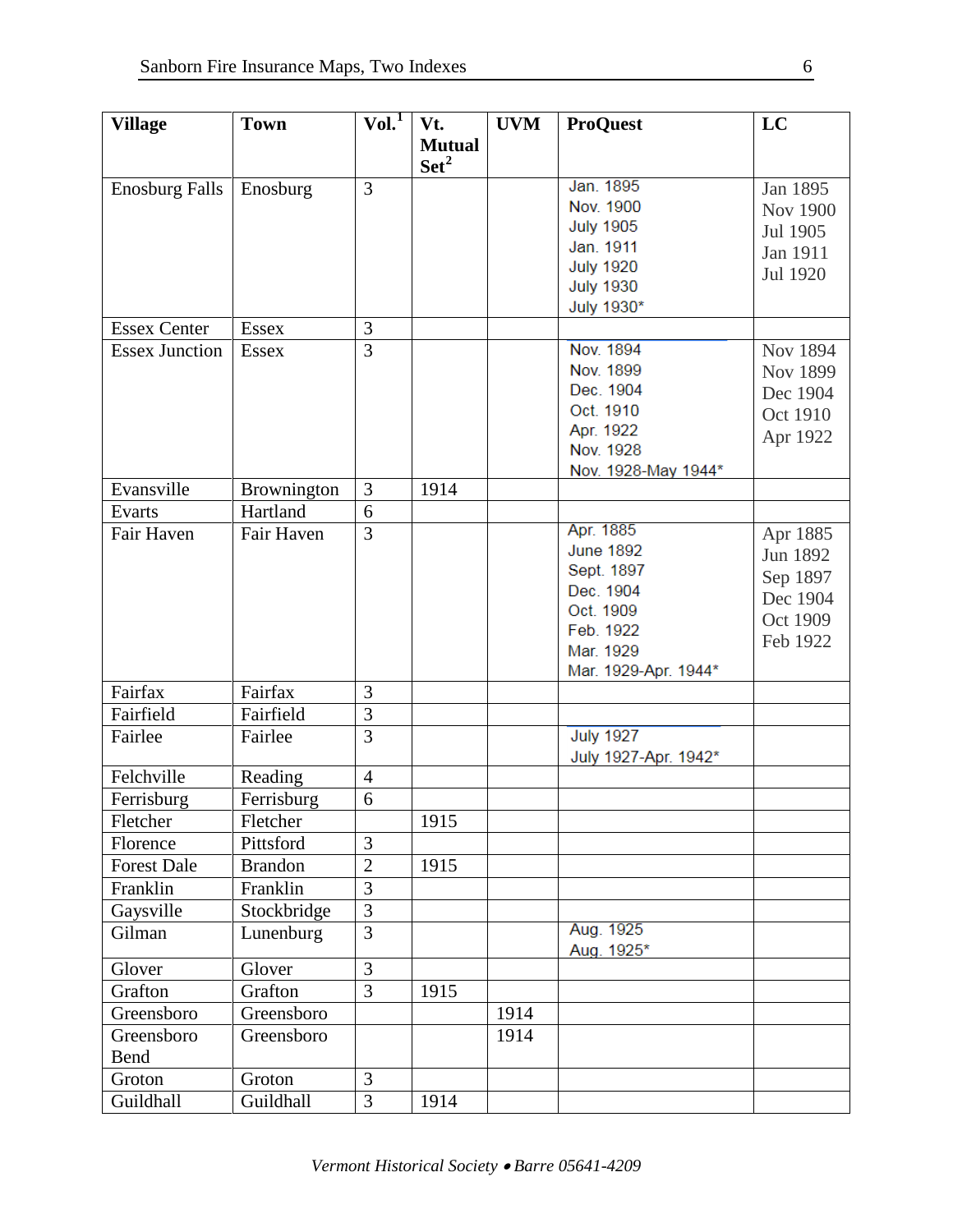| <b>Village</b>        | <b>Town</b>    | Vol. <sup>1</sup> | Vt.              | <b>UVM</b> | <b>ProQuest</b>      | LC              |
|-----------------------|----------------|-------------------|------------------|------------|----------------------|-----------------|
|                       |                |                   | <b>Mutual</b>    |            |                      |                 |
|                       |                |                   | Set <sup>2</sup> |            |                      |                 |
| <b>Enosburg Falls</b> | Enosburg       | $\overline{3}$    |                  |            | Jan. 1895            | Jan 1895        |
|                       |                |                   |                  |            | Nov. 1900            | <b>Nov 1900</b> |
|                       |                |                   |                  |            | <b>July 1905</b>     |                 |
|                       |                |                   |                  |            | Jan. 1911            | Jul 1905        |
|                       |                |                   |                  |            | <b>July 1920</b>     | Jan 1911        |
|                       |                |                   |                  |            | <b>July 1930</b>     | Jul 1920        |
|                       |                |                   |                  |            | July 1930*           |                 |
| <b>Essex Center</b>   | <b>Essex</b>   | 3                 |                  |            |                      |                 |
| <b>Essex Junction</b> | <b>Essex</b>   | $\overline{3}$    |                  |            | Nov. 1894            | Nov 1894        |
|                       |                |                   |                  |            | Nov. 1899            | Nov 1899        |
|                       |                |                   |                  |            | Dec. 1904            | Dec 1904        |
|                       |                |                   |                  |            | Oct. 1910            |                 |
|                       |                |                   |                  |            | Apr. 1922            | Oct 1910        |
|                       |                |                   |                  |            | Nov. 1928            | Apr 1922        |
|                       |                |                   |                  |            | Nov. 1928-May 1944*  |                 |
| Evansville            | Brownington    | 3                 | 1914             |            |                      |                 |
| Evarts                | Hartland       | 6                 |                  |            |                      |                 |
| Fair Haven            | Fair Haven     | 3                 |                  |            | Apr. 1885            | Apr 1885        |
|                       |                |                   |                  |            | <b>June 1892</b>     | Jun 1892        |
|                       |                |                   |                  |            | Sept. 1897           | Sep 1897        |
|                       |                |                   |                  |            | Dec. 1904            |                 |
|                       |                |                   |                  |            | Oct. 1909            | Dec 1904        |
|                       |                |                   |                  |            | Feb. 1922            | Oct 1909        |
|                       |                |                   |                  |            | Mar. 1929            | Feb 1922        |
|                       |                |                   |                  |            | Mar. 1929-Apr. 1944* |                 |
| Fairfax               | Fairfax        | 3                 |                  |            |                      |                 |
| Fairfield             | Fairfield      | $\overline{3}$    |                  |            |                      |                 |
| Fairlee               | Fairlee        | 3                 |                  |            | <b>July 1927</b>     |                 |
|                       |                |                   |                  |            | July 1927-Apr. 1942* |                 |
| Felchville            | Reading        | 4                 |                  |            |                      |                 |
| Ferrisburg            | Ferrisburg     | 6                 |                  |            |                      |                 |
| Fletcher              | Fletcher       |                   | 1915             |            |                      |                 |
| Florence              | Pittsford      | 3                 |                  |            |                      |                 |
| <b>Forest Dale</b>    | <b>Brandon</b> | $\overline{2}$    | 1915             |            |                      |                 |
| Franklin              | Franklin       | $\overline{3}$    |                  |            |                      |                 |
| Gaysville             | Stockbridge    | $\overline{3}$    |                  |            |                      |                 |
| Gilman                | Lunenburg      | 3                 |                  |            | Aug. 1925            |                 |
|                       |                |                   |                  |            | Aug. 1925*           |                 |
| Glover                | Glover         | 3                 |                  |            |                      |                 |
| Grafton               | Grafton        | 3                 | 1915             |            |                      |                 |
| Greensboro            | Greensboro     |                   |                  | 1914       |                      |                 |
| Greensboro            | Greensboro     |                   |                  | 1914       |                      |                 |
| Bend                  |                |                   |                  |            |                      |                 |
| Groton                | Groton         | 3                 |                  |            |                      |                 |
| Guildhall             | Guildhall      | 3                 | 1914             |            |                      |                 |
|                       |                |                   |                  |            |                      |                 |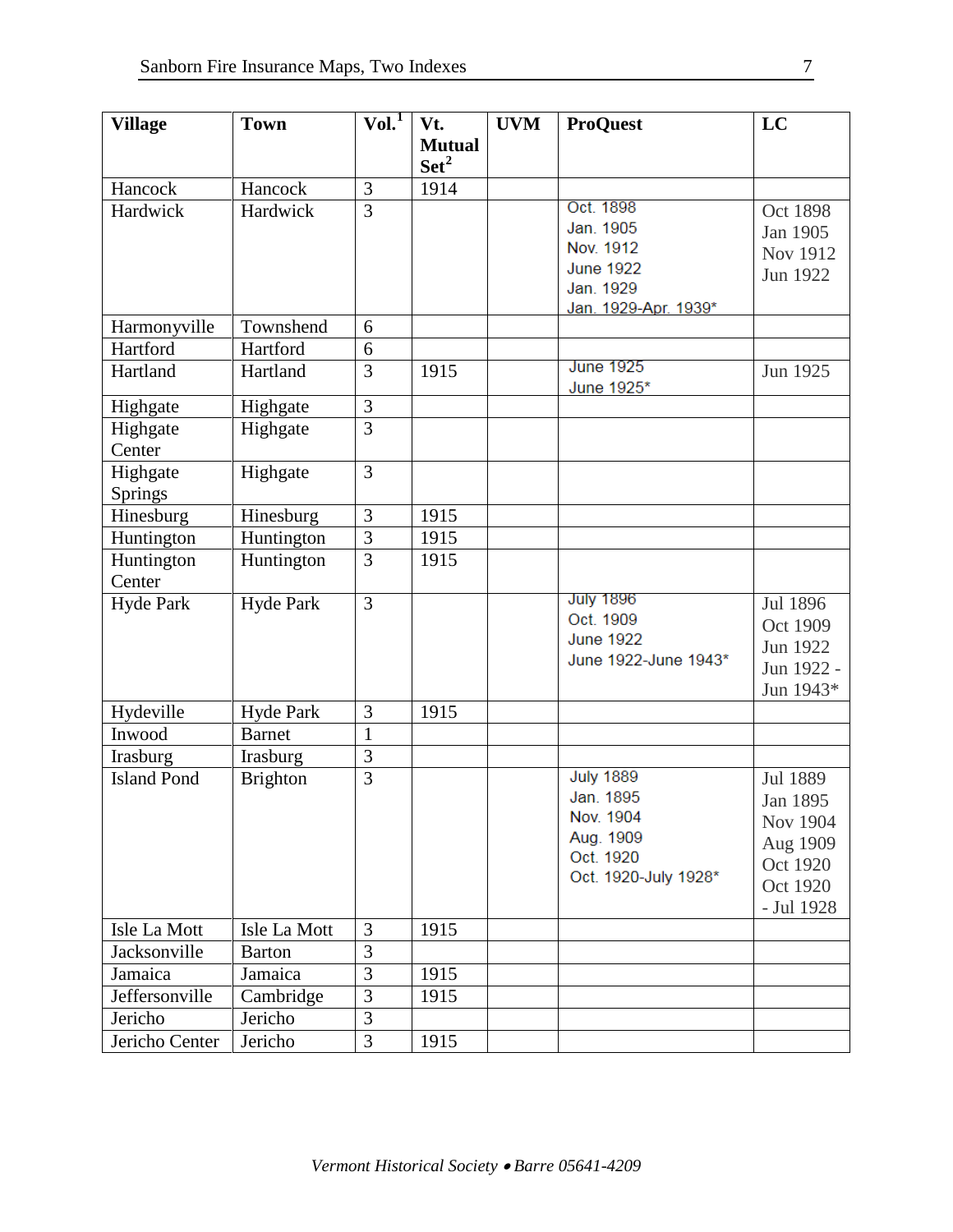| <b>Village</b>                 | <b>Town</b>                | Vol. <sup>1</sup> | Vt.              | <b>UVM</b> | <b>ProQuest</b>               | LC         |
|--------------------------------|----------------------------|-------------------|------------------|------------|-------------------------------|------------|
|                                |                            |                   | <b>Mutual</b>    |            |                               |            |
|                                |                            |                   | Set <sup>2</sup> |            |                               |            |
| Hancock                        | Hancock                    | 3                 | 1914             |            |                               |            |
| Hardwick                       | Hardwick                   | $\overline{3}$    |                  |            | Oct. 1898                     | Oct 1898   |
|                                |                            |                   |                  |            | Jan. 1905                     | Jan 1905   |
|                                |                            |                   |                  |            | Nov. 1912                     | Nov 1912   |
|                                |                            |                   |                  |            | <b>June 1922</b><br>Jan. 1929 | Jun 1922   |
|                                |                            |                   |                  |            | Jan. 1929-Apr. 1939*          |            |
| Harmonyville                   | Townshend                  | 6                 |                  |            |                               |            |
| Hartford                       | Hartford                   | 6                 |                  |            |                               |            |
| Hartland                       | Hartland                   | 3                 | 1915             |            | <b>June 1925</b>              | Jun 1925   |
|                                |                            |                   |                  |            | June 1925*                    |            |
| Highgate                       | Highgate                   | 3                 |                  |            |                               |            |
| Highgate                       | Highgate                   | $\overline{3}$    |                  |            |                               |            |
| Center                         |                            |                   |                  |            |                               |            |
| Highgate                       | Highgate                   | $\overline{3}$    |                  |            |                               |            |
| Springs                        |                            |                   |                  |            |                               |            |
| Hinesburg                      | Hinesburg                  | 3                 | 1915             |            |                               |            |
| Huntington                     | Huntington                 | $\overline{3}$    | 1915             |            |                               |            |
| Huntington                     | Huntington                 | $\overline{3}$    | 1915             |            |                               |            |
| Center                         |                            |                   |                  |            | <b>July 1896</b>              |            |
| <b>Hyde Park</b>               | <b>Hyde Park</b>           | $\overline{3}$    |                  |            | Oct. 1909                     | Jul 1896   |
|                                |                            |                   |                  |            | <b>June 1922</b>              | Oct 1909   |
|                                |                            |                   |                  |            | June 1922-June 1943*          | Jun 1922   |
|                                |                            |                   |                  |            |                               | Jun 1922 - |
|                                |                            | 3                 | 1915             |            |                               | Jun 1943*  |
| Hydeville<br>Inwood            | Hyde Park<br><b>Barnet</b> | $\mathbf{1}$      |                  |            |                               |            |
|                                |                            |                   |                  |            |                               |            |
| Irasburg<br><b>Island Pond</b> | Irasburg                   | 3<br>3            |                  |            | <b>July 1889</b>              |            |
|                                | <b>Brighton</b>            |                   |                  |            | Jan. 1895                     | Jul 1889   |
|                                |                            |                   |                  |            | Nov. 1904                     | Jan 1895   |
|                                |                            |                   |                  |            | Aug. 1909                     | Nov 1904   |
|                                |                            |                   |                  |            | Oct. 1920                     | Aug 1909   |
|                                |                            |                   |                  |            | Oct. 1920-July 1928*          | Oct 1920   |
|                                |                            |                   |                  |            |                               | Oct 1920   |
| Isle La Mott                   | Isle La Mott               | 3                 | 1915             |            |                               | - Jul 1928 |
| Jacksonville                   | <b>Barton</b>              | 3                 |                  |            |                               |            |
| Jamaica                        | Jamaica                    | 3                 | 1915             |            |                               |            |
| Jeffersonville                 | Cambridge                  | 3                 | 1915             |            |                               |            |
| Jericho                        | Jericho                    | 3                 |                  |            |                               |            |
| Jericho Center                 | Jericho                    | 3                 | 1915             |            |                               |            |
|                                |                            |                   |                  |            |                               |            |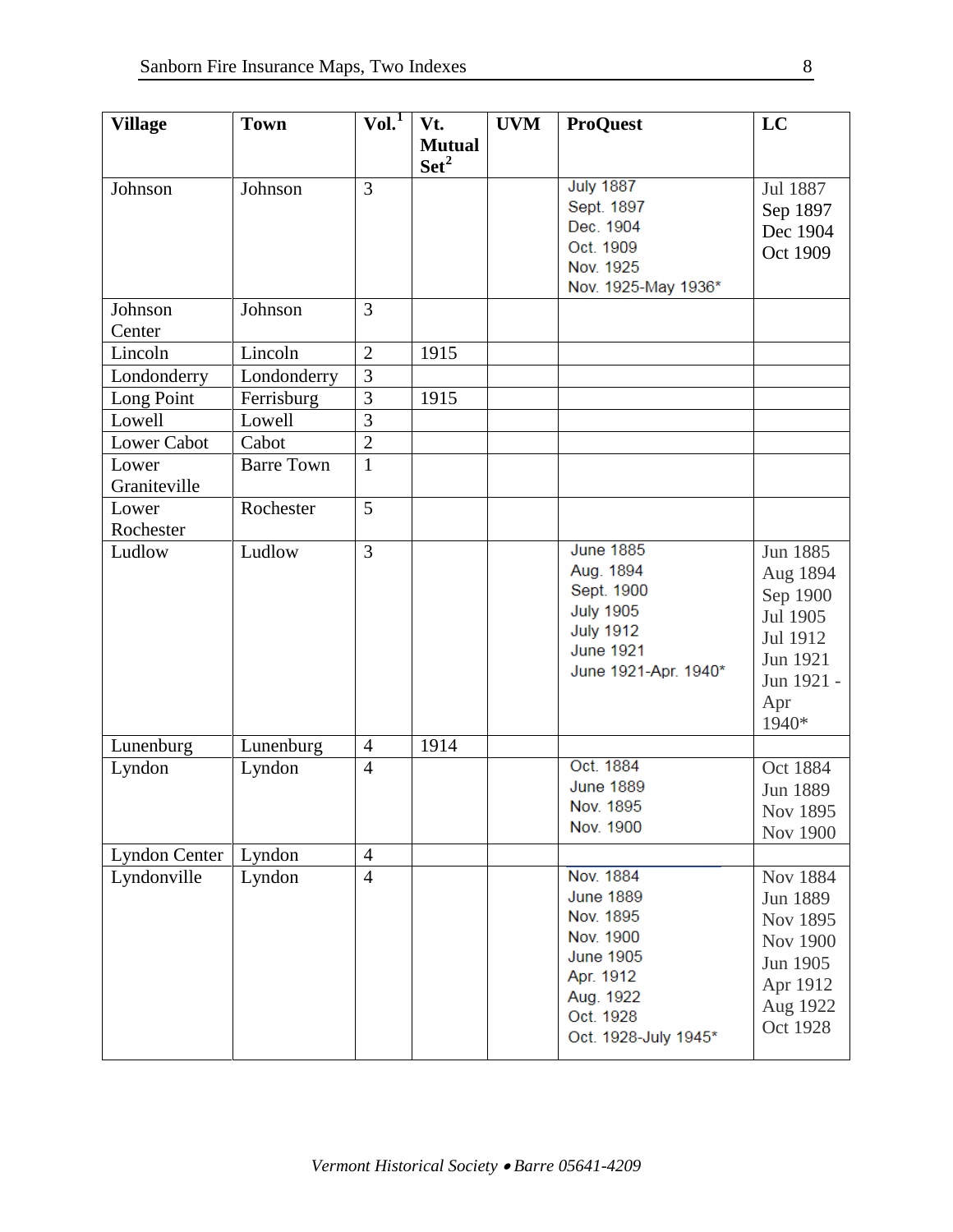| <b>Village</b>        | <b>Town</b>       | VoI.                             | Vt.            | <b>UVM</b> | <b>ProQuest</b>                  | LC              |
|-----------------------|-------------------|----------------------------------|----------------|------------|----------------------------------|-----------------|
|                       |                   |                                  | <b>Mutual</b>  |            |                                  |                 |
|                       |                   |                                  | $\text{Set}^2$ |            |                                  |                 |
| Johnson               | Johnson           | 3                                |                |            | <b>July 1887</b>                 | Jul 1887        |
|                       |                   |                                  |                |            | Sept. 1897                       | Sep 1897        |
|                       |                   |                                  |                |            | Dec. 1904                        | Dec 1904        |
|                       |                   |                                  |                |            | Oct. 1909                        | Oct 1909        |
|                       |                   |                                  |                |            | Nov. 1925<br>Nov. 1925-May 1936* |                 |
| Johnson               | Johnson           | 3                                |                |            |                                  |                 |
| Center                |                   |                                  |                |            |                                  |                 |
| Lincoln               | Lincoln           | $\overline{2}$                   | 1915           |            |                                  |                 |
| Londonderry           | Londonderry       | $\overline{3}$                   |                |            |                                  |                 |
|                       | Ferrisburg        | 3                                | 1915           |            |                                  |                 |
| Long Point<br>Lowell  | Lowell            | 3                                |                |            |                                  |                 |
| <b>Lower Cabot</b>    | Cabot             | $\overline{2}$                   |                |            |                                  |                 |
|                       |                   |                                  |                |            |                                  |                 |
| Lower<br>Graniteville | <b>Barre Town</b> | $\mathbf{1}$                     |                |            |                                  |                 |
|                       |                   |                                  |                |            |                                  |                 |
| Lower                 | Rochester         | 5                                |                |            |                                  |                 |
| Rochester             |                   |                                  |                |            | <b>June 1885</b>                 |                 |
| Ludlow                | Ludlow            | $\overline{3}$                   |                |            | Aug. 1894                        | Jun 1885        |
|                       |                   |                                  |                |            | Sept. 1900                       | Aug 1894        |
|                       |                   |                                  |                |            | <b>July 1905</b>                 | Sep 1900        |
|                       |                   |                                  |                |            | <b>July 1912</b>                 | Jul 1905        |
|                       |                   |                                  |                |            | <b>June 1921</b>                 | Jul 1912        |
|                       |                   |                                  |                |            | June 1921-Apr. 1940*             | Jun 1921        |
|                       |                   |                                  |                |            |                                  | Jun 1921 -      |
|                       |                   |                                  |                |            |                                  | Apr             |
|                       |                   |                                  |                |            |                                  | 1940*           |
| Lunenburg             | Lunenburg         | $\overline{4}$<br>$\overline{4}$ | 1914           |            | Oct. 1884                        | Oct 1884        |
| Lyndon                | Lyndon            |                                  |                |            | <b>June 1889</b>                 |                 |
|                       |                   |                                  |                |            | Nov. 1895                        | Jun 1889        |
|                       |                   |                                  |                |            | Nov. 1900                        | Nov 1895        |
| Lyndon Center         | Lyndon            | $\overline{4}$                   |                |            |                                  | <b>Nov 1900</b> |
| Lyndonville           | Lyndon            | $\overline{4}$                   |                |            | Nov. 1884                        | Nov 1884        |
|                       |                   |                                  |                |            | <b>June 1889</b>                 | Jun 1889        |
|                       |                   |                                  |                |            | Nov. 1895                        | Nov 1895        |
|                       |                   |                                  |                |            | Nov. 1900                        | <b>Nov 1900</b> |
|                       |                   |                                  |                |            | <b>June 1905</b>                 | Jun 1905        |
|                       |                   |                                  |                |            | Apr. 1912                        |                 |
|                       |                   |                                  |                |            | Aug. 1922                        | Apr 1912        |
|                       |                   |                                  |                |            | Oct. 1928                        | Aug 1922        |
|                       |                   |                                  |                |            | Oct. 1928-July 1945*             | Oct 1928        |
|                       |                   |                                  |                |            |                                  |                 |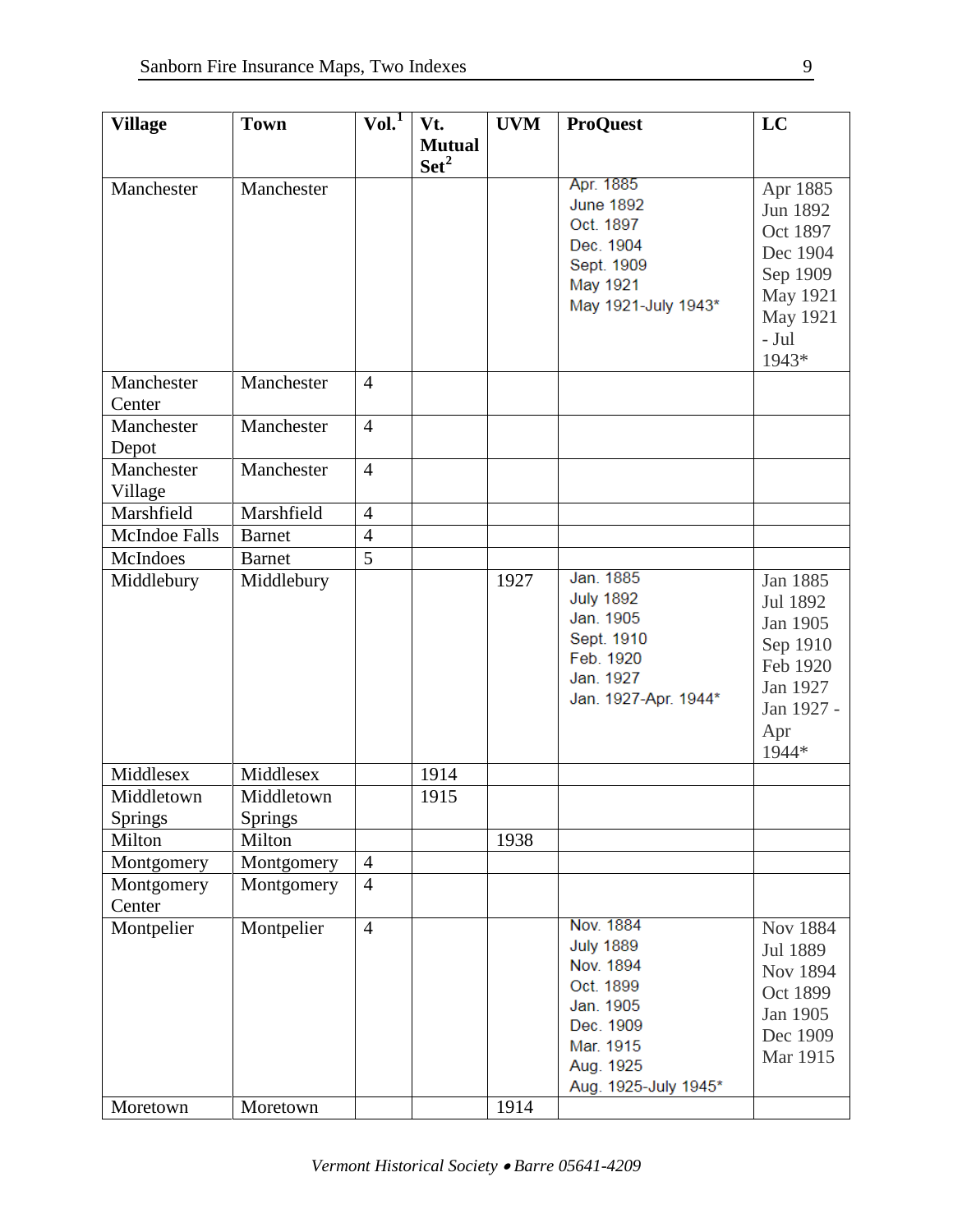| <b>Village</b>       | <b>Town</b>    | Vol. <sup>1</sup> | Vt.              | <b>UVM</b> | <b>ProQuest</b>         | LC         |
|----------------------|----------------|-------------------|------------------|------------|-------------------------|------------|
|                      |                |                   | <b>Mutual</b>    |            |                         |            |
|                      |                |                   | Set <sup>2</sup> |            |                         |            |
| Manchester           | Manchester     |                   |                  |            | Apr. 1885               | Apr 1885   |
|                      |                |                   |                  |            | <b>June 1892</b>        | Jun 1892   |
|                      |                |                   |                  |            | Oct. 1897               | Oct 1897   |
|                      |                |                   |                  |            | Dec. 1904               | Dec 1904   |
|                      |                |                   |                  |            | Sept. 1909              | Sep 1909   |
|                      |                |                   |                  |            | May 1921                |            |
|                      |                |                   |                  |            | May 1921-July 1943*     | May 1921   |
|                      |                |                   |                  |            |                         | May 1921   |
|                      |                |                   |                  |            |                         | - Jul      |
|                      |                |                   |                  |            |                         | 1943*      |
| Manchester           | Manchester     | $\overline{4}$    |                  |            |                         |            |
| Center               |                |                   |                  |            |                         |            |
| Manchester           | Manchester     | $\overline{4}$    |                  |            |                         |            |
| Depot                |                |                   |                  |            |                         |            |
| Manchester           | Manchester     | $\overline{4}$    |                  |            |                         |            |
| Village              |                |                   |                  |            |                         |            |
| Marshfield           | Marshfield     | $\overline{4}$    |                  |            |                         |            |
| <b>McIndoe Falls</b> | <b>Barnet</b>  | $\overline{4}$    |                  |            |                         |            |
| McIndoes             | <b>Barnet</b>  | $\overline{5}$    |                  |            |                         |            |
| Middlebury           | Middlebury     |                   |                  | 1927       | Jan. 1885               | Jan 1885   |
|                      |                |                   |                  |            | <b>July 1892</b>        | Jul 1892   |
|                      |                |                   |                  |            | Jan. 1905               | Jan 1905   |
|                      |                |                   |                  |            | Sept. 1910<br>Feb. 1920 | Sep 1910   |
|                      |                |                   |                  |            | Jan. 1927               | Feb 1920   |
|                      |                |                   |                  |            | Jan. 1927-Apr. 1944*    | Jan 1927   |
|                      |                |                   |                  |            |                         | Jan 1927 - |
|                      |                |                   |                  |            |                         | Apr        |
|                      |                |                   |                  |            |                         | 1944*      |
| Middlesex            | Middlesex      |                   | 1914             |            |                         |            |
| Middletown           | Middletown     |                   | 1915             |            |                         |            |
| <b>Springs</b>       | <b>Springs</b> |                   |                  |            |                         |            |
| Milton               | Milton         |                   |                  | 1938       |                         |            |
| Montgomery           | Montgomery     | $\overline{4}$    |                  |            |                         |            |
| Montgomery           | Montgomery     | $\overline{4}$    |                  |            |                         |            |
| Center               |                |                   |                  |            |                         |            |
| Montpelier           | Montpelier     | $\overline{4}$    |                  |            | Nov. 1884               | Nov 1884   |
|                      |                |                   |                  |            | <b>July 1889</b>        | Jul 1889   |
|                      |                |                   |                  |            | Nov. 1894               | Nov 1894   |
|                      |                |                   |                  |            | Oct. 1899               | Oct 1899   |
|                      |                |                   |                  |            | Jan. 1905<br>Dec. 1909  | Jan 1905   |
|                      |                |                   |                  |            | Mar. 1915               | Dec 1909   |
|                      |                |                   |                  |            | Aug. 1925               | Mar 1915   |
|                      |                |                   |                  |            | Aug. 1925-July 1945*    |            |
| Moretown             | Moretown       |                   |                  | 1914       |                         |            |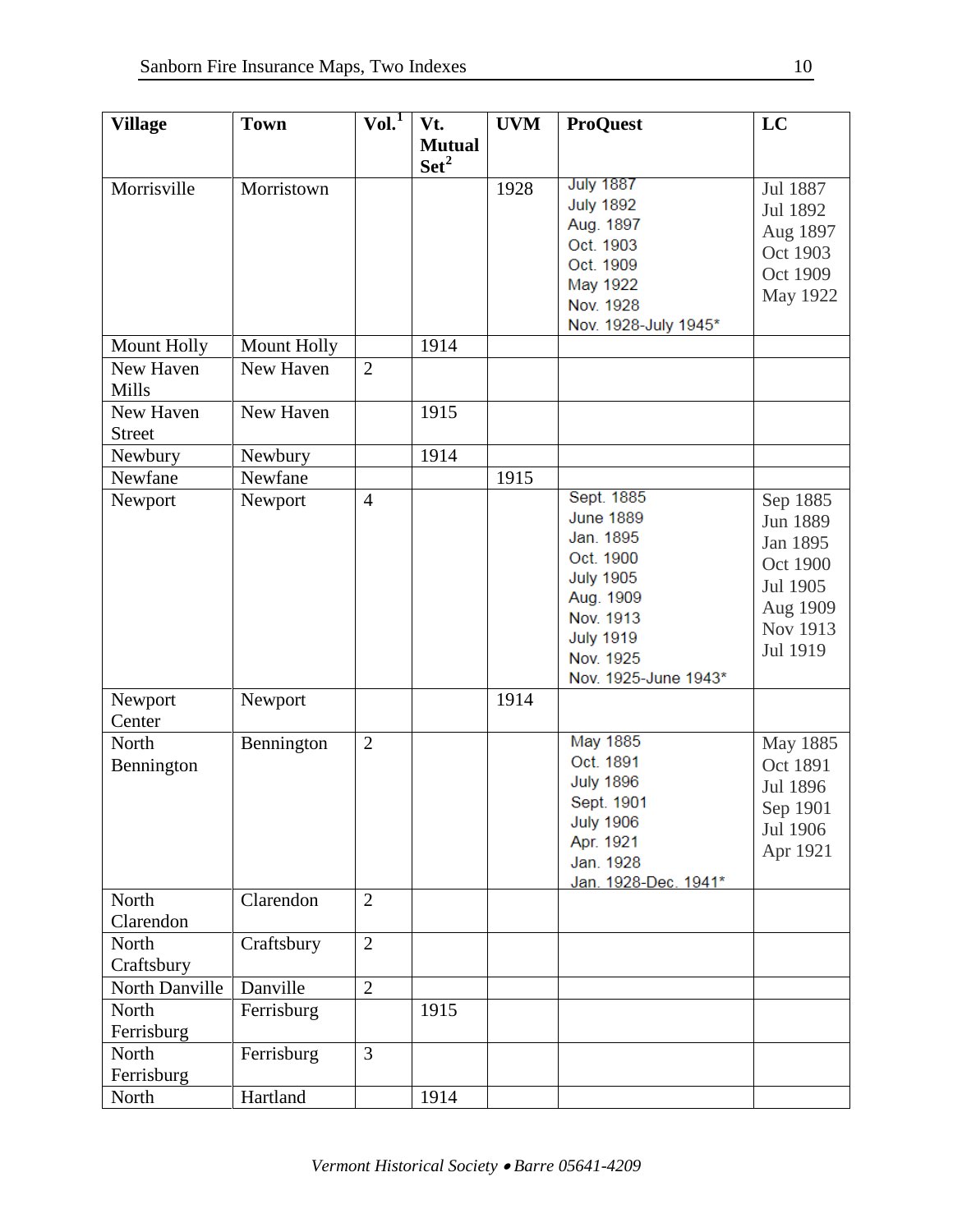| <b>Village</b>     | <b>Town</b> | Vol.           | Vt.              | <b>UVM</b> | <b>ProQuest</b>      | LC       |
|--------------------|-------------|----------------|------------------|------------|----------------------|----------|
|                    |             |                | <b>Mutual</b>    |            |                      |          |
|                    |             |                | Set <sup>2</sup> |            |                      |          |
| Morrisville        | Morristown  |                |                  | 1928       | <b>July 1887</b>     | Jul 1887 |
|                    |             |                |                  |            | <b>July 1892</b>     | Jul 1892 |
|                    |             |                |                  |            | Aug. 1897            |          |
|                    |             |                |                  |            | Oct. 1903            | Aug 1897 |
|                    |             |                |                  |            | Oct. 1909            | Oct 1903 |
|                    |             |                |                  |            | May 1922             | Oct 1909 |
|                    |             |                |                  |            | Nov. 1928            | May 1922 |
|                    |             |                |                  |            | Nov. 1928-July 1945* |          |
| <b>Mount Holly</b> | Mount Holly |                | 1914             |            |                      |          |
| New Haven          | New Haven   | $\overline{2}$ |                  |            |                      |          |
| Mills              |             |                |                  |            |                      |          |
| New Haven          | New Haven   |                | 1915             |            |                      |          |
| <b>Street</b>      |             |                |                  |            |                      |          |
| Newbury            | Newbury     |                | 1914             |            |                      |          |
| Newfane            | Newfane     |                |                  | 1915       |                      |          |
| Newport            | Newport     | $\overline{4}$ |                  |            | Sept. 1885           | Sep 1885 |
|                    |             |                |                  |            | <b>June 1889</b>     | Jun 1889 |
|                    |             |                |                  |            | Jan. 1895            | Jan 1895 |
|                    |             |                |                  |            | Oct. 1900            | Oct 1900 |
|                    |             |                |                  |            | <b>July 1905</b>     | Jul 1905 |
|                    |             |                |                  |            | Aug. 1909            |          |
|                    |             |                |                  |            | Nov. 1913            | Aug 1909 |
|                    |             |                |                  |            | <b>July 1919</b>     | Nov 1913 |
|                    |             |                |                  |            | Nov. 1925            | Jul 1919 |
|                    |             |                |                  |            | Nov. 1925-June 1943* |          |
| Newport            | Newport     |                |                  | 1914       |                      |          |
| Center             |             |                |                  |            |                      |          |
| North              | Bennington  | $\overline{2}$ |                  |            | <b>May 1885</b>      | May 1885 |
| Bennington         |             |                |                  |            | Oct. 1891            | Oct 1891 |
|                    |             |                |                  |            | <b>July 1896</b>     | Jul 1896 |
|                    |             |                |                  |            | Sept. 1901           | Sep 1901 |
|                    |             |                |                  |            | <b>July 1906</b>     | Jul 1906 |
|                    |             |                |                  |            | Apr. 1921            | Apr 1921 |
|                    |             |                |                  |            | Jan. 1928            |          |
|                    |             |                |                  |            | Jan. 1928-Dec. 1941* |          |
| North              | Clarendon   | $\overline{2}$ |                  |            |                      |          |
| Clarendon          |             |                |                  |            |                      |          |
| North              | Craftsbury  | $\overline{2}$ |                  |            |                      |          |
| Craftsbury         |             |                |                  |            |                      |          |
| North Danville     | Danville    | $\overline{2}$ |                  |            |                      |          |
| North              | Ferrisburg  |                | 1915             |            |                      |          |
| Ferrisburg         |             |                |                  |            |                      |          |
| North              | Ferrisburg  | $\overline{3}$ |                  |            |                      |          |
| Ferrisburg         |             |                |                  |            |                      |          |
| North              | Hartland    |                | 1914             |            |                      |          |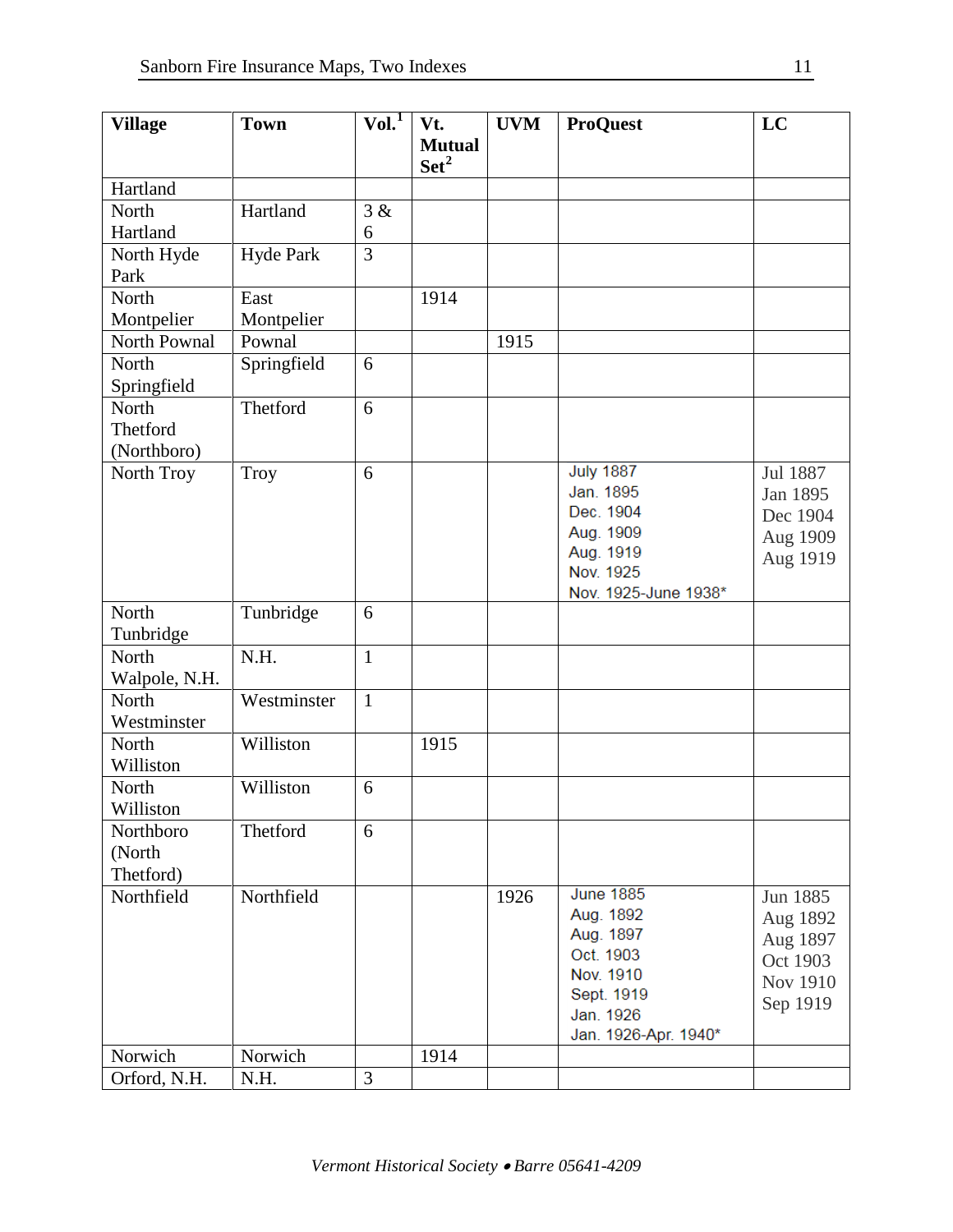| <b>Village</b>         | <b>Town</b>      | Vol. <sup>1</sup> | Vt.              | <b>UVM</b> | <b>ProQuest</b>      | LC       |
|------------------------|------------------|-------------------|------------------|------------|----------------------|----------|
|                        |                  |                   | <b>Mutual</b>    |            |                      |          |
|                        |                  |                   | $\mathbf{Set}^2$ |            |                      |          |
| Hartland               |                  |                   |                  |            |                      |          |
| North                  | Hartland         | 3 &               |                  |            |                      |          |
| Hartland               |                  | 6                 |                  |            |                      |          |
| North Hyde             | <b>Hyde Park</b> | 3                 |                  |            |                      |          |
| Park                   |                  |                   |                  |            |                      |          |
| North                  | East             |                   | 1914             |            |                      |          |
| Montpelier             | Montpelier       |                   |                  |            |                      |          |
| North Pownal           | Pownal           |                   |                  | 1915       |                      |          |
| North                  | Springfield      | 6                 |                  |            |                      |          |
| Springfield            |                  |                   |                  |            |                      |          |
| North                  | Thetford         | 6                 |                  |            |                      |          |
| Thetford               |                  |                   |                  |            |                      |          |
| (Northboro)            |                  |                   |                  |            |                      |          |
| North Troy             | Troy             | 6                 |                  |            | <b>July 1887</b>     | Jul 1887 |
|                        |                  |                   |                  |            | Jan. 1895            | Jan 1895 |
|                        |                  |                   |                  |            | Dec. 1904            | Dec 1904 |
|                        |                  |                   |                  |            | Aug. 1909            | Aug 1909 |
|                        |                  |                   |                  |            | Aug. 1919            | Aug 1919 |
|                        |                  |                   |                  |            | Nov. 1925            |          |
| North                  | Tunbridge        | 6                 |                  |            | Nov. 1925-June 1938* |          |
|                        |                  |                   |                  |            |                      |          |
| Tunbridge<br>North     | N.H.             | $\mathbf{1}$      |                  |            |                      |          |
|                        |                  |                   |                  |            |                      |          |
| Walpole, N.H.<br>North | Westminster      | $\mathbf{1}$      |                  |            |                      |          |
| Westminster            |                  |                   |                  |            |                      |          |
| North                  | Williston        |                   | 1915             |            |                      |          |
| Williston              |                  |                   |                  |            |                      |          |
|                        | Williston        |                   |                  |            |                      |          |
| North<br>Williston     |                  | 6                 |                  |            |                      |          |
|                        | Thetford         | 6                 |                  |            |                      |          |
| Northboro              |                  |                   |                  |            |                      |          |
| (North                 |                  |                   |                  |            |                      |          |
| Thetford)              |                  |                   |                  |            | <b>June 1885</b>     |          |
| Northfield             | Northfield       |                   |                  | 1926       | Aug. 1892            | Jun 1885 |
|                        |                  |                   |                  |            | Aug. 1897            | Aug 1892 |
|                        |                  |                   |                  |            | Oct. 1903            | Aug 1897 |
|                        |                  |                   |                  |            | Nov. 1910            | Oct 1903 |
|                        |                  |                   |                  |            | Sept. 1919           | Nov 1910 |
|                        |                  |                   |                  |            | Jan. 1926            | Sep 1919 |
|                        |                  |                   |                  |            | Jan. 1926-Apr. 1940* |          |
| Norwich                | Norwich          |                   | 1914             |            |                      |          |
| Orford, N.H.           | N.H.             | 3                 |                  |            |                      |          |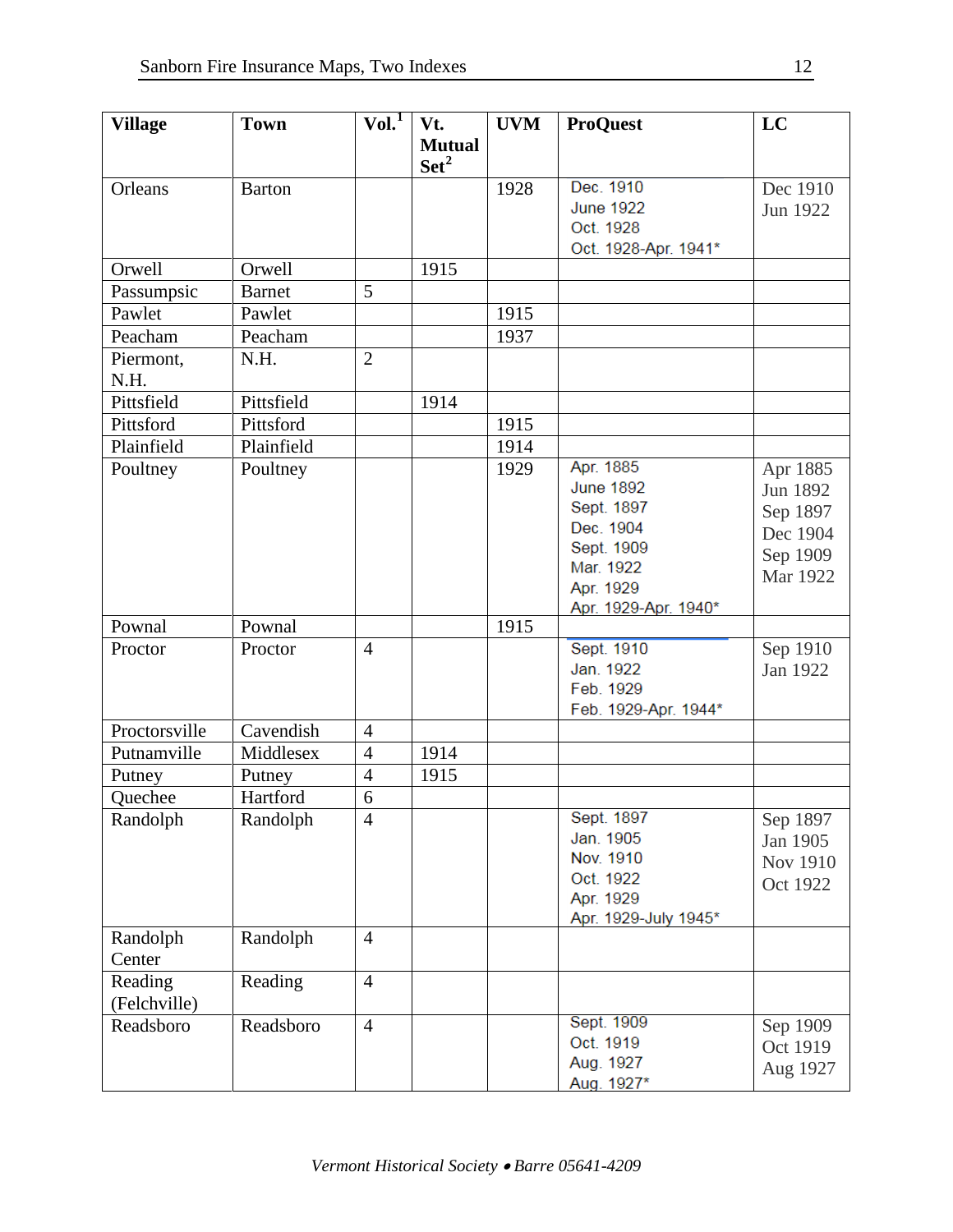| <b>Village</b> | <b>Town</b>   | Vol.           | Vt.              | <b>UVM</b> | <b>ProQuest</b>      | LC              |
|----------------|---------------|----------------|------------------|------------|----------------------|-----------------|
|                |               |                | <b>Mutual</b>    |            |                      |                 |
|                |               |                | $\mathbf{Set}^2$ |            |                      |                 |
| Orleans        | <b>Barton</b> |                |                  | 1928       | Dec. 1910            | Dec 1910        |
|                |               |                |                  |            | <b>June 1922</b>     |                 |
|                |               |                |                  |            | Oct. 1928            | Jun 1922        |
|                |               |                |                  |            | Oct. 1928-Apr. 1941* |                 |
| Orwell         | Orwell        |                | 1915             |            |                      |                 |
| Passumpsic     | <b>Barnet</b> | 5              |                  |            |                      |                 |
| Pawlet         | Pawlet        |                |                  | 1915       |                      |                 |
| Peacham        | Peacham       |                |                  | 1937       |                      |                 |
|                | N.H.          | $\overline{2}$ |                  |            |                      |                 |
| Piermont,      |               |                |                  |            |                      |                 |
| N.H.           |               |                |                  |            |                      |                 |
| Pittsfield     | Pittsfield    |                | 1914             |            |                      |                 |
| Pittsford      | Pittsford     |                |                  | 1915       |                      |                 |
| Plainfield     | Plainfield    |                |                  | 1914       |                      |                 |
| Poultney       | Poultney      |                |                  | 1929       | Apr. 1885            | Apr 1885        |
|                |               |                |                  |            | <b>June 1892</b>     | Jun 1892        |
|                |               |                |                  |            | Sept. 1897           | Sep 1897        |
|                |               |                |                  |            | Dec. 1904            | Dec 1904        |
|                |               |                |                  |            | Sept. 1909           | Sep 1909        |
|                |               |                |                  |            | Mar. 1922            | Mar 1922        |
|                |               |                |                  |            | Apr. 1929            |                 |
|                |               |                |                  |            | Apr. 1929-Apr. 1940* |                 |
| Pownal         | Pownal        |                |                  | 1915       |                      |                 |
| Proctor        | Proctor       | $\overline{4}$ |                  |            | Sept. 1910           | Sep 1910        |
|                |               |                |                  |            | Jan. 1922            | Jan 1922        |
|                |               |                |                  |            | Feb. 1929            |                 |
|                |               |                |                  |            | Feb. 1929-Apr. 1944* |                 |
| Proctorsville  | Cavendish     | $\overline{4}$ |                  |            |                      |                 |
| Putnamville    | Middlesex     | $\overline{4}$ | 1914             |            |                      |                 |
| Putney         | Putney        | $\overline{4}$ | 1915             |            |                      |                 |
| Quechee        | Hartford      | 6              |                  |            |                      |                 |
| Randolph       | Randolph      | $\overline{4}$ |                  |            | Sept. 1897           | Sep 1897        |
|                |               |                |                  |            | Jan. 1905            | Jan 1905        |
|                |               |                |                  |            | Nov. 1910            | <b>Nov 1910</b> |
|                |               |                |                  |            | Oct. 1922            | Oct 1922        |
|                |               |                |                  |            | Apr. 1929            |                 |
|                |               |                |                  |            | Apr. 1929-July 1945* |                 |
| Randolph       | Randolph      | $\overline{4}$ |                  |            |                      |                 |
| Center         |               |                |                  |            |                      |                 |
| Reading        | Reading       | $\overline{4}$ |                  |            |                      |                 |
| (Felchville)   |               |                |                  |            |                      |                 |
| Readsboro      | Readsboro     | $\overline{4}$ |                  |            | Sept. 1909           | Sep 1909        |
|                |               |                |                  |            | Oct. 1919            | Oct 1919        |
|                |               |                |                  |            | Aug. 1927            | Aug 1927        |
|                |               |                |                  |            | Aug. 1927*           |                 |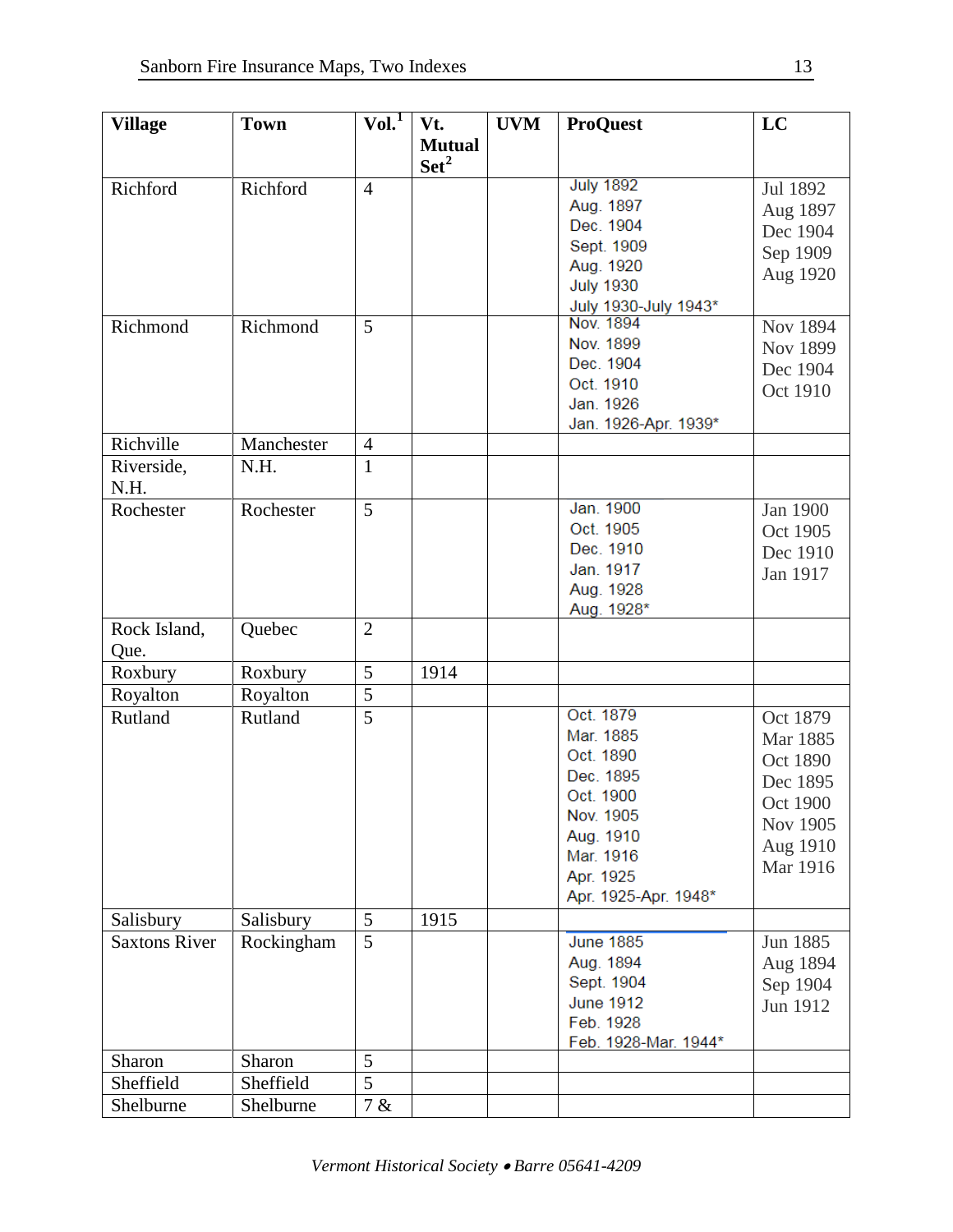| <b>Village</b>       | <b>Town</b> | $VoI^{T}$      | Vt.            | <b>UVM</b> | <b>ProQuest</b>      | LC       |
|----------------------|-------------|----------------|----------------|------------|----------------------|----------|
|                      |             |                | <b>Mutual</b>  |            |                      |          |
|                      |             |                | $\text{Set}^2$ |            |                      |          |
| Richford             | Richford    | $\overline{4}$ |                |            | <b>July 1892</b>     | Jul 1892 |
|                      |             |                |                |            | Aug. 1897            | Aug 1897 |
|                      |             |                |                |            | Dec. 1904            | Dec 1904 |
|                      |             |                |                |            | Sept. 1909           | Sep 1909 |
|                      |             |                |                |            | Aug. 1920            | Aug 1920 |
|                      |             |                |                |            | <b>July 1930</b>     |          |
|                      |             |                |                |            | July 1930-July 1943* |          |
| Richmond             | Richmond    | 5              |                |            | Nov. 1894            | Nov 1894 |
|                      |             |                |                |            | Nov. 1899            | Nov 1899 |
|                      |             |                |                |            | Dec. 1904            | Dec 1904 |
|                      |             |                |                |            | Oct. 1910            | Oct 1910 |
|                      |             |                |                |            | Jan. 1926            |          |
|                      |             |                |                |            | Jan. 1926-Apr. 1939* |          |
| Richville            | Manchester  | $\overline{4}$ |                |            |                      |          |
| Riverside,           | N.H.        | $\mathbf{1}$   |                |            |                      |          |
| N.H.                 |             |                |                |            |                      |          |
| Rochester            | Rochester   | 5              |                |            | Jan. 1900            | Jan 1900 |
|                      |             |                |                |            | Oct. 1905            | Oct 1905 |
|                      |             |                |                |            | Dec. 1910            | Dec 1910 |
|                      |             |                |                |            | Jan. 1917            | Jan 1917 |
|                      |             |                |                |            | Aug. 1928            |          |
|                      |             |                |                |            | Aug. 1928*           |          |
| Rock Island,         | Quebec      | $\overline{2}$ |                |            |                      |          |
| Que.                 |             |                |                |            |                      |          |
| Roxbury              | Roxbury     | 5              | 1914           |            |                      |          |
| Royalton             | Royalton    | 5              |                |            |                      |          |
| Rutland              | Rutland     | $\overline{5}$ |                |            | Oct. 1879            | Oct 1879 |
|                      |             |                |                |            | Mar. 1885            | Mar 1885 |
|                      |             |                |                |            | Oct. 1890            | Oct 1890 |
|                      |             |                |                |            | Dec. 1895            | Dec 1895 |
|                      |             |                |                |            | Oct. 1900            | Oct 1900 |
|                      |             |                |                |            | Nov. 1905            | Nov 1905 |
|                      |             |                |                |            | Aug. 1910            | Aug 1910 |
|                      |             |                |                |            | Mar. 1916            |          |
|                      |             |                |                |            | Apr. 1925            | Mar 1916 |
|                      |             |                |                |            | Apr. 1925-Apr. 1948* |          |
| Salisbury            | Salisbury   | 5              | 1915           |            |                      |          |
| <b>Saxtons River</b> | Rockingham  | 5              |                |            | <b>June 1885</b>     | Jun 1885 |
|                      |             |                |                |            | Aug. 1894            | Aug 1894 |
|                      |             |                |                |            | Sept. 1904           | Sep 1904 |
|                      |             |                |                |            | <b>June 1912</b>     | Jun 1912 |
|                      |             |                |                |            | Feb. 1928            |          |
|                      |             |                |                |            | Feb. 1928-Mar. 1944* |          |
| Sharon               | Sharon      | 5              |                |            |                      |          |
| Sheffield            | Sheffield   | 5              |                |            |                      |          |
| Shelburne            | Shelburne   | 7 &            |                |            |                      |          |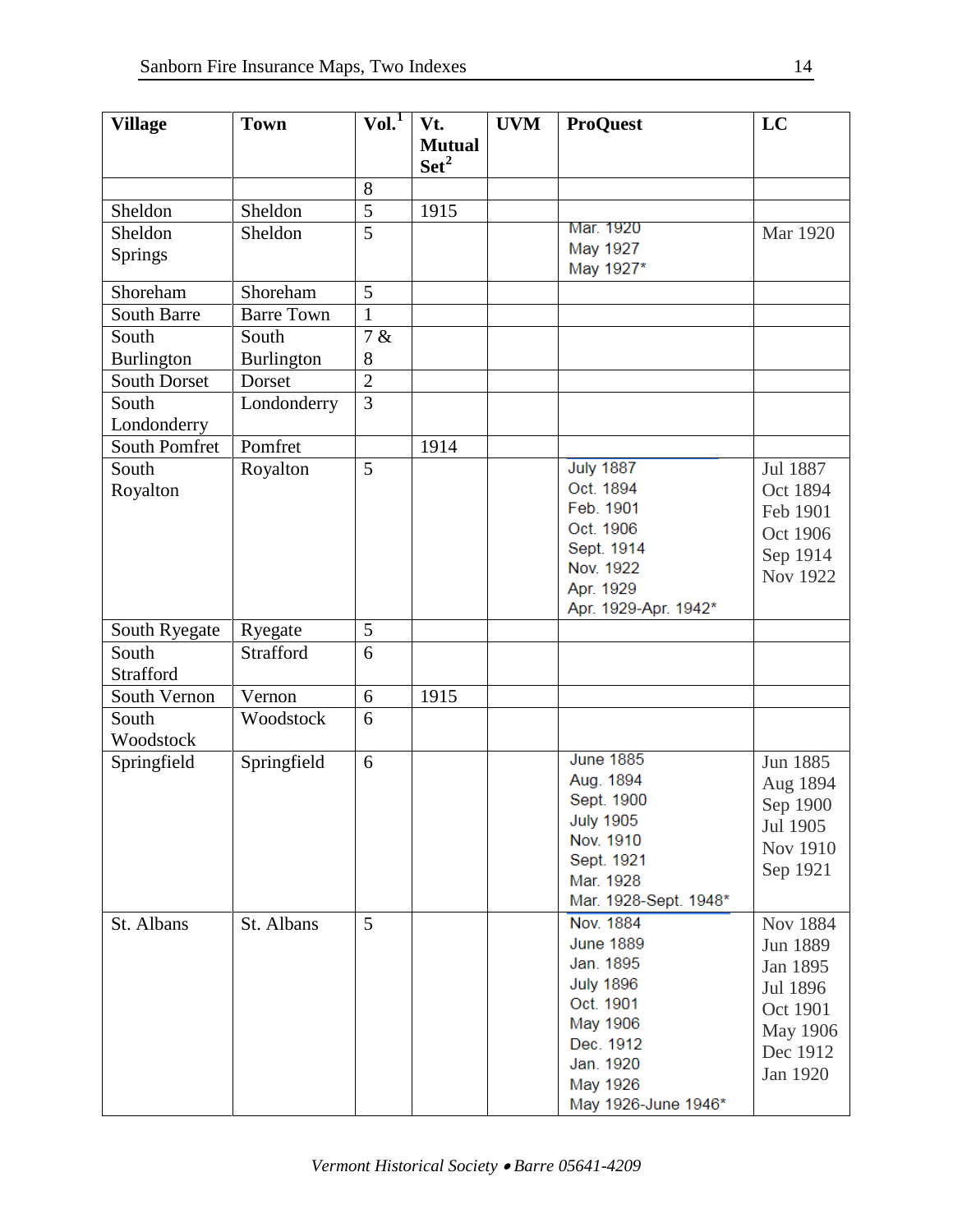| <b>Village</b>       | <b>Town</b>       | Vol. <sup>1</sup> | Vt.            | <b>UVM</b> | <b>ProQuest</b>       | LC       |
|----------------------|-------------------|-------------------|----------------|------------|-----------------------|----------|
|                      |                   |                   | <b>Mutual</b>  |            |                       |          |
|                      |                   |                   | $\text{Set}^2$ |            |                       |          |
|                      |                   | 8                 |                |            |                       |          |
| Sheldon              | Sheldon           | 5                 | 1915           |            |                       |          |
| Sheldon              | Sheldon           | 5                 |                |            | Mar. 1920             | Mar 1920 |
| Springs              |                   |                   |                |            | May 1927              |          |
|                      |                   |                   |                |            | May 1927*             |          |
| Shoreham             | Shoreham          | 5                 |                |            |                       |          |
| <b>South Barre</b>   | <b>Barre Town</b> | $\mathbf{1}$      |                |            |                       |          |
| South                | South             | 7 &               |                |            |                       |          |
| <b>Burlington</b>    | Burlington        | 8                 |                |            |                       |          |
| <b>South Dorset</b>  | Dorset            | $\overline{2}$    |                |            |                       |          |
| South                | Londonderry       | $\overline{3}$    |                |            |                       |          |
| Londonderry          |                   |                   |                |            |                       |          |
| <b>South Pomfret</b> | Pomfret           |                   | 1914           |            |                       |          |
| South                | Royalton          | 5                 |                |            | <b>July 1887</b>      | Jul 1887 |
| Royalton             |                   |                   |                |            | Oct. 1894             | Oct 1894 |
|                      |                   |                   |                |            | Feb. 1901             | Feb 1901 |
|                      |                   |                   |                |            | Oct. 1906             | Oct 1906 |
|                      |                   |                   |                |            | Sept. 1914            | Sep 1914 |
|                      |                   |                   |                |            | Nov. 1922             | Nov 1922 |
|                      |                   |                   |                |            | Apr. 1929             |          |
|                      |                   |                   |                |            | Apr. 1929-Apr. 1942*  |          |
| South Ryegate        | Ryegate           | 5                 |                |            |                       |          |
| South                | Strafford         | 6                 |                |            |                       |          |
| <b>Strafford</b>     |                   |                   |                |            |                       |          |
| South Vernon         | Vernon            | 6                 | 1915           |            |                       |          |
| South                | Woodstock         | 6                 |                |            |                       |          |
| Woodstock            |                   |                   |                |            |                       |          |
| Springfield          | Springfield       | 6                 |                |            | <b>June 1885</b>      | Jun 1885 |
|                      |                   |                   |                |            | Aug. 1894             | Aug 1894 |
|                      |                   |                   |                |            | Sept. 1900            | Sep 1900 |
|                      |                   |                   |                |            | <b>July 1905</b>      | Jul 1905 |
|                      |                   |                   |                |            | Nov. 1910             | Nov 1910 |
|                      |                   |                   |                |            | Sept. 1921            | Sep 1921 |
|                      |                   |                   |                |            | Mar. 1928             |          |
|                      |                   |                   |                |            | Mar. 1928-Sept. 1948* |          |
| St. Albans           | St. Albans        | 5                 |                |            | Nov. 1884             | Nov 1884 |
|                      |                   |                   |                |            | <b>June 1889</b>      | Jun 1889 |
|                      |                   |                   |                |            | Jan. 1895             | Jan 1895 |
|                      |                   |                   |                |            | <b>July 1896</b>      | Jul 1896 |
|                      |                   |                   |                |            | Oct. 1901             | Oct 1901 |
|                      |                   |                   |                |            | May 1906              | May 1906 |
|                      |                   |                   |                |            | Dec. 1912             | Dec 1912 |
|                      |                   |                   |                |            | Jan. 1920             | Jan 1920 |
|                      |                   |                   |                |            | May 1926              |          |
|                      |                   |                   |                |            | May 1926-June 1946*   |          |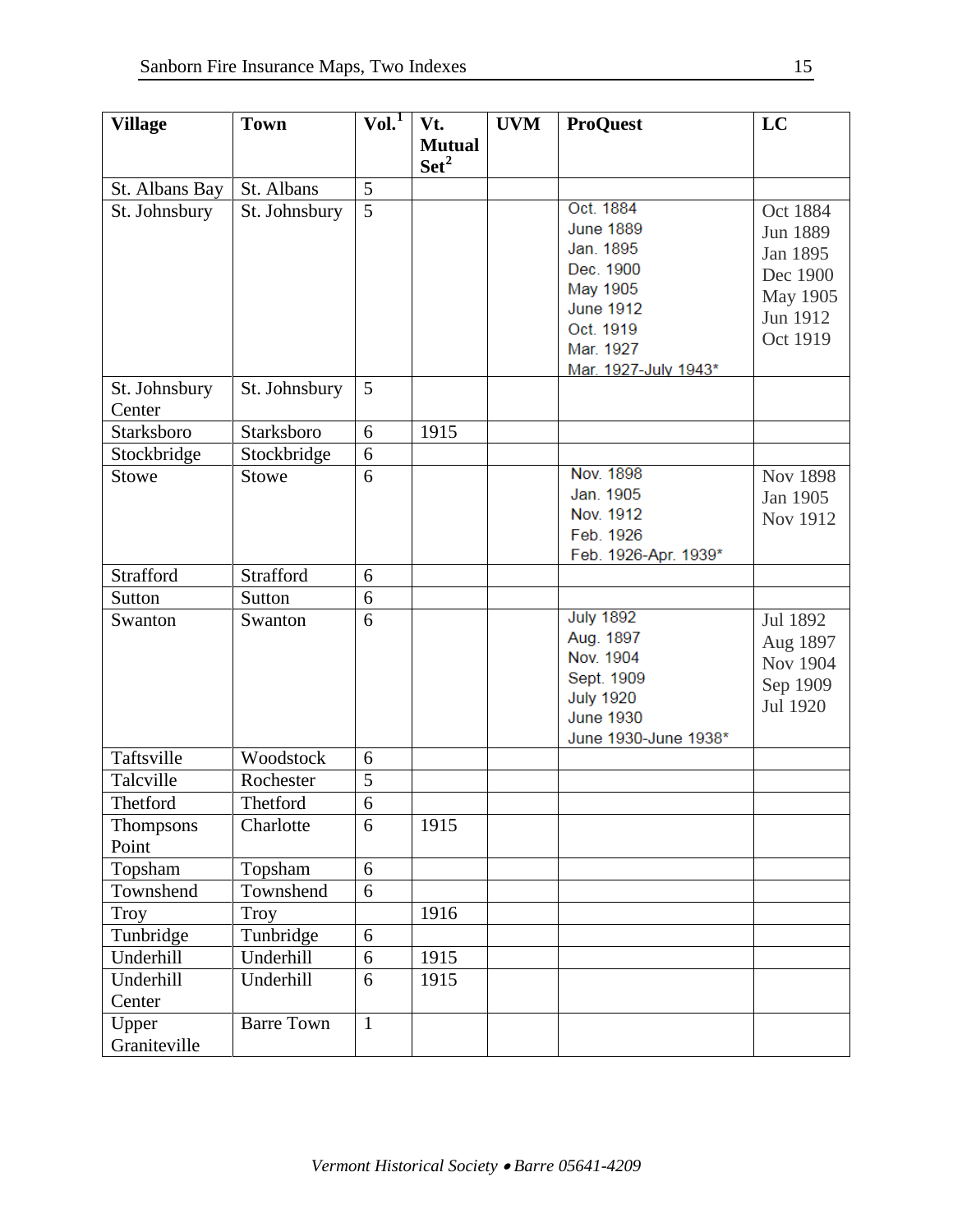| <b>Village</b> | <b>Town</b>       | $\overline{\text{Vol.}}^1$ | Vt.              | <b>UVM</b> | <b>ProQuest</b>      | LC       |
|----------------|-------------------|----------------------------|------------------|------------|----------------------|----------|
|                |                   |                            | <b>Mutual</b>    |            |                      |          |
|                |                   |                            | Set <sup>2</sup> |            |                      |          |
| St. Albans Bay | St. Albans        | 5                          |                  |            |                      |          |
| St. Johnsbury  | St. Johnsbury     | $\overline{5}$             |                  |            | Oct. 1884            | Oct 1884 |
|                |                   |                            |                  |            | <b>June 1889</b>     | Jun 1889 |
|                |                   |                            |                  |            | Jan. 1895            | Jan 1895 |
|                |                   |                            |                  |            | Dec. 1900            | Dec 1900 |
|                |                   |                            |                  |            | May 1905             | May 1905 |
|                |                   |                            |                  |            | <b>June 1912</b>     | Jun 1912 |
|                |                   |                            |                  |            | Oct. 1919            | Oct 1919 |
|                |                   |                            |                  |            | Mar. 1927            |          |
| St. Johnsbury  | St. Johnsbury     | 5                          |                  |            | Mar. 1927-July 1943* |          |
| Center         |                   |                            |                  |            |                      |          |
| Starksboro     | Starksboro        | 6                          | 1915             |            |                      |          |
| Stockbridge    | Stockbridge       | 6                          |                  |            |                      |          |
| <b>Stowe</b>   | <b>Stowe</b>      | 6                          |                  |            | Nov. 1898            |          |
|                |                   |                            |                  |            | Jan. 1905            | Nov 1898 |
|                |                   |                            |                  |            | Nov. 1912            | Jan 1905 |
|                |                   |                            |                  |            | Feb. 1926            | Nov 1912 |
|                |                   |                            |                  |            | Feb. 1926-Apr. 1939* |          |
| Strafford      | Strafford         | 6                          |                  |            |                      |          |
| Sutton         | Sutton            | 6                          |                  |            |                      |          |
| Swanton        | Swanton           | 6                          |                  |            | <b>July 1892</b>     | Jul 1892 |
|                |                   |                            |                  |            | Aug. 1897            | Aug 1897 |
|                |                   |                            |                  |            | Nov. 1904            | Nov 1904 |
|                |                   |                            |                  |            | Sept. 1909           | Sep 1909 |
|                |                   |                            |                  |            | <b>July 1920</b>     | Jul 1920 |
|                |                   |                            |                  |            | <b>June 1930</b>     |          |
|                |                   |                            |                  |            | June 1930-June 1938* |          |
| Taftsville     | Woodstock         | 6                          |                  |            |                      |          |
| Talcville      | Rochester         | 5                          |                  |            |                      |          |
| Thetford       | Thetford          | 6                          |                  |            |                      |          |
| Thompsons      | Charlotte         | 6                          | 1915             |            |                      |          |
| Point          |                   |                            |                  |            |                      |          |
| Topsham        | Topsham           | 6                          |                  |            |                      |          |
| Townshend      | Townshend         | 6                          |                  |            |                      |          |
| Troy           | <b>Troy</b>       |                            | 1916             |            |                      |          |
| Tunbridge      | Tunbridge         | 6                          |                  |            |                      |          |
| Underhill      | Underhill         | 6                          | 1915             |            |                      |          |
| Underhill      | Underhill         | 6                          | 1915             |            |                      |          |
| Center         |                   |                            |                  |            |                      |          |
| Upper          | <b>Barre Town</b> | $\mathbf{1}$               |                  |            |                      |          |
| Graniteville   |                   |                            |                  |            |                      |          |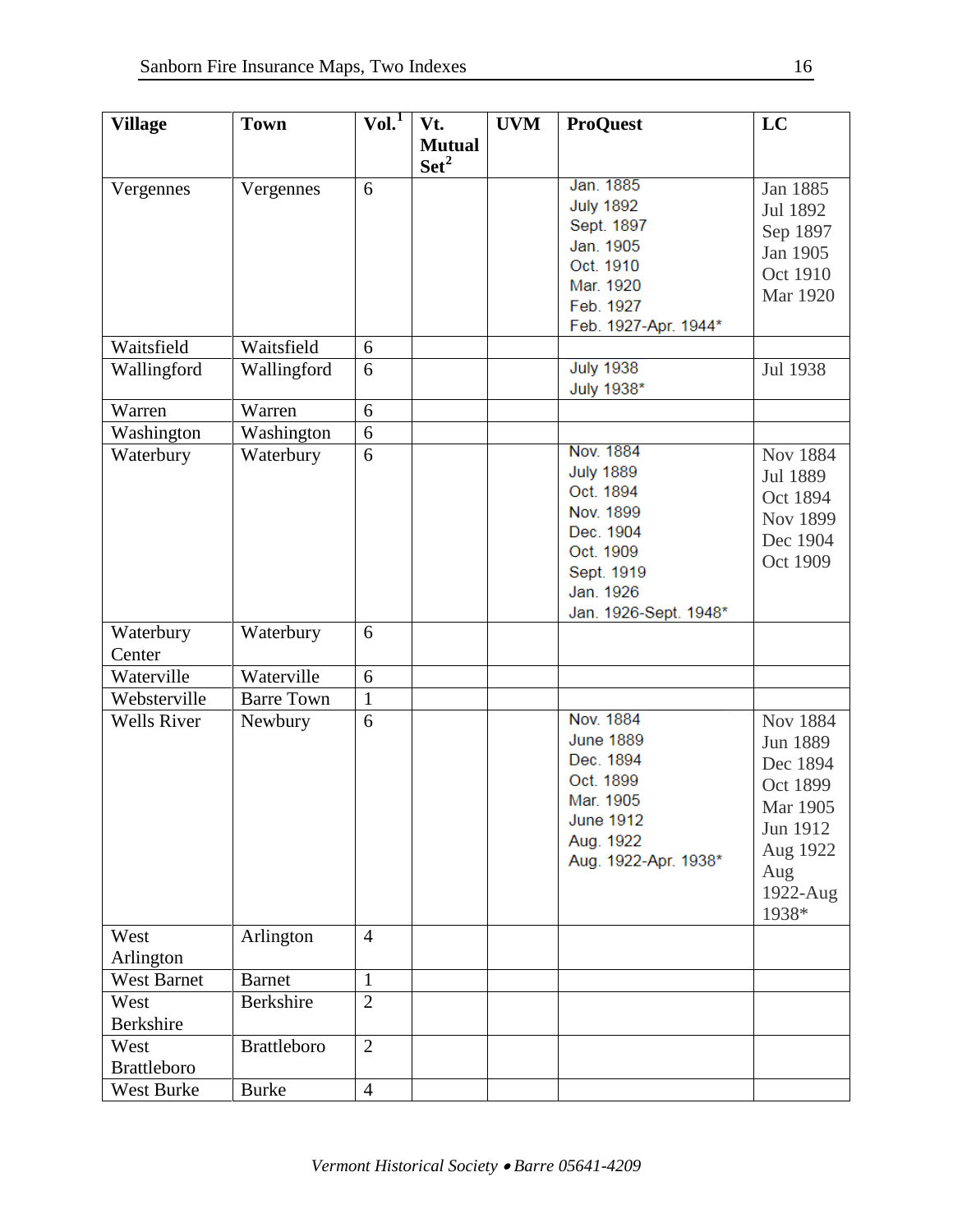| <b>Village</b>       | <b>Town</b>        | Vol. <sup>1</sup> | Vt.              | <b>UVM</b> | <b>ProQuest</b>       | LC              |
|----------------------|--------------------|-------------------|------------------|------------|-----------------------|-----------------|
|                      |                    |                   | <b>Mutual</b>    |            |                       |                 |
|                      |                    |                   | Set <sup>2</sup> |            |                       |                 |
| Vergennes            | Vergennes          | 6                 |                  |            | Jan. 1885             | Jan 1885        |
|                      |                    |                   |                  |            | <b>July 1892</b>      | Jul 1892        |
|                      |                    |                   |                  |            | Sept. 1897            | Sep 1897        |
|                      |                    |                   |                  |            | Jan. 1905             | Jan 1905        |
|                      |                    |                   |                  |            | Oct. 1910             | Oct 1910        |
|                      |                    |                   |                  |            | Mar. 1920             | Mar 1920        |
|                      |                    |                   |                  |            | Feb. 1927             |                 |
|                      |                    |                   |                  |            | Feb. 1927-Apr. 1944*  |                 |
| Waitsfield           | Waitsfield         | 6                 |                  |            |                       |                 |
| Wallingford          | Wallingford        | 6                 |                  |            | <b>July 1938</b>      | Jul 1938        |
|                      |                    |                   |                  |            | July 1938*            |                 |
| Warren               | Warren             | 6                 |                  |            |                       |                 |
| Washington           | Washington         | 6                 |                  |            |                       |                 |
| Waterbury            | Waterbury          | 6                 |                  |            | Nov. 1884             | <b>Nov 1884</b> |
|                      |                    |                   |                  |            | <b>July 1889</b>      | Jul 1889        |
|                      |                    |                   |                  |            | Oct. 1894             | Oct 1894        |
|                      |                    |                   |                  |            | Nov. 1899             | Nov 1899        |
|                      |                    |                   |                  |            | Dec. 1904             | Dec 1904        |
|                      |                    |                   |                  |            | Oct. 1909             | Oct 1909        |
|                      |                    |                   |                  |            | Sept. 1919            |                 |
|                      |                    |                   |                  |            | Jan. 1926             |                 |
|                      |                    | 6                 |                  |            | Jan. 1926-Sept. 1948* |                 |
| Waterbury            | Waterbury          |                   |                  |            |                       |                 |
| Center<br>Waterville | Waterville         | 6                 |                  |            |                       |                 |
| Websterville         | <b>Barre Town</b>  | $\mathbf{1}$      |                  |            |                       |                 |
| <b>Wells River</b>   |                    | 6                 |                  |            | Nov. 1884             | <b>Nov 1884</b> |
|                      | Newbury            |                   |                  |            | <b>June 1889</b>      |                 |
|                      |                    |                   |                  |            | Dec. 1894             | Jun 1889        |
|                      |                    |                   |                  |            | Oct. 1899             | Dec 1894        |
|                      |                    |                   |                  |            | Mar. 1905             | Oct 1899        |
|                      |                    |                   |                  |            | <b>June 1912</b>      | Mar 1905        |
|                      |                    |                   |                  |            | Aug. 1922             | Jun 1912        |
|                      |                    |                   |                  |            | Aug. 1922-Apr. 1938*  | Aug 1922        |
|                      |                    |                   |                  |            |                       | Aug             |
|                      |                    |                   |                  |            |                       | 1922-Aug        |
|                      |                    |                   |                  |            |                       | 1938*           |
| West                 | Arlington          | $\overline{4}$    |                  |            |                       |                 |
| Arlington            |                    |                   |                  |            |                       |                 |
| <b>West Barnet</b>   | <b>Barnet</b>      | $\mathbf{1}$      |                  |            |                       |                 |
| West                 | <b>Berkshire</b>   | $\overline{2}$    |                  |            |                       |                 |
| <b>Berkshire</b>     |                    |                   |                  |            |                       |                 |
| West                 | <b>Brattleboro</b> | $\overline{2}$    |                  |            |                       |                 |
| <b>Brattleboro</b>   |                    |                   |                  |            |                       |                 |
| West Burke           | <b>Burke</b>       | $\overline{4}$    |                  |            |                       |                 |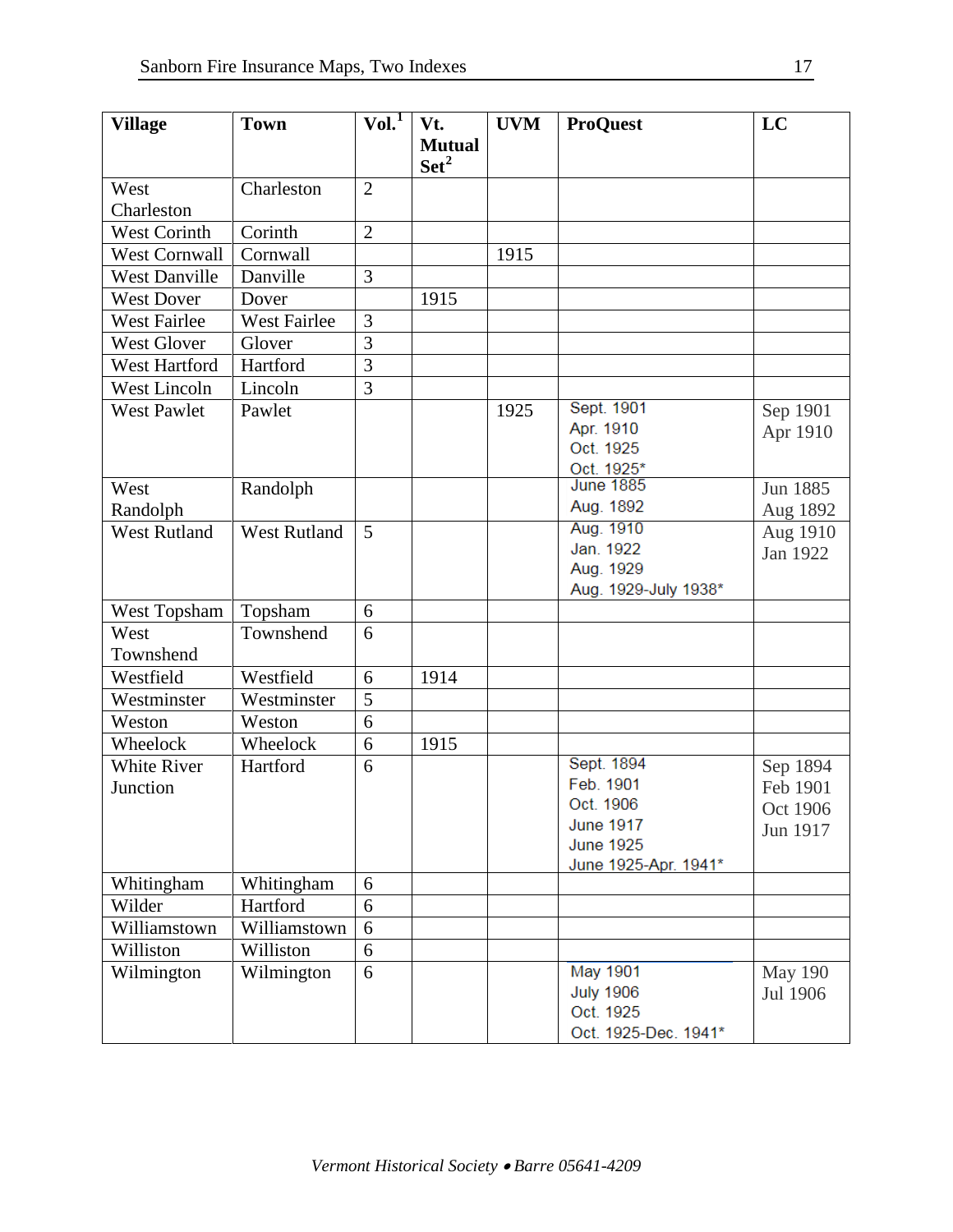| <b>Village</b>       | <b>Town</b>         | Vol. <sup>T</sup> | Vt.              | <b>UVM</b> | <b>ProQuest</b>                | LC             |
|----------------------|---------------------|-------------------|------------------|------------|--------------------------------|----------------|
|                      |                     |                   | <b>Mutual</b>    |            |                                |                |
|                      |                     |                   | $\mathbf{Set}^2$ |            |                                |                |
| West                 | Charleston          | $\overline{2}$    |                  |            |                                |                |
| Charleston           |                     | $\overline{2}$    |                  |            |                                |                |
| West Corinth         | Corinth             |                   |                  |            |                                |                |
| <b>West Cornwall</b> | Cornwall            |                   |                  | 1915       |                                |                |
| <b>West Danville</b> | Danville            | 3                 |                  |            |                                |                |
| <b>West Dover</b>    | Dover               |                   | 1915             |            |                                |                |
| <b>West Fairlee</b>  | <b>West Fairlee</b> | 3                 |                  |            |                                |                |
| <b>West Glover</b>   | Glover              | 3                 |                  |            |                                |                |
| West Hartford        | Hartford            | 3                 |                  |            |                                |                |
| <b>West Lincoln</b>  | Lincoln             | 3                 |                  |            |                                |                |
| <b>West Pawlet</b>   | Pawlet              |                   |                  | 1925       | Sept. 1901                     | Sep 1901       |
|                      |                     |                   |                  |            | Apr. 1910                      | Apr 1910       |
|                      |                     |                   |                  |            | Oct. 1925                      |                |
| West                 | Randolph            |                   |                  |            | Oct. 1925*<br><b>June 1885</b> | Jun 1885       |
| Randolph             |                     |                   |                  |            | Aug. 1892                      | Aug 1892       |
| <b>West Rutland</b>  | <b>West Rutland</b> | 5                 |                  |            | Aug. 1910                      | Aug 1910       |
|                      |                     |                   |                  |            | Jan. 1922                      | Jan 1922       |
|                      |                     |                   |                  |            | Aug. 1929                      |                |
|                      |                     |                   |                  |            | Aug. 1929-July 1938*           |                |
| West Topsham         | Topsham             | 6                 |                  |            |                                |                |
| West                 | Townshend           | 6                 |                  |            |                                |                |
| Townshend            |                     |                   |                  |            |                                |                |
| Westfield            | Westfield           | 6                 | 1914             |            |                                |                |
| Westminster          | Westminster         | 5                 |                  |            |                                |                |
| Weston               | Weston              | 6                 |                  |            |                                |                |
| Wheelock             | Wheelock            | 6                 | 1915             |            |                                |                |
| <b>White River</b>   | Hartford            | 6                 |                  |            | Sept. 1894                     | Sep 1894       |
| Junction             |                     |                   |                  |            | Feb. 1901                      | Feb 1901       |
|                      |                     |                   |                  |            | Oct. 1906                      | Oct 1906       |
|                      |                     |                   |                  |            | <b>June 1917</b>               | Jun 1917       |
|                      |                     |                   |                  |            | <b>June 1925</b>               |                |
| Whitingham           | Whitingham          | 6                 |                  |            | June 1925-Apr. 1941*           |                |
| Wilder               | Hartford            | 6                 |                  |            |                                |                |
| Williamstown         | Williamstown        | 6                 |                  |            |                                |                |
| Williston            | Williston           | 6                 |                  |            |                                |                |
| Wilmington           | Wilmington          | 6                 |                  |            | May 1901                       | <b>May 190</b> |
|                      |                     |                   |                  |            | <b>July 1906</b>               | Jul 1906       |
|                      |                     |                   |                  |            | Oct. 1925                      |                |
|                      |                     |                   |                  |            | Oct. 1925-Dec. 1941*           |                |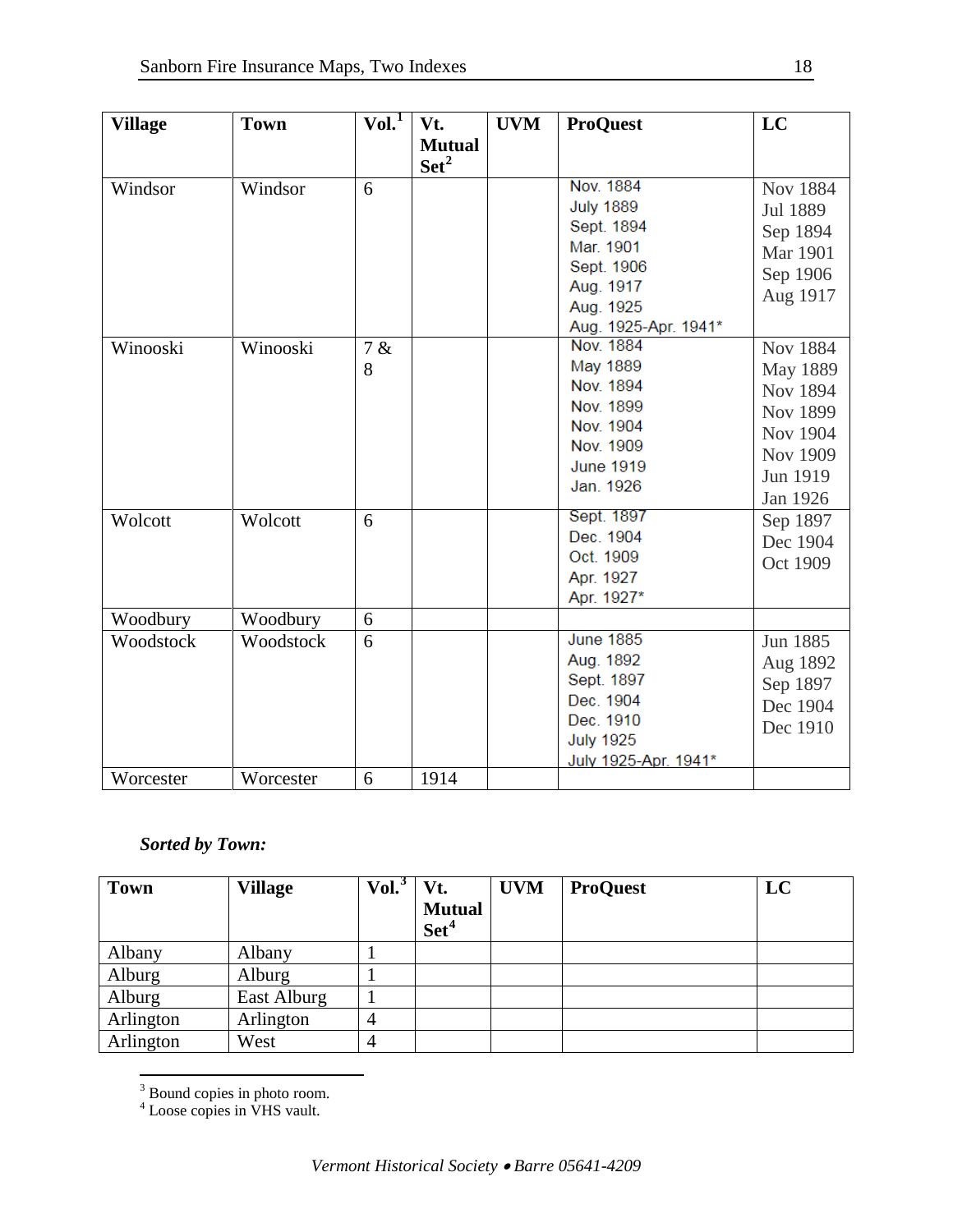| <b>Village</b> | <b>Town</b> | Vol. <sup>1</sup> | Vt.<br><b>Mutual</b> | <b>UVM</b> | <b>ProQuest</b>                                                                                                          | LC                                                                                                  |
|----------------|-------------|-------------------|----------------------|------------|--------------------------------------------------------------------------------------------------------------------------|-----------------------------------------------------------------------------------------------------|
|                |             |                   | $\text{Set}^2$       |            |                                                                                                                          |                                                                                                     |
| Windsor        | Windsor     | 6                 |                      |            | Nov. 1884<br><b>July 1889</b><br>Sept. 1894<br>Mar. 1901<br>Sept. 1906<br>Aug. 1917<br>Aug. 1925<br>Aug. 1925-Apr. 1941* | Nov 1884<br>Jul 1889<br>Sep 1894<br>Mar 1901<br>Sep 1906<br>Aug 1917                                |
| Winooski       | Winooski    | 7 &<br>8          |                      |            | Nov. 1884<br>May 1889<br>Nov. 1894<br>Nov. 1899<br>Nov. 1904<br>Nov. 1909<br><b>June 1919</b><br>Jan. 1926               | <b>Nov 1884</b><br>May 1889<br>Nov 1894<br>Nov 1899<br>Nov 1904<br>Nov 1909<br>Jun 1919<br>Jan 1926 |
| Wolcott        | Wolcott     | 6                 |                      |            | Sept. 1897<br>Dec. 1904<br>Oct. 1909<br>Apr. 1927<br>Apr. 1927*                                                          | Sep 1897<br>Dec 1904<br>Oct 1909                                                                    |
| Woodbury       | Woodbury    | 6                 |                      |            |                                                                                                                          |                                                                                                     |
| Woodstock      | Woodstock   | 6                 |                      |            | <b>June 1885</b><br>Aug. 1892<br>Sept. 1897<br>Dec. 1904<br>Dec. 1910<br><b>July 1925</b><br>July 1925-Apr. 1941*        | Jun 1885<br>Aug 1892<br>Sep 1897<br>Dec 1904<br>Dec 1910                                            |
| Worcester      | Worcester   | 6                 | 1914                 |            |                                                                                                                          |                                                                                                     |

## *Sorted by Town:*

| <b>Town</b> | <b>Village</b> | Vol. <sup>3</sup> | Vt.                               | <b>UVM</b> | <b>ProQuest</b> | LC |
|-------------|----------------|-------------------|-----------------------------------|------------|-----------------|----|
|             |                |                   | <b>Mutual</b><br>Set <sup>4</sup> |            |                 |    |
| Albany      | Albany         |                   |                                   |            |                 |    |
| Alburg      | Alburg         |                   |                                   |            |                 |    |
| Alburg      | East Alburg    |                   |                                   |            |                 |    |
| Arlington   | Arlington      | 4                 |                                   |            |                 |    |
| Arlington   | West           | 4                 |                                   |            |                 |    |

 $3$  Bound copies in photo room.

<span id="page-17-1"></span><span id="page-17-0"></span><sup>4</sup> Loose copies in VHS vault.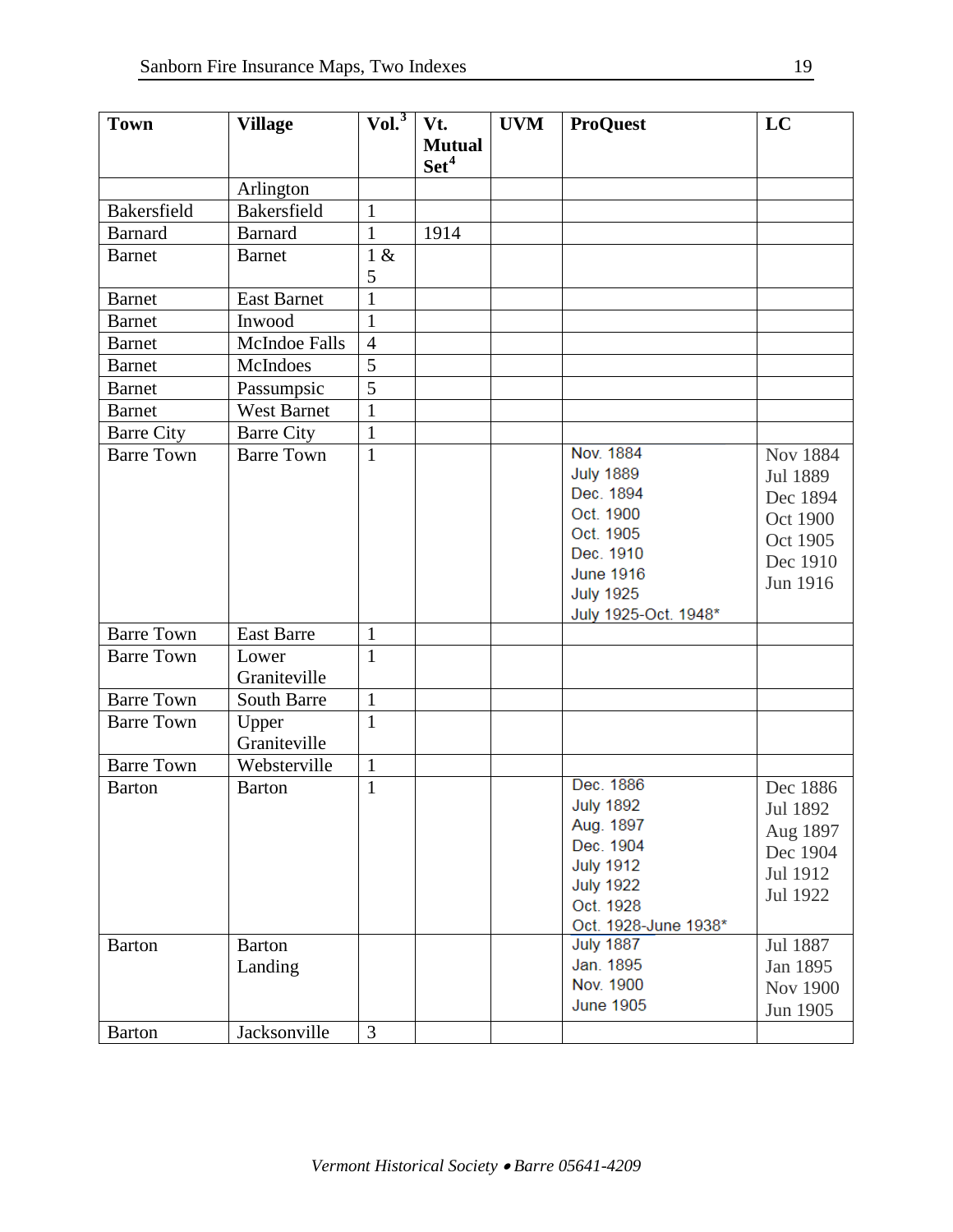| <b>Town</b>        | <b>Village</b>     | Vol. <sup>3</sup> | Vt.              | <b>UVM</b> | <b>ProQuest</b>      | LC              |
|--------------------|--------------------|-------------------|------------------|------------|----------------------|-----------------|
|                    |                    |                   | <b>Mutual</b>    |            |                      |                 |
|                    |                    |                   | Set <sup>4</sup> |            |                      |                 |
|                    | Arlington          |                   |                  |            |                      |                 |
| <b>Bakersfield</b> | <b>Bakersfield</b> | $\mathbf{1}$      |                  |            |                      |                 |
| <b>Barnard</b>     | <b>Barnard</b>     | $\mathbf{1}$      | 1914             |            |                      |                 |
| <b>Barnet</b>      | <b>Barnet</b>      | 1 &               |                  |            |                      |                 |
|                    |                    | 5                 |                  |            |                      |                 |
| <b>Barnet</b>      | <b>East Barnet</b> | $\mathbf{1}$      |                  |            |                      |                 |
| <b>Barnet</b>      | Inwood             | $\mathbf{1}$      |                  |            |                      |                 |
| <b>Barnet</b>      | McIndoe Falls      | $\overline{4}$    |                  |            |                      |                 |
| <b>Barnet</b>      | McIndoes           | $\overline{5}$    |                  |            |                      |                 |
| <b>Barnet</b>      | Passumpsic         | $\overline{5}$    |                  |            |                      |                 |
| <b>Barnet</b>      | <b>West Barnet</b> | $\mathbf{1}$      |                  |            |                      |                 |
| <b>Barre City</b>  | <b>Barre City</b>  | $\mathbf{1}$      |                  |            |                      |                 |
| <b>Barre Town</b>  | <b>Barre Town</b>  | $\mathbf{1}$      |                  |            | Nov. 1884            | <b>Nov 1884</b> |
|                    |                    |                   |                  |            | <b>July 1889</b>     | Jul 1889        |
|                    |                    |                   |                  |            | Dec. 1894            | Dec 1894        |
|                    |                    |                   |                  |            | Oct. 1900            | Oct 1900        |
|                    |                    |                   |                  |            | Oct. 1905            |                 |
|                    |                    |                   |                  |            | Dec. 1910            | Oct 1905        |
|                    |                    |                   |                  |            | <b>June 1916</b>     | Dec 1910        |
|                    |                    |                   |                  |            | <b>July 1925</b>     | Jun 1916        |
|                    |                    |                   |                  |            | July 1925-Oct. 1948* |                 |
| <b>Barre Town</b>  | <b>East Barre</b>  | $\mathbf{1}$      |                  |            |                      |                 |
| <b>Barre Town</b>  | Lower              | $\mathbf{1}$      |                  |            |                      |                 |
|                    | Graniteville       |                   |                  |            |                      |                 |
| <b>Barre Town</b>  | <b>South Barre</b> | $\mathbf{1}$      |                  |            |                      |                 |
| <b>Barre Town</b>  | Upper              | $\mathbf{1}$      |                  |            |                      |                 |
|                    | Graniteville       |                   |                  |            |                      |                 |
| <b>Barre Town</b>  | Websterville       | $\mathbf{1}$      |                  |            |                      |                 |
| <b>Barton</b>      | <b>Barton</b>      | $\mathbf{1}$      |                  |            | Dec. 1886            | Dec 1886        |
|                    |                    |                   |                  |            | <b>July 1892</b>     | Jul 1892        |
|                    |                    |                   |                  |            | Aug. 1897            | Aug 1897        |
|                    |                    |                   |                  |            | Dec. 1904            | Dec 1904        |
|                    |                    |                   |                  |            | <b>July 1912</b>     | Jul 1912        |
|                    |                    |                   |                  |            | <b>July 1922</b>     | Jul 1922        |
|                    |                    |                   |                  |            | Oct. 1928            |                 |
|                    |                    |                   |                  |            | Oct. 1928-June 1938* |                 |
| <b>Barton</b>      | <b>Barton</b>      |                   |                  |            | <b>July 1887</b>     | Jul 1887        |
|                    | Landing            |                   |                  |            | Jan. 1895            | Jan 1895        |
|                    |                    |                   |                  |            | Nov. 1900            | Nov 1900        |
|                    |                    |                   |                  |            | <b>June 1905</b>     | Jun 1905        |
| <b>Barton</b>      | Jacksonville       | $\overline{3}$    |                  |            |                      |                 |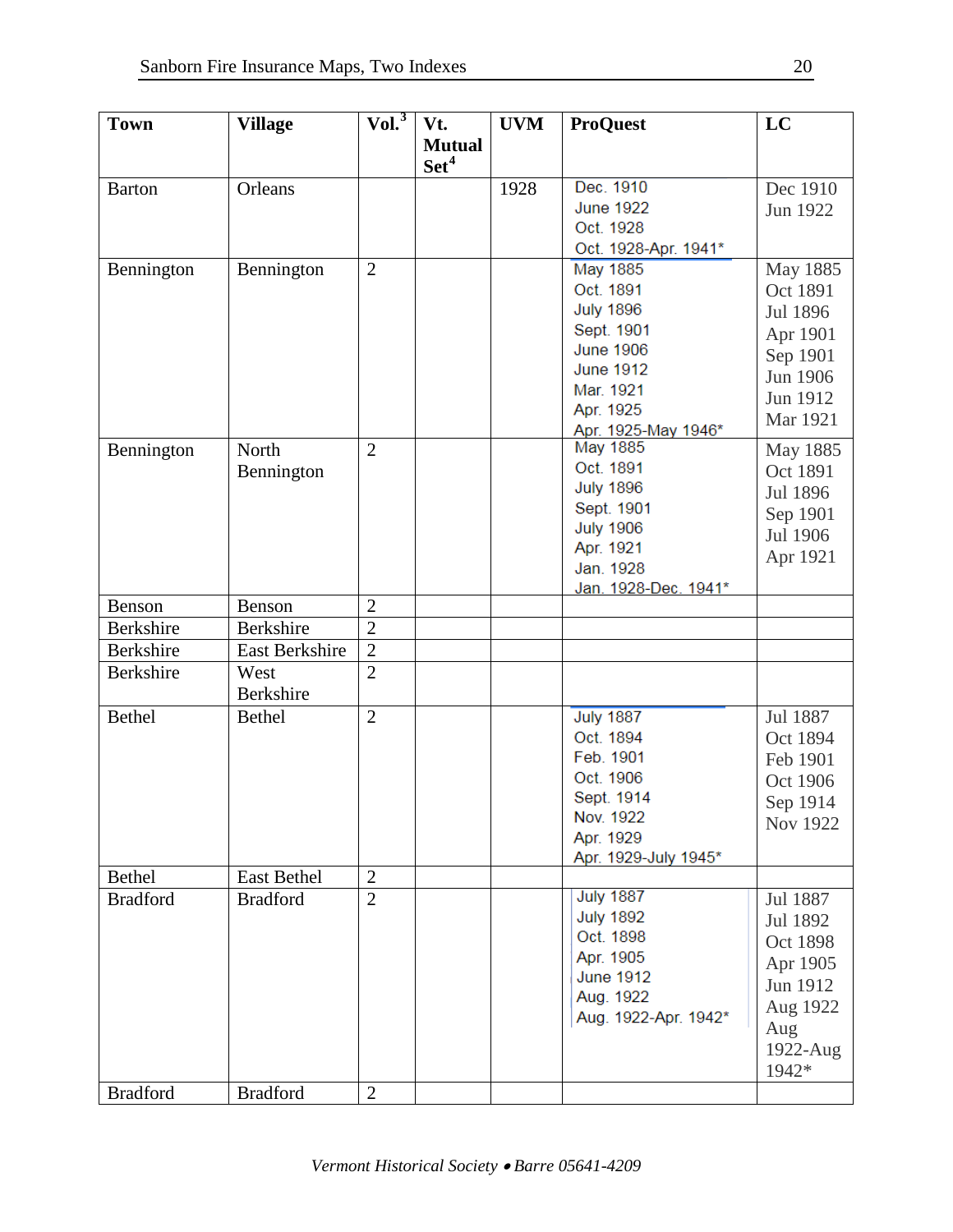| <b>Town</b>     | <b>Village</b>  | $ Vol.^3 $     | Vt.              | <b>UVM</b> | <b>ProQuest</b>      | LC       |
|-----------------|-----------------|----------------|------------------|------------|----------------------|----------|
|                 |                 |                | <b>Mutual</b>    |            |                      |          |
|                 |                 |                | Set <sup>4</sup> |            |                      |          |
| <b>Barton</b>   | Orleans         |                |                  | 1928       | Dec. 1910            | Dec 1910 |
|                 |                 |                |                  |            | <b>June 1922</b>     | Jun 1922 |
|                 |                 |                |                  |            | Oct. 1928            |          |
|                 |                 |                |                  |            | Oct. 1928-Apr. 1941* |          |
| Bennington      | Bennington      | $\overline{2}$ |                  |            | <b>May 1885</b>      | May 1885 |
|                 |                 |                |                  |            | Oct. 1891            | Oct 1891 |
|                 |                 |                |                  |            | <b>July 1896</b>     | Jul 1896 |
|                 |                 |                |                  |            | Sept. 1901           | Apr 1901 |
|                 |                 |                |                  |            | <b>June 1906</b>     | Sep 1901 |
|                 |                 |                |                  |            | <b>June 1912</b>     | Jun 1906 |
|                 |                 |                |                  |            | Mar. 1921            | Jun 1912 |
|                 |                 |                |                  |            | Apr. 1925            |          |
|                 |                 |                |                  |            | Apr. 1925-May 1946*  | Mar 1921 |
| Bennington      | North           | $\overline{2}$ |                  |            | May 1885             | May 1885 |
|                 | Bennington      |                |                  |            | Oct. 1891            | Oct 1891 |
|                 |                 |                |                  |            | <b>July 1896</b>     | Jul 1896 |
|                 |                 |                |                  |            | Sept. 1901           | Sep 1901 |
|                 |                 |                |                  |            | <b>July 1906</b>     | Jul 1906 |
|                 |                 |                |                  |            | Apr. 1921            | Apr 1921 |
|                 |                 |                |                  |            | Jan. 1928            |          |
|                 |                 |                |                  |            | Jan. 1928-Dec. 1941* |          |
| Benson          | Benson          | $\overline{2}$ |                  |            |                      |          |
| Berkshire       | Berkshire       | $\overline{2}$ |                  |            |                      |          |
| Berkshire       | East Berkshire  | $\overline{2}$ |                  |            |                      |          |
| Berkshire       | West            | $\overline{2}$ |                  |            |                      |          |
|                 | Berkshire       |                |                  |            |                      |          |
| <b>Bethel</b>   | <b>Bethel</b>   | $\overline{2}$ |                  |            | <b>July 1887</b>     | Jul 1887 |
|                 |                 |                |                  |            | Oct. 1894            | Oct 1894 |
|                 |                 |                |                  |            | Feb. 1901            | Feb 1901 |
|                 |                 |                |                  |            | Oct. 1906            | Oct 1906 |
|                 |                 |                |                  |            | Sept. 1914           | Sep 1914 |
|                 |                 |                |                  |            | Nov. 1922            | Nov 1922 |
|                 |                 |                |                  |            | Apr. 1929            |          |
|                 |                 |                |                  |            | Apr. 1929-July 1945* |          |
| Bethel          | East Bethel     | $\overline{2}$ |                  |            |                      |          |
| <b>Bradford</b> | <b>Bradford</b> | $\overline{2}$ |                  |            | <b>July 1887</b>     | Jul 1887 |
|                 |                 |                |                  |            | <b>July 1892</b>     | Jul 1892 |
|                 |                 |                |                  |            | Oct. 1898            | Oct 1898 |
|                 |                 |                |                  |            | Apr. 1905            | Apr 1905 |
|                 |                 |                |                  |            | <b>June 1912</b>     | Jun 1912 |
|                 |                 |                |                  |            | Aug. 1922            |          |
|                 |                 |                |                  |            | Aug. 1922-Apr. 1942* | Aug 1922 |
|                 |                 |                |                  |            |                      | Aug      |
|                 |                 |                |                  |            |                      | 1922-Aug |
|                 |                 |                |                  |            |                      | 1942*    |
| <b>Bradford</b> | <b>Bradford</b> | $\overline{2}$ |                  |            |                      |          |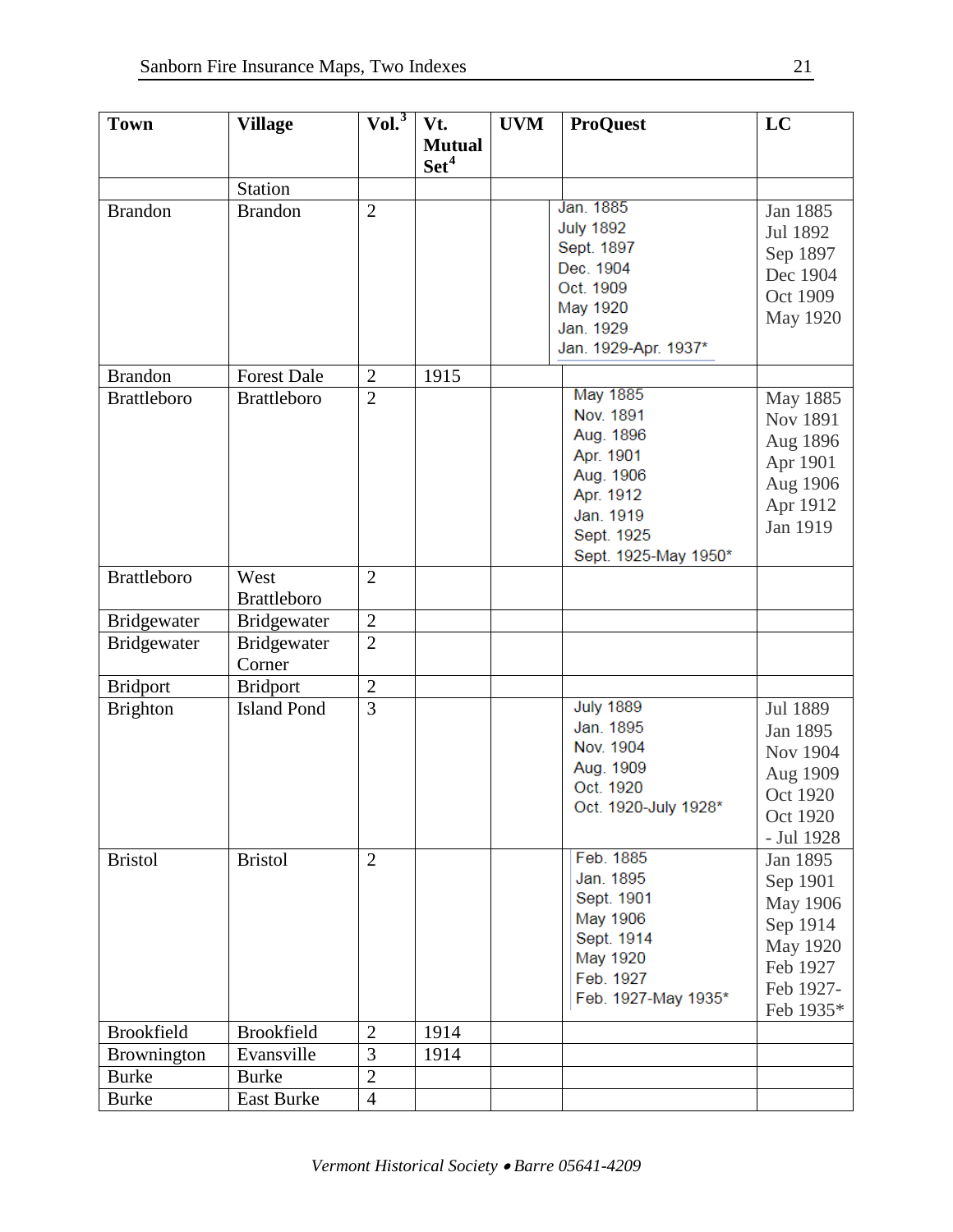| <b>Town</b>        | <b>Village</b>     | Vol. <sup>3</sup> | Vt.              | <b>UVM</b> | <b>ProQuest</b>      | LC         |
|--------------------|--------------------|-------------------|------------------|------------|----------------------|------------|
|                    |                    |                   | <b>Mutual</b>    |            |                      |            |
|                    |                    |                   | Set <sup>4</sup> |            |                      |            |
|                    | <b>Station</b>     |                   |                  |            |                      |            |
| <b>Brandon</b>     | <b>Brandon</b>     | $\overline{2}$    |                  |            | Jan. 1885            | Jan 1885   |
|                    |                    |                   |                  |            | <b>July 1892</b>     | Jul 1892   |
|                    |                    |                   |                  |            | Sept. 1897           | Sep 1897   |
|                    |                    |                   |                  |            | Dec. 1904            | Dec 1904   |
|                    |                    |                   |                  |            | Oct. 1909            | Oct 1909   |
|                    |                    |                   |                  |            | May 1920             | May 1920   |
|                    |                    |                   |                  |            | Jan. 1929            |            |
|                    |                    |                   |                  |            | Jan. 1929-Apr. 1937* |            |
| <b>Brandon</b>     | <b>Forest Dale</b> | $\overline{2}$    | 1915             |            |                      |            |
| <b>Brattleboro</b> | <b>Brattleboro</b> | $\overline{2}$    |                  |            | May 1885             | May 1885   |
|                    |                    |                   |                  |            | Nov. 1891            | Nov 1891   |
|                    |                    |                   |                  |            | Aug. 1896            | Aug 1896   |
|                    |                    |                   |                  |            | Apr. 1901            | Apr 1901   |
|                    |                    |                   |                  |            | Aug. 1906            | Aug 1906   |
|                    |                    |                   |                  |            | Apr. 1912            | Apr 1912   |
|                    |                    |                   |                  |            | Jan. 1919            | Jan 1919   |
|                    |                    |                   |                  |            | Sept. 1925           |            |
|                    |                    |                   |                  |            | Sept. 1925-May 1950* |            |
| <b>Brattleboro</b> | West               | $\overline{2}$    |                  |            |                      |            |
|                    | <b>Brattleboro</b> |                   |                  |            |                      |            |
| Bridgewater        | <b>Bridgewater</b> | $\overline{2}$    |                  |            |                      |            |
| Bridgewater        | Bridgewater        | $\overline{2}$    |                  |            |                      |            |
|                    | Corner             |                   |                  |            |                      |            |
| <b>Bridport</b>    | <b>Bridport</b>    | $\overline{2}$    |                  |            |                      |            |
| <b>Brighton</b>    | <b>Island Pond</b> | $\overline{3}$    |                  |            | <b>July 1889</b>     | Jul 1889   |
|                    |                    |                   |                  |            | Jan. 1895            | Jan 1895   |
|                    |                    |                   |                  |            | Nov. 1904            | Nov 1904   |
|                    |                    |                   |                  |            | Aug. 1909            | Aug 1909   |
|                    |                    |                   |                  |            | Oct. 1920            | Oct 1920   |
|                    |                    |                   |                  |            | Oct. 1920-July 1928* | Oct 1920   |
|                    |                    |                   |                  |            |                      | - Jul 1928 |
| <b>Bristol</b>     | <b>Bristol</b>     | $\overline{2}$    |                  |            | Feb. 1885            | Jan 1895   |
|                    |                    |                   |                  |            | Jan. 1895            | Sep 1901   |
|                    |                    |                   |                  |            | Sept. 1901           | May 1906   |
|                    |                    |                   |                  |            | May 1906             | Sep 1914   |
|                    |                    |                   |                  |            | Sept. 1914           | May 1920   |
|                    |                    |                   |                  |            | May 1920             | Feb 1927   |
|                    |                    |                   |                  |            | Feb. 1927            | Feb 1927-  |
|                    |                    |                   |                  |            | Feb. 1927-May 1935*  | Feb 1935*  |
| <b>Brookfield</b>  | <b>Brookfield</b>  | $\overline{2}$    | 1914             |            |                      |            |
|                    |                    | 3                 |                  |            |                      |            |
| Brownington        | Evansville         |                   | 1914             |            |                      |            |
| <b>Burke</b>       | <b>Burke</b>       | $\overline{2}$    |                  |            |                      |            |
| <b>Burke</b>       | East Burke         | $\overline{4}$    |                  |            |                      |            |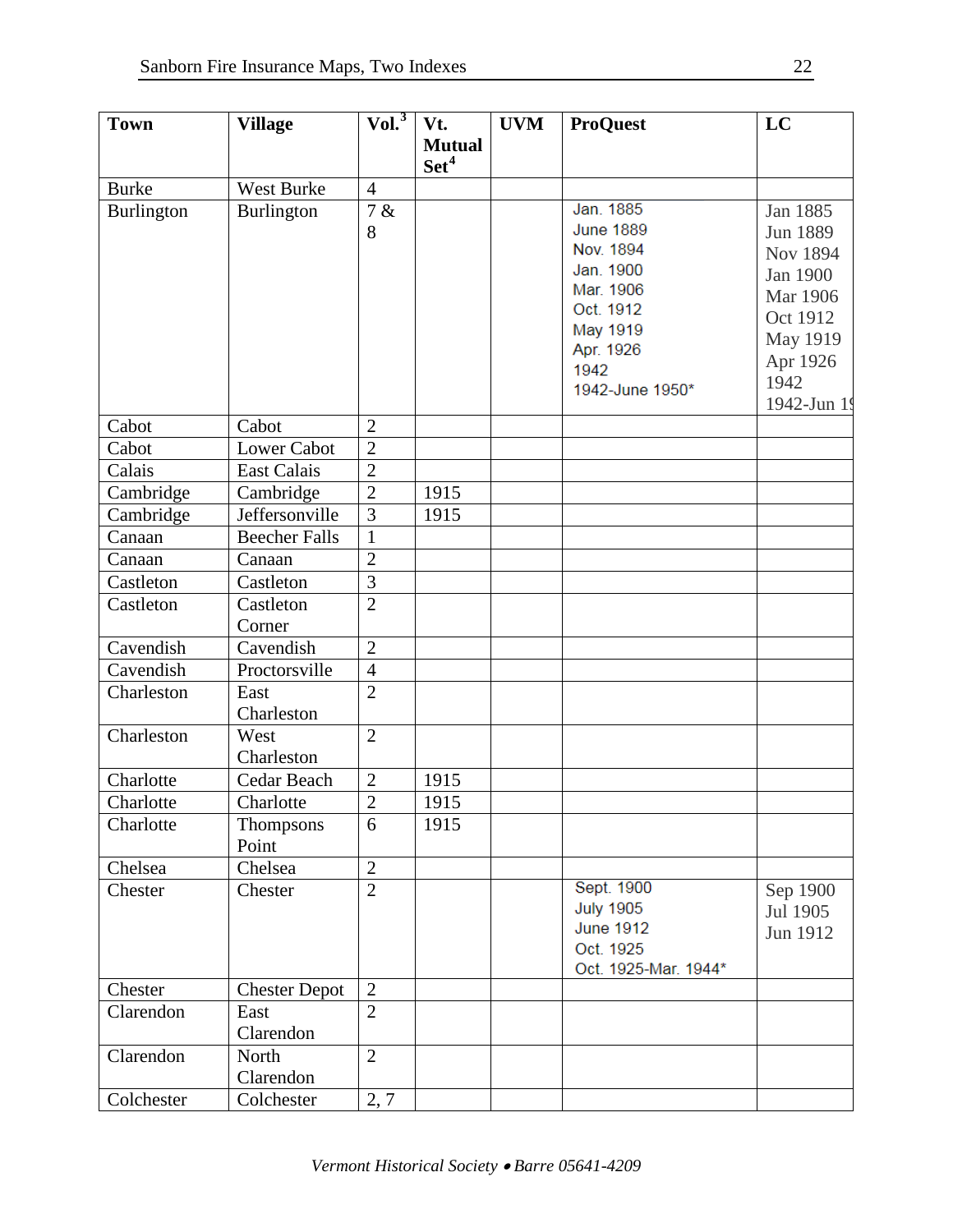| <b>Town</b>       | <b>Village</b>       | Vol. <sup>3</sup>           | Vt.              | <b>UVM</b> | <b>ProQuest</b>       | LC              |
|-------------------|----------------------|-----------------------------|------------------|------------|-----------------------|-----------------|
|                   |                      |                             | <b>Mutual</b>    |            |                       |                 |
|                   |                      |                             | Set <sup>4</sup> |            |                       |                 |
| <b>Burke</b>      | <b>West Burke</b>    | $\overline{4}$              |                  |            |                       |                 |
| <b>Burlington</b> | Burlington           | 7 &                         |                  |            | Jan. 1885             | Jan 1885        |
|                   |                      | 8                           |                  |            | <b>June 1889</b>      | Jun 1889        |
|                   |                      |                             |                  |            | Nov. 1894             | <b>Nov 1894</b> |
|                   |                      |                             |                  |            | Jan. 1900             | Jan 1900        |
|                   |                      |                             |                  |            | Mar. 1906             | Mar 1906        |
|                   |                      |                             |                  |            | Oct. 1912             | Oct 1912        |
|                   |                      |                             |                  |            | May 1919<br>Apr. 1926 | May 1919        |
|                   |                      |                             |                  |            | 1942                  | Apr 1926        |
|                   |                      |                             |                  |            | 1942-June 1950*       | 1942            |
|                   |                      |                             |                  |            |                       | 1942-Jun 19     |
| Cabot             | Cabot                | $\overline{2}$              |                  |            |                       |                 |
| Cabot             | <b>Lower Cabot</b>   | $\overline{2}$              |                  |            |                       |                 |
| Calais            | <b>East Calais</b>   | $\overline{2}$              |                  |            |                       |                 |
| Cambridge         | Cambridge            | $\overline{2}$              | 1915             |            |                       |                 |
| Cambridge         | Jeffersonville       | 3                           | 1915             |            |                       |                 |
| Canaan            | <b>Beecher Falls</b> | $\mathbf{1}$                |                  |            |                       |                 |
| Canaan            | Canaan               | $\overline{2}$              |                  |            |                       |                 |
| Castleton         | Castleton            | $\overline{3}$              |                  |            |                       |                 |
| Castleton         | Castleton            | $\overline{2}$              |                  |            |                       |                 |
| Cavendish         | Corner<br>Cavendish  | $\overline{2}$              |                  |            |                       |                 |
| Cavendish         | Proctorsville        | $\overline{4}$              |                  |            |                       |                 |
| Charleston        | East                 | $\overline{2}$              |                  |            |                       |                 |
|                   | Charleston           |                             |                  |            |                       |                 |
| Charleston        | West                 | $\overline{2}$              |                  |            |                       |                 |
|                   | Charleston           |                             |                  |            |                       |                 |
| Charlotte         | Cedar Beach          | $\overline{2}$              | 1915             |            |                       |                 |
| Charlotte         | Charlotte            | $\mathcal{D}_{\mathcal{L}}$ | 1915             |            |                       |                 |
| Charlotte         | Thompsons            | 6                           | 1915             |            |                       |                 |
|                   | Point                |                             |                  |            |                       |                 |
| Chelsea           | Chelsea              | $\overline{2}$              |                  |            |                       |                 |
| Chester           | Chester              | $\overline{2}$              |                  |            | Sept. 1900            | Sep 1900        |
|                   |                      |                             |                  |            | <b>July 1905</b>      | Jul 1905        |
|                   |                      |                             |                  |            | <b>June 1912</b>      | Jun 1912        |
|                   |                      |                             |                  |            | Oct. 1925             |                 |
| Chester           | <b>Chester Depot</b> | $\mathbf{2}$                |                  |            | Oct. 1925-Mar. 1944*  |                 |
| Clarendon         | East                 | $\overline{2}$              |                  |            |                       |                 |
|                   | Clarendon            |                             |                  |            |                       |                 |
| Clarendon         | North                | $\overline{2}$              |                  |            |                       |                 |
|                   | Clarendon            |                             |                  |            |                       |                 |
| Colchester        | Colchester           | 2, 7                        |                  |            |                       |                 |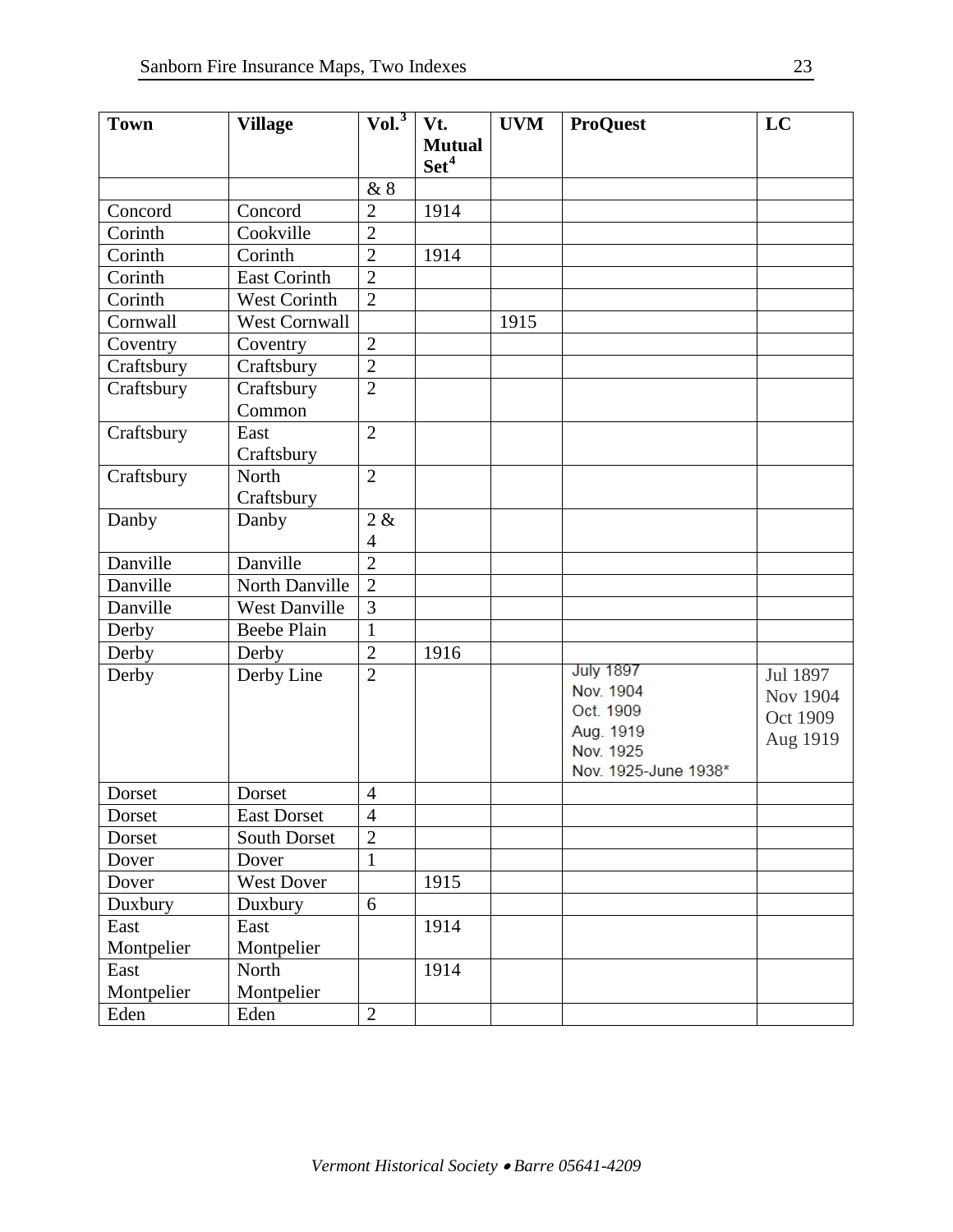| <b>Town</b> | <b>Village</b>       | Vol. <sup>3</sup> | Vt.              | <b>UVM</b> | <b>ProQuest</b>      | LC       |
|-------------|----------------------|-------------------|------------------|------------|----------------------|----------|
|             |                      |                   | <b>Mutual</b>    |            |                      |          |
|             |                      |                   | Set <sup>4</sup> |            |                      |          |
|             |                      | &8                |                  |            |                      |          |
| Concord     | Concord              | $\overline{2}$    | 1914             |            |                      |          |
| Corinth     | Cookville            | $\overline{2}$    |                  |            |                      |          |
| Corinth     | Corinth              | $\overline{2}$    | 1914             |            |                      |          |
| Corinth     | <b>East Corinth</b>  | $\overline{2}$    |                  |            |                      |          |
| Corinth     | <b>West Corinth</b>  | $\overline{2}$    |                  |            |                      |          |
| Cornwall    | <b>West Cornwall</b> |                   |                  | 1915       |                      |          |
| Coventry    | Coventry             | $\overline{2}$    |                  |            |                      |          |
| Craftsbury  | Craftsbury           | $\overline{2}$    |                  |            |                      |          |
| Craftsbury  | Craftsbury           | $\overline{2}$    |                  |            |                      |          |
|             | Common               |                   |                  |            |                      |          |
| Craftsbury  | East                 | $\overline{2}$    |                  |            |                      |          |
|             | Craftsbury           |                   |                  |            |                      |          |
| Craftsbury  | North                | $\overline{2}$    |                  |            |                      |          |
|             | Craftsbury           |                   |                  |            |                      |          |
| Danby       | Danby                | 2 &               |                  |            |                      |          |
|             |                      | $\overline{4}$    |                  |            |                      |          |
| Danville    | Danville             | $\overline{2}$    |                  |            |                      |          |
| Danville    | North Danville       | $\overline{2}$    |                  |            |                      |          |
| Danville    | <b>West Danville</b> | 3                 |                  |            |                      |          |
| Derby       | <b>Beebe Plain</b>   | $\mathbf{1}$      |                  |            |                      |          |
| Derby       | Derby                | $\overline{2}$    | 1916             |            |                      |          |
| Derby       | Derby Line           | $\overline{2}$    |                  |            | <b>July 1897</b>     | Jul 1897 |
|             |                      |                   |                  |            | Nov. 1904            | Nov 1904 |
|             |                      |                   |                  |            | Oct. 1909            | Oct 1909 |
|             |                      |                   |                  |            | Aug. 1919            | Aug 1919 |
|             |                      |                   |                  |            | Nov. 1925            |          |
|             |                      |                   |                  |            | Nov. 1925-June 1938* |          |
| Dorset      | Dorset               | $\overline{4}$    |                  |            |                      |          |
| Dorset      | East Dorset          | 4                 |                  |            |                      |          |
| Dorset      | South Dorset         | $\overline{2}$    |                  |            |                      |          |
| Dover       | Dover                | $\mathbf{1}$      |                  |            |                      |          |
| Dover       | West Dover           |                   | 1915             |            |                      |          |
| Duxbury     | Duxbury              | 6                 |                  |            |                      |          |
| East        | East                 |                   | 1914             |            |                      |          |
| Montpelier  | Montpelier           |                   |                  |            |                      |          |
| East        | North                |                   | 1914             |            |                      |          |
| Montpelier  | Montpelier           |                   |                  |            |                      |          |
| Eden        | Eden                 | $\overline{2}$    |                  |            |                      |          |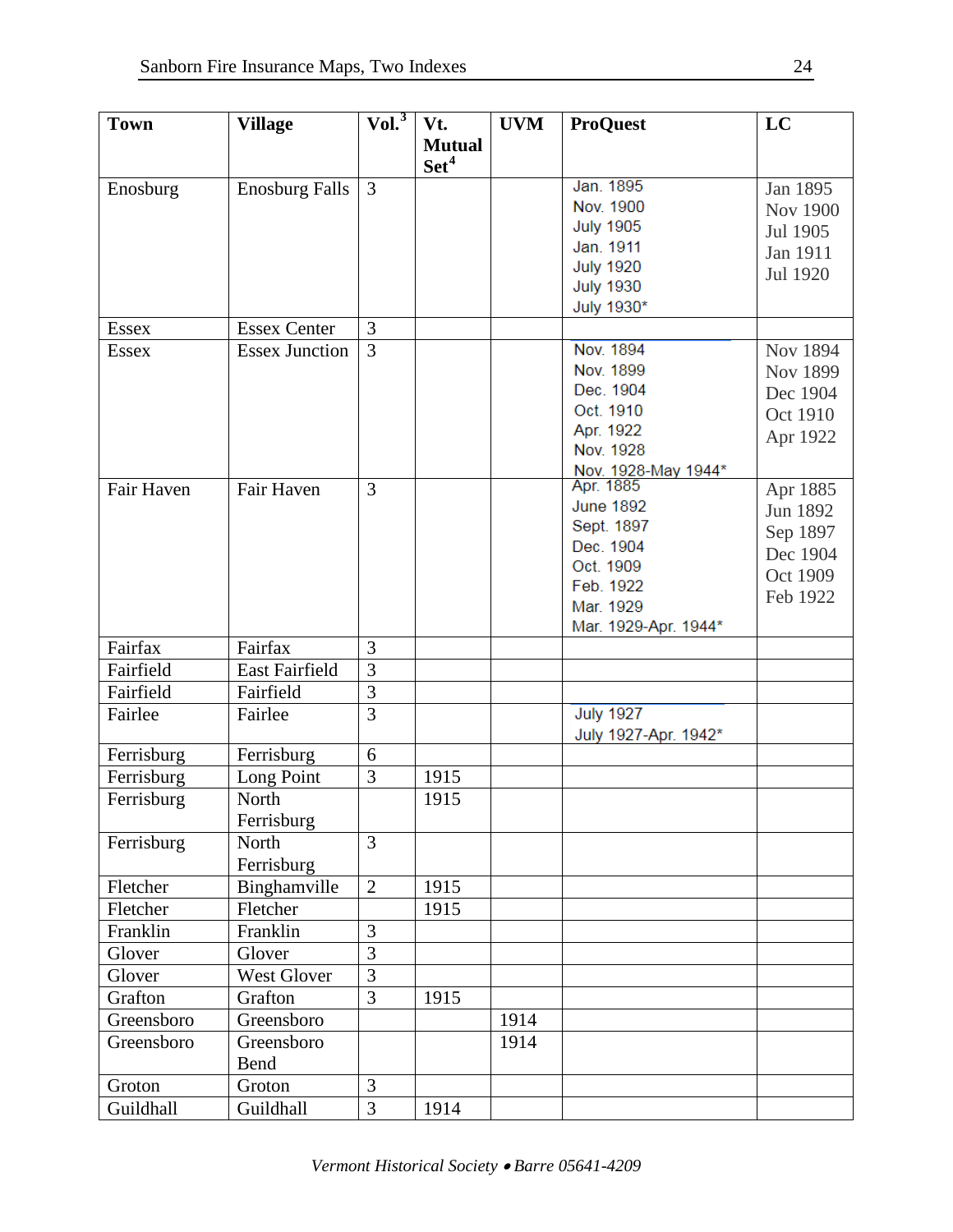| <b>Town</b>  | <b>Village</b>        | Vol. <sup>3</sup> | Vt.              | <b>UVM</b> | <b>ProQuest</b>      | LC              |
|--------------|-----------------------|-------------------|------------------|------------|----------------------|-----------------|
|              |                       |                   | <b>Mutual</b>    |            |                      |                 |
|              |                       |                   | Set <sup>4</sup> |            |                      |                 |
| Enosburg     | <b>Enosburg Falls</b> | $\overline{3}$    |                  |            | Jan. 1895            | Jan 1895        |
|              |                       |                   |                  |            | Nov. 1900            | <b>Nov 1900</b> |
|              |                       |                   |                  |            | <b>July 1905</b>     |                 |
|              |                       |                   |                  |            | Jan. 1911            | Jul 1905        |
|              |                       |                   |                  |            | <b>July 1920</b>     | Jan 1911        |
|              |                       |                   |                  |            | <b>July 1930</b>     | Jul 1920        |
|              |                       |                   |                  |            | July 1930*           |                 |
| <b>Essex</b> | <b>Essex Center</b>   | 3                 |                  |            |                      |                 |
| <b>Essex</b> | <b>Essex Junction</b> | $\overline{3}$    |                  |            | Nov. 1894            | Nov 1894        |
|              |                       |                   |                  |            | Nov. 1899            | Nov 1899        |
|              |                       |                   |                  |            | Dec. 1904            | Dec 1904        |
|              |                       |                   |                  |            | Oct. 1910            | Oct 1910        |
|              |                       |                   |                  |            | Apr. 1922            |                 |
|              |                       |                   |                  |            | Nov. 1928            | Apr 1922        |
|              |                       |                   |                  |            | Nov. 1928-May 1944*  |                 |
| Fair Haven   | Fair Haven            | $\overline{3}$    |                  |            | Apr. 1885            | Apr 1885        |
|              |                       |                   |                  |            | <b>June 1892</b>     | Jun 1892        |
|              |                       |                   |                  |            | Sept. 1897           | Sep 1897        |
|              |                       |                   |                  |            | Dec. 1904            | Dec 1904        |
|              |                       |                   |                  |            | Oct. 1909            | Oct 1909        |
|              |                       |                   |                  |            | Feb. 1922            | Feb 1922        |
|              |                       |                   |                  |            | Mar. 1929            |                 |
|              |                       |                   |                  |            | Mar. 1929-Apr. 1944* |                 |
| Fairfax      | Fairfax               | 3                 |                  |            |                      |                 |
| Fairfield    | <b>East Fairfield</b> | $\overline{3}$    |                  |            |                      |                 |
| Fairfield    | Fairfield             | $\overline{3}$    |                  |            |                      |                 |
| Fairlee      | Fairlee               | $\overline{3}$    |                  |            | <b>July 1927</b>     |                 |
|              |                       |                   |                  |            | July 1927-Apr. 1942* |                 |
| Ferrisburg   | Ferrisburg            | 6                 |                  |            |                      |                 |
| Ferrisburg   | Long Point            | 3                 | 1915             |            |                      |                 |
| Ferrisburg   | North                 |                   | 1915             |            |                      |                 |
|              | Ferrisburg            |                   |                  |            |                      |                 |
| Ferrisburg   | North                 | 3                 |                  |            |                      |                 |
|              | Ferrisburg            |                   |                  |            |                      |                 |
| Fletcher     | Binghamville          | $\overline{2}$    | 1915             |            |                      |                 |
| Fletcher     | Fletcher              |                   | 1915             |            |                      |                 |
| Franklin     | Franklin              | $\overline{3}$    |                  |            |                      |                 |
| Glover       | Glover                | $\overline{3}$    |                  |            |                      |                 |
| Glover       | West Glover           | $\overline{3}$    |                  |            |                      |                 |
| Grafton      | Grafton               | $\overline{3}$    | 1915             |            |                      |                 |
| Greensboro   | Greensboro            |                   |                  | 1914       |                      |                 |
| Greensboro   | Greensboro            |                   |                  | 1914       |                      |                 |
|              |                       |                   |                  |            |                      |                 |
|              | Bend                  |                   |                  |            |                      |                 |
| Groton       | Groton                | 3                 |                  |            |                      |                 |
| Guildhall    | Guildhall             | $\overline{3}$    | 1914             |            |                      |                 |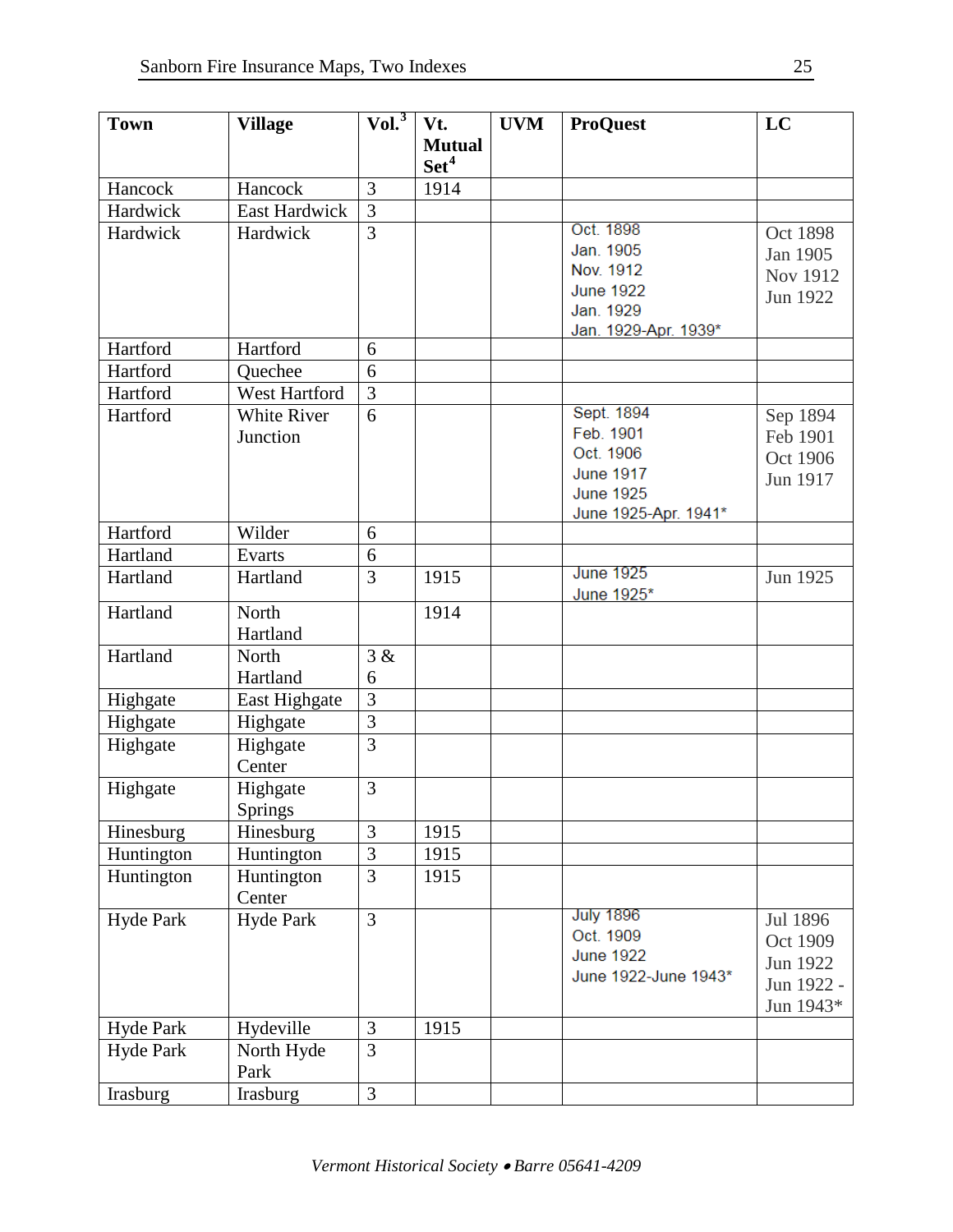| <b>Town</b>      | <b>Village</b>       | $ Vol.^3 $     | Vt.              | <b>UVM</b> | <b>ProQuest</b>                | LC         |
|------------------|----------------------|----------------|------------------|------------|--------------------------------|------------|
|                  |                      |                | <b>Mutual</b>    |            |                                |            |
|                  |                      |                | Set <sup>4</sup> |            |                                |            |
| Hancock          | Hancock              | 3              | 1914             |            |                                |            |
| Hardwick         | <b>East Hardwick</b> | $\overline{3}$ |                  |            |                                |            |
| Hardwick         | Hardwick             | $\overline{3}$ |                  |            | Oct. 1898                      | Oct 1898   |
|                  |                      |                |                  |            | Jan. 1905                      | Jan 1905   |
|                  |                      |                |                  |            | Nov. 1912                      | Nov 1912   |
|                  |                      |                |                  |            | <b>June 1922</b>               | Jun 1922   |
|                  |                      |                |                  |            | Jan. 1929                      |            |
|                  |                      |                |                  |            | Jan. 1929-Apr. 1939*           |            |
| Hartford         | Hartford             | 6              |                  |            |                                |            |
| Hartford         | Quechee              | 6              |                  |            |                                |            |
| Hartford         | West Hartford        | $\overline{3}$ |                  |            |                                |            |
| Hartford         | <b>White River</b>   | 6              |                  |            | Sept. 1894                     | Sep 1894   |
|                  | Junction             |                |                  |            | Feb. 1901                      | Feb 1901   |
|                  |                      |                |                  |            | Oct. 1906                      | Oct 1906   |
|                  |                      |                |                  |            | <b>June 1917</b>               | Jun 1917   |
|                  |                      |                |                  |            | <b>June 1925</b>               |            |
|                  |                      |                |                  |            | June 1925-Apr. 1941*           |            |
| Hartford         | Wilder               | 6              |                  |            |                                |            |
| Hartland         | Evarts               | 6              |                  |            |                                |            |
| Hartland         | Hartland             | $\overline{3}$ | 1915             |            | <b>June 1925</b><br>June 1925* | Jun 1925   |
| Hartland         | North                |                | 1914             |            |                                |            |
|                  | Hartland             |                |                  |            |                                |            |
| Hartland         | North                | 3 &            |                  |            |                                |            |
|                  | Hartland             | 6              |                  |            |                                |            |
| Highgate         | East Highgate        | 3              |                  |            |                                |            |
| Highgate         | Highgate             | $\overline{3}$ |                  |            |                                |            |
| Highgate         | Highgate             | 3              |                  |            |                                |            |
|                  | Center               |                |                  |            |                                |            |
| Highgate         | Highgate             | 3              |                  |            |                                |            |
|                  | Springs              |                |                  |            |                                |            |
| Hinesburg        | Hinesburg            | 3              | 1915             |            |                                |            |
| Huntington       | Huntington           | 3              | 1915             |            |                                |            |
| Huntington       | Huntington           | 3              | 1915             |            |                                |            |
|                  | Center               |                |                  |            |                                |            |
| <b>Hyde Park</b> | <b>Hyde Park</b>     | $\overline{3}$ |                  |            | <b>July 1896</b>               | Jul 1896   |
|                  |                      |                |                  |            | Oct. 1909                      | Oct 1909   |
|                  |                      |                |                  |            | <b>June 1922</b>               | Jun 1922   |
|                  |                      |                |                  |            | June 1922-June 1943*           | Jun 1922 - |
|                  |                      |                |                  |            |                                | Jun 1943*  |
| Hyde Park        | Hydeville            | 3              | 1915             |            |                                |            |
| <b>Hyde Park</b> | North Hyde           | $\overline{3}$ |                  |            |                                |            |
|                  | Park                 |                |                  |            |                                |            |
| Irasburg         | Irasburg             | 3              |                  |            |                                |            |
|                  |                      |                |                  |            |                                |            |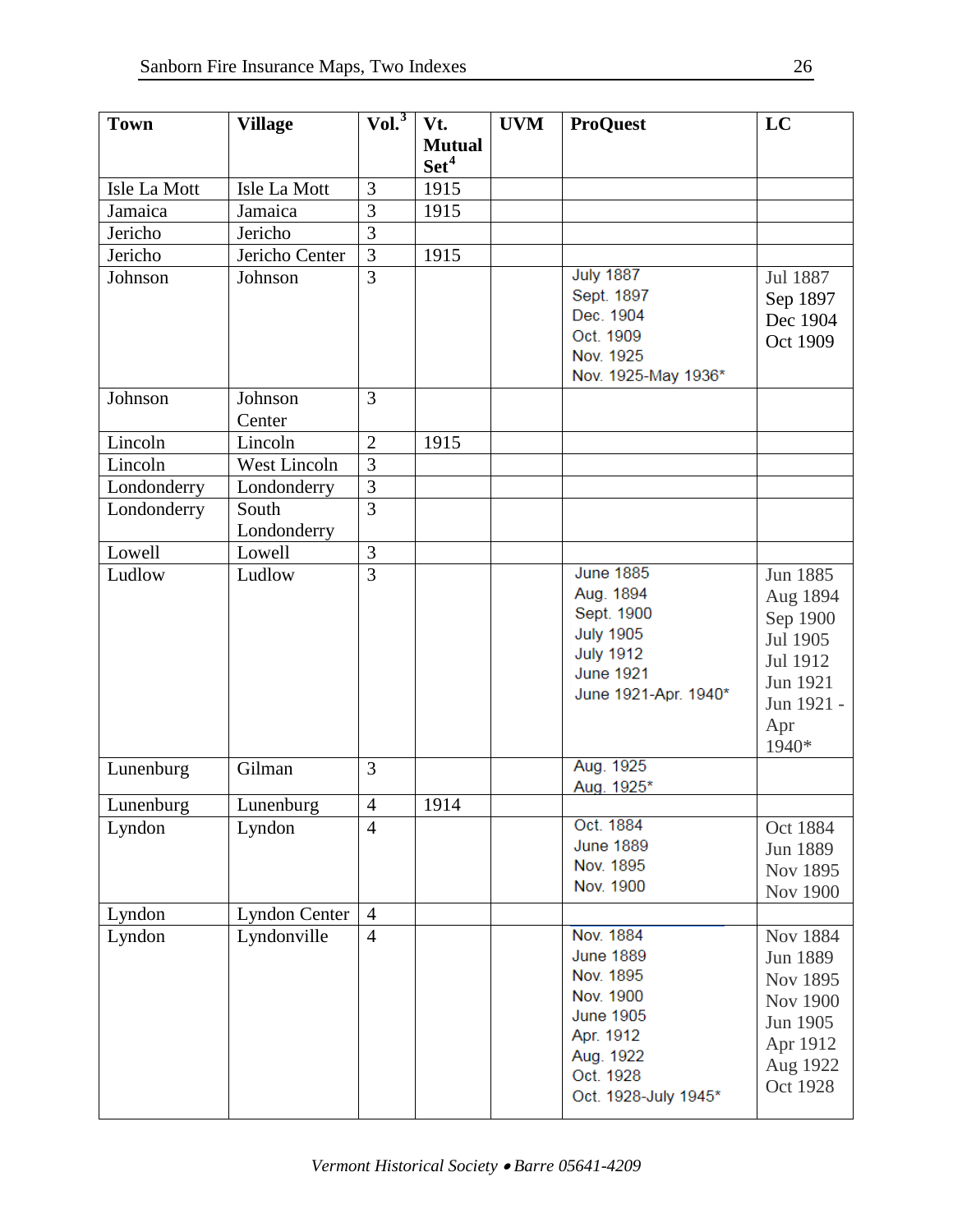| <b>Town</b>      | <b>Village</b>       | Vol. <sup>3</sup> | Vt.              | <b>UVM</b> | <b>ProQuest</b>                      | LC                   |
|------------------|----------------------|-------------------|------------------|------------|--------------------------------------|----------------------|
|                  |                      |                   | <b>Mutual</b>    |            |                                      |                      |
|                  |                      |                   | Set <sup>4</sup> |            |                                      |                      |
| Isle La Mott     | Isle La Mott         | 3                 | 1915             |            |                                      |                      |
| Jamaica          | Jamaica              | 3                 | 1915             |            |                                      |                      |
| Jericho          | Jericho              | $\overline{3}$    |                  |            |                                      |                      |
| Jericho          | Jericho Center       | $\overline{3}$    | 1915             |            |                                      |                      |
| Johnson          | Johnson              | $\overline{3}$    |                  |            | <b>July 1887</b>                     | Jul 1887             |
|                  |                      |                   |                  |            | Sept. 1897                           | Sep 1897             |
|                  |                      |                   |                  |            | Dec. 1904                            | Dec 1904             |
|                  |                      |                   |                  |            | Oct. 1909<br>Nov. 1925               | Oct 1909             |
|                  |                      |                   |                  |            | Nov. 1925-May 1936*                  |                      |
| Johnson          | Johnson              | 3                 |                  |            |                                      |                      |
|                  | Center               |                   |                  |            |                                      |                      |
| Lincoln          | Lincoln              | $\overline{2}$    | 1915             |            |                                      |                      |
| Lincoln          | West Lincoln         | $\overline{3}$    |                  |            |                                      |                      |
|                  |                      | $\overline{3}$    |                  |            |                                      |                      |
| Londonderry      | Londonderry<br>South | 3                 |                  |            |                                      |                      |
| Londonderry      | Londonderry          |                   |                  |            |                                      |                      |
| Lowell           | Lowell               | 3                 |                  |            |                                      |                      |
| Ludlow           | Ludlow               | $\overline{3}$    |                  |            | <b>June 1885</b>                     | Jun 1885             |
|                  |                      |                   |                  |            | Aug. 1894                            | Aug 1894             |
|                  |                      |                   |                  |            | Sept. 1900                           | Sep 1900             |
|                  |                      |                   |                  |            | <b>July 1905</b>                     | Jul 1905             |
|                  |                      |                   |                  |            | <b>July 1912</b><br><b>June 1921</b> | Jul 1912             |
|                  |                      |                   |                  |            | June 1921-Apr. 1940*                 | Jun 1921             |
|                  |                      |                   |                  |            |                                      | Jun 1921 -           |
|                  |                      |                   |                  |            |                                      | Apr                  |
|                  |                      |                   |                  |            |                                      | 1940*                |
| Lunenburg        | Gilman               | 3                 |                  |            | Aug. 1925                            |                      |
|                  |                      | $\overline{4}$    | 1914             |            | Aug. 1925*                           |                      |
| Lunenburg        | Lunenburg            | $\overline{4}$    |                  |            | Oct. 1884                            |                      |
| Lyndon           | Lyndon               |                   |                  |            | <b>June 1889</b>                     | Oct 1884<br>Jun 1889 |
|                  |                      |                   |                  |            | Nov. 1895                            |                      |
|                  |                      |                   |                  |            | Nov. 1900                            | Nov 1895<br>Nov 1900 |
|                  | <b>Lyndon Center</b> | $\overline{4}$    |                  |            |                                      |                      |
| Lyndon<br>Lyndon | Lyndonville          | $\overline{4}$    |                  |            | Nov. 1884                            | Nov 1884             |
|                  |                      |                   |                  |            | <b>June 1889</b>                     | Jun 1889             |
|                  |                      |                   |                  |            | Nov. 1895                            |                      |
|                  |                      |                   |                  |            | Nov. 1900                            | Nov 1895             |
|                  |                      |                   |                  |            | <b>June 1905</b>                     | <b>Nov 1900</b>      |
|                  |                      |                   |                  |            | Apr. 1912                            | Jun 1905             |
|                  |                      |                   |                  |            | Aug. 1922                            | Apr 1912             |
|                  |                      |                   |                  |            | Oct. 1928                            | Aug 1922             |
|                  |                      |                   |                  |            | Oct. 1928-July 1945*                 | Oct 1928             |
|                  |                      |                   |                  |            |                                      |                      |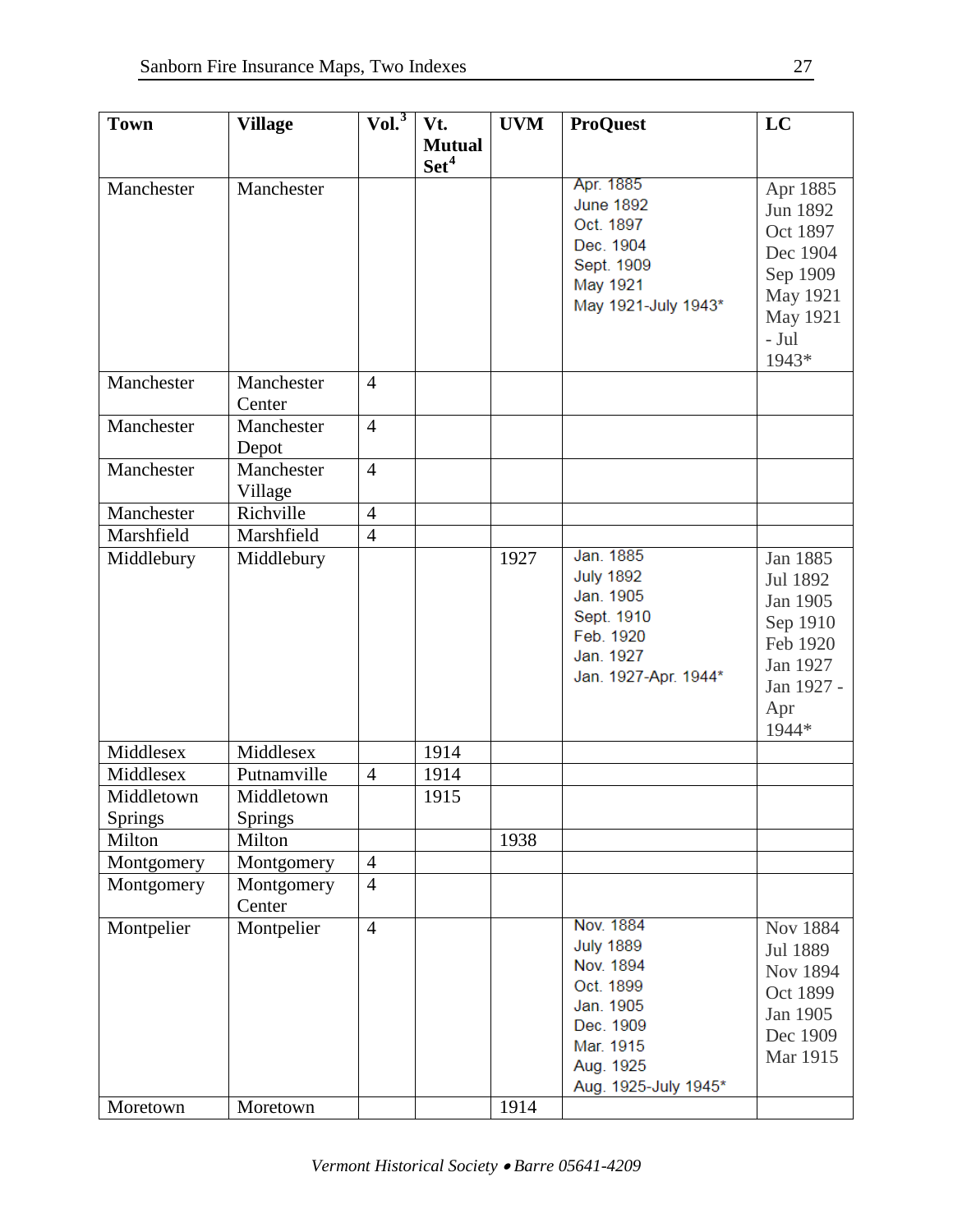| <b>Town</b>    | <b>Village</b>       | Vol. <sup>3</sup>                | Vt.              | <b>UVM</b> | <b>ProQuest</b>         | LC         |
|----------------|----------------------|----------------------------------|------------------|------------|-------------------------|------------|
|                |                      |                                  | <b>Mutual</b>    |            |                         |            |
|                |                      |                                  | Set <sup>4</sup> |            |                         |            |
| Manchester     | Manchester           |                                  |                  |            | Apr. 1885               | Apr 1885   |
|                |                      |                                  |                  |            | <b>June 1892</b>        | Jun 1892   |
|                |                      |                                  |                  |            | Oct. 1897               | Oct 1897   |
|                |                      |                                  |                  |            | Dec. 1904               | Dec 1904   |
|                |                      |                                  |                  |            | Sept. 1909<br>May 1921  | Sep 1909   |
|                |                      |                                  |                  |            | May 1921-July 1943*     | May 1921   |
|                |                      |                                  |                  |            |                         | May 1921   |
|                |                      |                                  |                  |            |                         | $-Jul$     |
|                |                      |                                  |                  |            |                         | 1943*      |
| Manchester     | Manchester           | $\overline{4}$                   |                  |            |                         |            |
|                | Center               |                                  |                  |            |                         |            |
| Manchester     | Manchester           | $\overline{4}$                   |                  |            |                         |            |
|                | Depot                |                                  |                  |            |                         |            |
| Manchester     | Manchester           | $\overline{4}$                   |                  |            |                         |            |
|                | Village              |                                  |                  |            |                         |            |
| Manchester     | Richville            | $\overline{4}$                   |                  |            |                         |            |
| Marshfield     | Marshfield           | $\overline{4}$                   |                  |            |                         |            |
| Middlebury     | Middlebury           |                                  |                  | 1927       | Jan. 1885               | Jan 1885   |
|                |                      |                                  |                  |            | <b>July 1892</b>        | Jul 1892   |
|                |                      |                                  |                  |            | Jan. 1905               | Jan 1905   |
|                |                      |                                  |                  |            | Sept. 1910<br>Feb. 1920 | Sep 1910   |
|                |                      |                                  |                  |            | Jan. 1927               | Feb 1920   |
|                |                      |                                  |                  |            | Jan. 1927-Apr. 1944*    | Jan 1927   |
|                |                      |                                  |                  |            |                         | Jan 1927 - |
|                |                      |                                  |                  |            |                         | Apr        |
|                |                      |                                  |                  |            |                         | 1944*      |
| Middlesex      | Middlesex            |                                  | 1914             |            |                         |            |
| Middlesex      | Putnamville          | $\overline{4}$                   | 1914             |            |                         |            |
| Middletown     | Middletown           |                                  | 1915             |            |                         |            |
| <b>Springs</b> | Springs              |                                  |                  |            |                         |            |
| Milton         | Milton               |                                  |                  | 1938       |                         |            |
| Montgomery     | Montgomery           | $\overline{4}$<br>$\overline{4}$ |                  |            |                         |            |
| Montgomery     | Montgomery<br>Center |                                  |                  |            |                         |            |
| Montpelier     | Montpelier           | $\overline{4}$                   |                  |            | Nov. 1884               | Nov 1884   |
|                |                      |                                  |                  |            | <b>July 1889</b>        | Jul 1889   |
|                |                      |                                  |                  |            | Nov. 1894               | Nov 1894   |
|                |                      |                                  |                  |            | Oct. 1899               | Oct 1899   |
|                |                      |                                  |                  |            | Jan. 1905               | Jan 1905   |
|                |                      |                                  |                  |            | Dec. 1909               | Dec 1909   |
|                |                      |                                  |                  |            | Mar. 1915               | Mar 1915   |
|                |                      |                                  |                  |            | Aug. 1925               |            |
|                |                      |                                  |                  |            | Aug. 1925-July 1945*    |            |
| Moretown       | Moretown             |                                  |                  | 1914       |                         |            |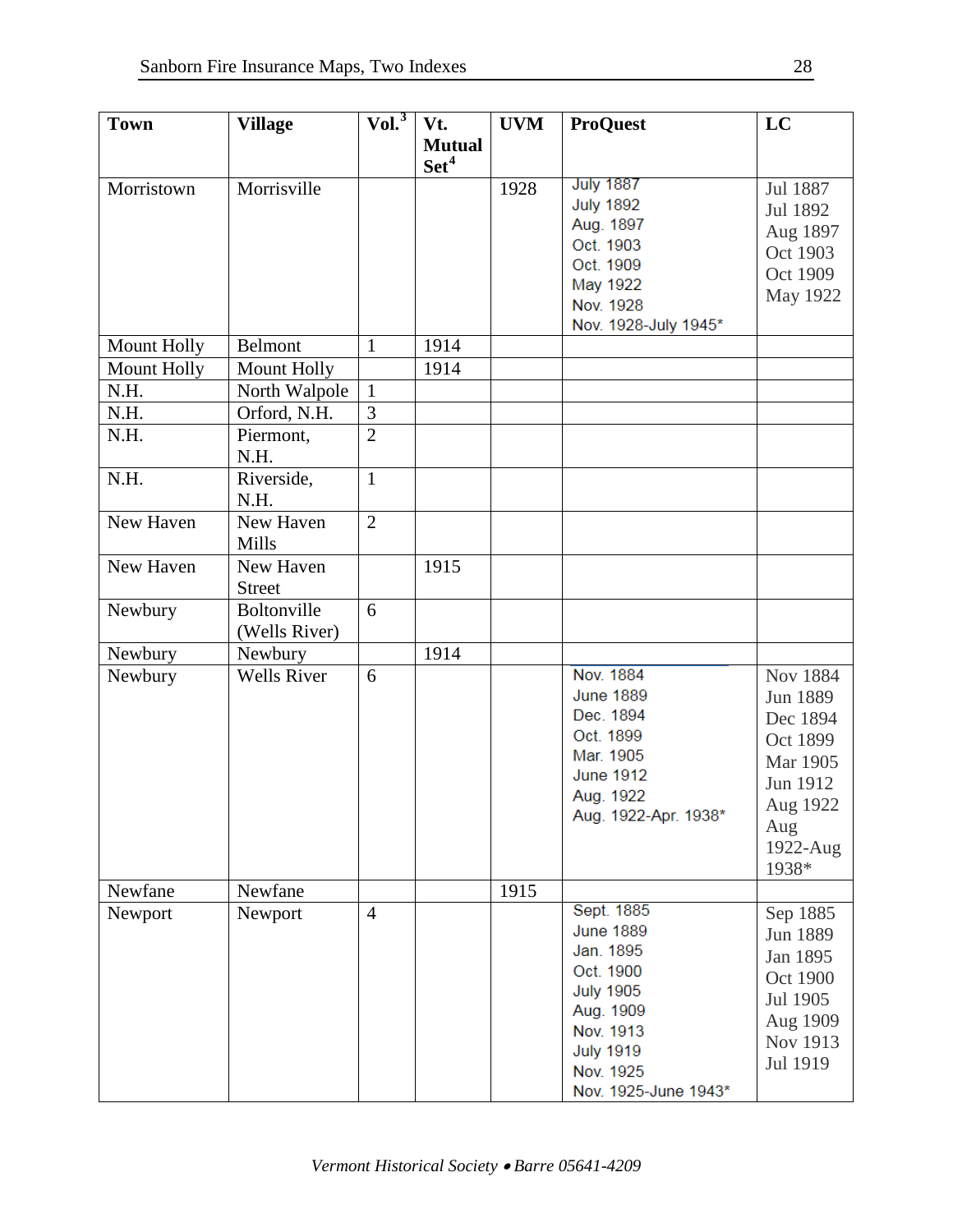| <b>Town</b> | <b>Village</b>     | $ Vol.^3 $     | Vt.              | <b>UVM</b> | <b>ProQuest</b>      | LC              |
|-------------|--------------------|----------------|------------------|------------|----------------------|-----------------|
|             |                    |                | <b>Mutual</b>    |            |                      |                 |
|             |                    |                | Set <sup>4</sup> |            |                      |                 |
| Morristown  | Morrisville        |                |                  | 1928       | <b>July 1887</b>     | Jul 1887        |
|             |                    |                |                  |            | <b>July 1892</b>     | Jul 1892        |
|             |                    |                |                  |            | Aug. 1897            | Aug 1897        |
|             |                    |                |                  |            | Oct. 1903            | Oct 1903        |
|             |                    |                |                  |            | Oct. 1909            | Oct 1909        |
|             |                    |                |                  |            | May 1922             | May 1922        |
|             |                    |                |                  |            | Nov. 1928            |                 |
| Mount Holly | <b>Belmont</b>     | $\mathbf{1}$   | 1914             |            | Nov. 1928-July 1945* |                 |
| Mount Holly | Mount Holly        |                | 1914             |            |                      |                 |
| N.H.        | North Walpole      | $\mathbf{1}$   |                  |            |                      |                 |
| N.H.        | Orford, N.H.       | $\overline{3}$ |                  |            |                      |                 |
| N.H.        | Piermont,          | $\overline{2}$ |                  |            |                      |                 |
|             | N.H.               |                |                  |            |                      |                 |
| N.H.        | Riverside,         | $\mathbf{1}$   |                  |            |                      |                 |
|             | N.H.               |                |                  |            |                      |                 |
| New Haven   | New Haven          | $\overline{2}$ |                  |            |                      |                 |
|             | Mills              |                |                  |            |                      |                 |
| New Haven   | New Haven          |                | 1915             |            |                      |                 |
|             | <b>Street</b>      |                |                  |            |                      |                 |
| Newbury     | Boltonville        | 6              |                  |            |                      |                 |
|             | (Wells River)      |                |                  |            |                      |                 |
| Newbury     | Newbury            |                | 1914             |            |                      |                 |
| Newbury     | <b>Wells River</b> | 6              |                  |            | Nov. 1884            | <b>Nov 1884</b> |
|             |                    |                |                  |            | <b>June 1889</b>     | Jun 1889        |
|             |                    |                |                  |            | Dec. 1894            | Dec 1894        |
|             |                    |                |                  |            | Oct. 1899            | Oct 1899        |
|             |                    |                |                  |            | Mar. 1905            | Mar 1905        |
|             |                    |                |                  |            | <b>June 1912</b>     | Jun 1912        |
|             |                    |                |                  |            | Aug. 1922            | Aug 1922        |
|             |                    |                |                  |            | Aug. 1922-Apr. 1938* | Aug             |
|             |                    |                |                  |            |                      | 1922-Aug        |
|             |                    |                |                  |            |                      | 1938*           |
| Newfane     | Newfane            |                |                  | 1915       |                      |                 |
| Newport     | Newport            | $\overline{4}$ |                  |            | Sept. 1885           | Sep 1885        |
|             |                    |                |                  |            | <b>June 1889</b>     | Jun 1889        |
|             |                    |                |                  |            | Jan. 1895            | Jan 1895        |
|             |                    |                |                  |            | Oct. 1900            | Oct 1900        |
|             |                    |                |                  |            | <b>July 1905</b>     | Jul 1905        |
|             |                    |                |                  |            | Aug. 1909            | Aug 1909        |
|             |                    |                |                  |            | Nov. 1913            | Nov 1913        |
|             |                    |                |                  |            | <b>July 1919</b>     | Jul 1919        |
|             |                    |                |                  |            | Nov. 1925            |                 |
|             |                    |                |                  |            | Nov. 1925-June 1943* |                 |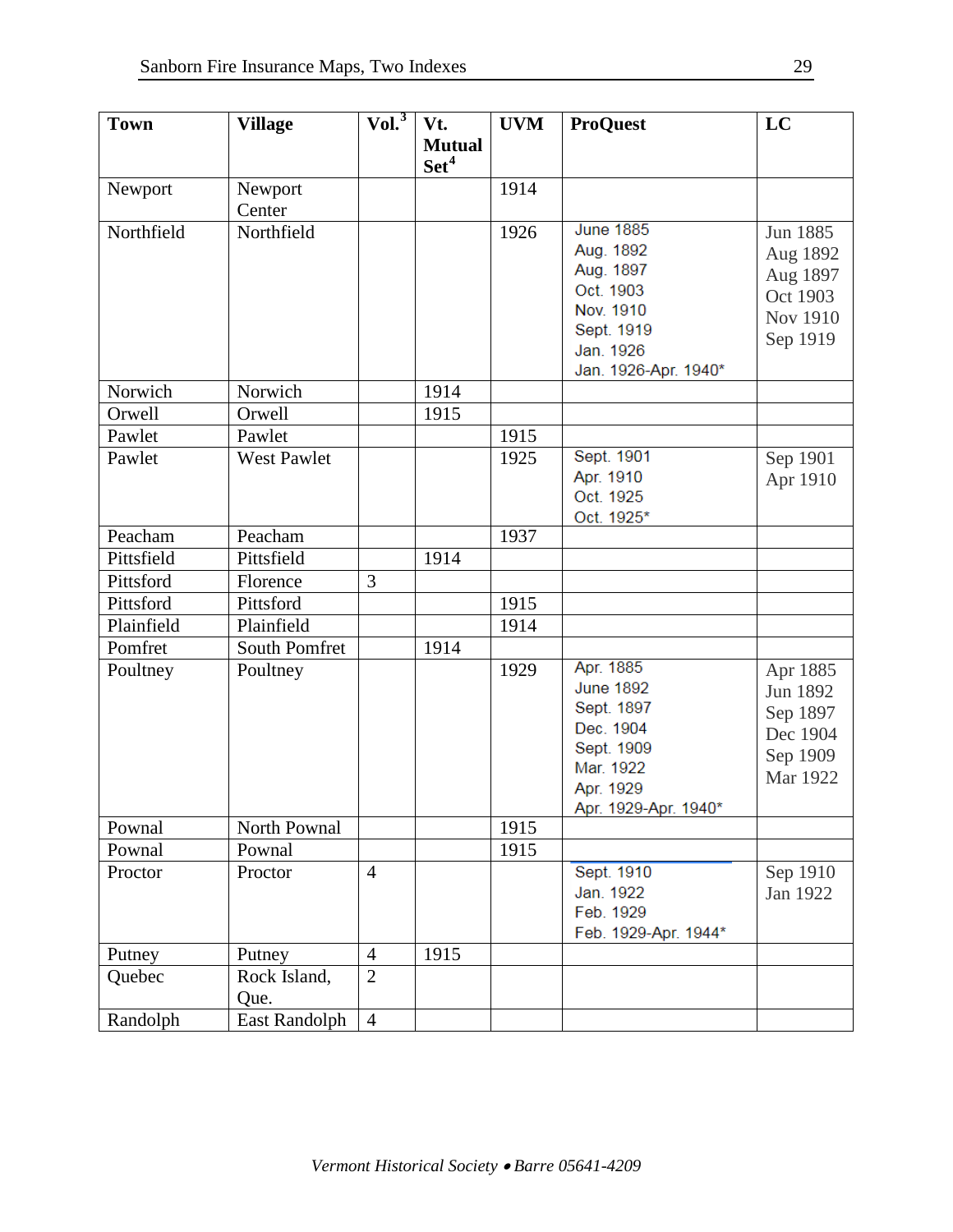| <b>Town</b> | <b>Village</b>       | Vol. <sup>3</sup> | Vt.                               | <b>UVM</b> | <b>ProQuest</b>                                                                                                          | LC                                                                          |
|-------------|----------------------|-------------------|-----------------------------------|------------|--------------------------------------------------------------------------------------------------------------------------|-----------------------------------------------------------------------------|
|             |                      |                   | <b>Mutual</b><br>Set <sup>4</sup> |            |                                                                                                                          |                                                                             |
| Newport     | Newport              |                   |                                   | 1914       |                                                                                                                          |                                                                             |
|             | Center               |                   |                                   |            |                                                                                                                          |                                                                             |
| Northfield  | Northfield           |                   |                                   | 1926       | <b>June 1885</b><br>Aug. 1892<br>Aug. 1897<br>Oct. 1903<br>Nov. 1910<br>Sept. 1919<br>Jan. 1926<br>Jan. 1926-Apr. 1940*  | Jun 1885<br>Aug 1892<br>Aug 1897<br>Oct 1903<br><b>Nov 1910</b><br>Sep 1919 |
| Norwich     | Norwich              |                   | 1914                              |            |                                                                                                                          |                                                                             |
| Orwell      | Orwell               |                   | 1915                              |            |                                                                                                                          |                                                                             |
| Pawlet      | Pawlet               |                   |                                   | 1915       |                                                                                                                          |                                                                             |
| Pawlet      | <b>West Pawlet</b>   |                   |                                   | 1925       | Sept. 1901<br>Apr. 1910<br>Oct. 1925<br>Oct. 1925*                                                                       | Sep 1901<br>Apr 1910                                                        |
| Peacham     | Peacham              |                   |                                   | 1937       |                                                                                                                          |                                                                             |
| Pittsfield  | Pittsfield           |                   | 1914                              |            |                                                                                                                          |                                                                             |
| Pittsford   | Florence             | 3                 |                                   |            |                                                                                                                          |                                                                             |
| Pittsford   | Pittsford            |                   |                                   | 1915       |                                                                                                                          |                                                                             |
| Plainfield  | Plainfield           |                   |                                   | 1914       |                                                                                                                          |                                                                             |
| Pomfret     | South Pomfret        |                   | 1914                              |            |                                                                                                                          |                                                                             |
| Poultney    | Poultney             |                   |                                   | 1929       | Apr. 1885<br><b>June 1892</b><br>Sept. 1897<br>Dec. 1904<br>Sept. 1909<br>Mar. 1922<br>Apr. 1929<br>Apr. 1929-Apr. 1940* | Apr 1885<br>Jun 1892<br>Sep 1897<br>Dec 1904<br>Sep 1909<br>Mar 1922        |
| Pownal      | North Pownal         |                   |                                   | 1915       |                                                                                                                          |                                                                             |
| Pownal      | Pownal               |                   |                                   | 1915       |                                                                                                                          |                                                                             |
| Proctor     | Proctor              | $\overline{4}$    |                                   |            | Sept. 1910<br>Jan. 1922<br>Feb. 1929<br>Feb. 1929-Apr. 1944*                                                             | Sep 1910<br>Jan 1922                                                        |
| Putney      | Putney               | $\overline{4}$    | 1915                              |            |                                                                                                                          |                                                                             |
| Quebec      | Rock Island,<br>Que. | $\overline{2}$    |                                   |            |                                                                                                                          |                                                                             |
| Randolph    | East Randolph        | $\overline{4}$    |                                   |            |                                                                                                                          |                                                                             |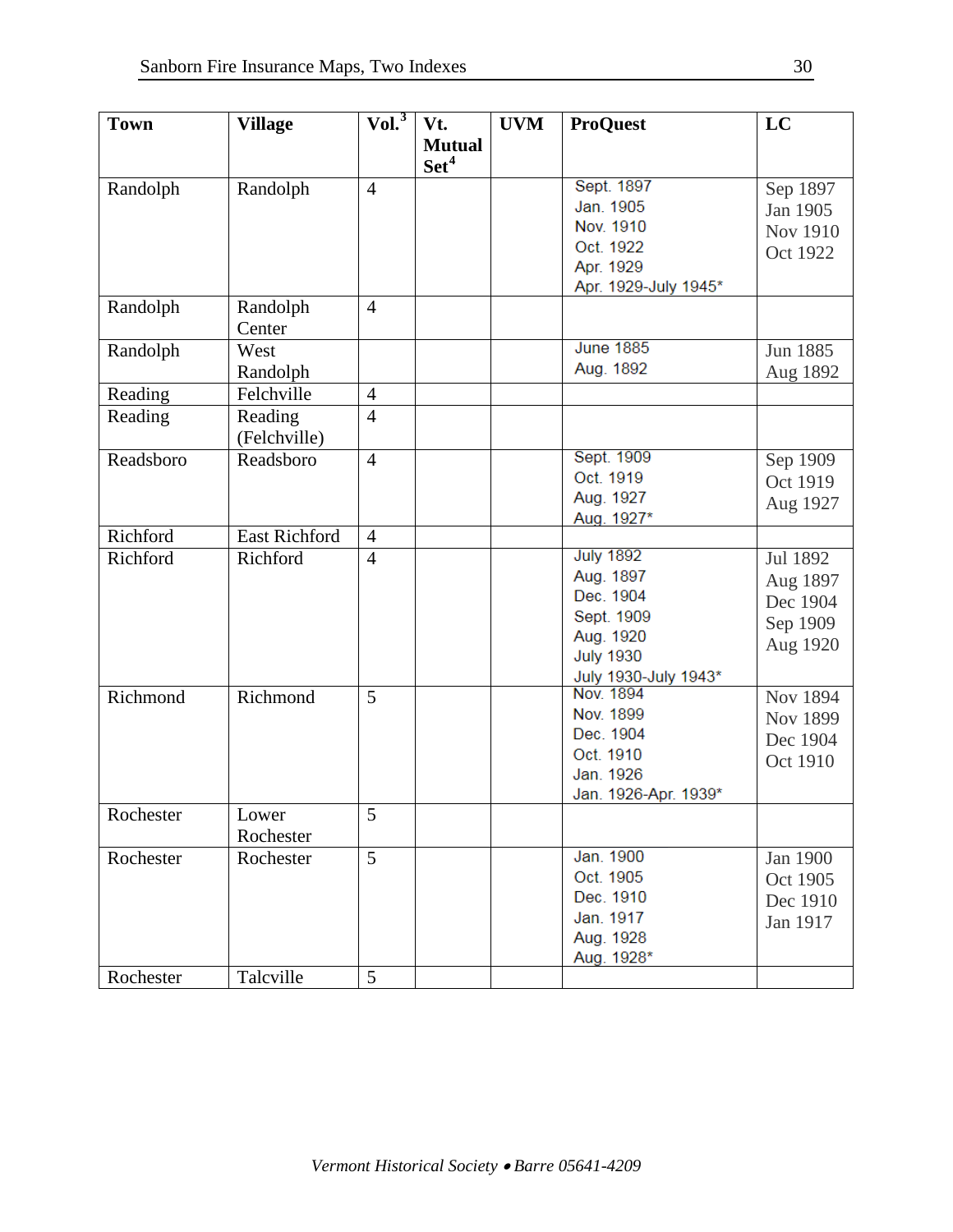| <b>Town</b> | <b>Village</b>       | $ Vol.^3 $     | Vt.              | <b>UVM</b> | <b>ProQuest</b>                   | LC              |
|-------------|----------------------|----------------|------------------|------------|-----------------------------------|-----------------|
|             |                      |                | <b>Mutual</b>    |            |                                   |                 |
|             |                      |                | Set <sup>4</sup> |            |                                   |                 |
| Randolph    | Randolph             | $\overline{4}$ |                  |            | Sept. 1897                        | Sep 1897        |
|             |                      |                |                  |            | Jan. 1905                         | Jan 1905        |
|             |                      |                |                  |            | Nov. 1910                         | <b>Nov 1910</b> |
|             |                      |                |                  |            | Oct. 1922                         | Oct 1922        |
|             |                      |                |                  |            | Apr. 1929                         |                 |
|             |                      |                |                  |            | Apr. 1929-July 1945*              |                 |
| Randolph    | Randolph             | $\overline{4}$ |                  |            |                                   |                 |
|             | Center               |                |                  |            |                                   |                 |
| Randolph    | West                 |                |                  |            | <b>June 1885</b>                  | Jun 1885        |
|             | Randolph             |                |                  |            | Aug. 1892                         | Aug 1892        |
| Reading     | Felchville           | $\overline{4}$ |                  |            |                                   |                 |
| Reading     | Reading              | $\overline{4}$ |                  |            |                                   |                 |
|             | (Felchville)         |                |                  |            |                                   |                 |
| Readsboro   | Readsboro            | $\overline{4}$ |                  |            | Sept. 1909                        | Sep 1909        |
|             |                      |                |                  |            | Oct. 1919                         | Oct 1919        |
|             |                      |                |                  |            | Aug. 1927                         | Aug 1927        |
|             |                      |                |                  |            | Aug. 1927*                        |                 |
| Richford    | <b>East Richford</b> | $\overline{4}$ |                  |            |                                   |                 |
| Richford    | Richford             | $\overline{4}$ |                  |            | <b>July 1892</b>                  | Jul 1892        |
|             |                      |                |                  |            | Aug. 1897                         | Aug 1897        |
|             |                      |                |                  |            | Dec. 1904                         | Dec 1904        |
|             |                      |                |                  |            | Sept. 1909                        | Sep 1909        |
|             |                      |                |                  |            | Aug. 1920<br><b>July 1930</b>     | Aug 1920        |
|             |                      |                |                  |            |                                   |                 |
| Richmond    | Richmond             | 5              |                  |            | July 1930-July 1943*<br>Nov. 1894 | Nov 1894        |
|             |                      |                |                  |            | Nov. 1899                         | <b>Nov 1899</b> |
|             |                      |                |                  |            | Dec. 1904                         |                 |
|             |                      |                |                  |            | Oct. 1910                         | Dec 1904        |
|             |                      |                |                  |            | Jan. 1926                         | Oct 1910        |
|             |                      |                |                  |            | Jan. 1926-Apr. 1939*              |                 |
| Rochester   | Lower                | 5              |                  |            |                                   |                 |
|             | Rochester            |                |                  |            |                                   |                 |
| Rochester   | Rochester            | 5              |                  |            | Jan. 1900                         | Jan 1900        |
|             |                      |                |                  |            | Oct. 1905                         | Oct 1905        |
|             |                      |                |                  |            | Dec. 1910                         | Dec 1910        |
|             |                      |                |                  |            | Jan. 1917                         | Jan 1917        |
|             |                      |                |                  |            | Aug. 1928                         |                 |
|             |                      |                |                  |            | Aug. 1928*                        |                 |
| Rochester   | Talcville            | 5              |                  |            |                                   |                 |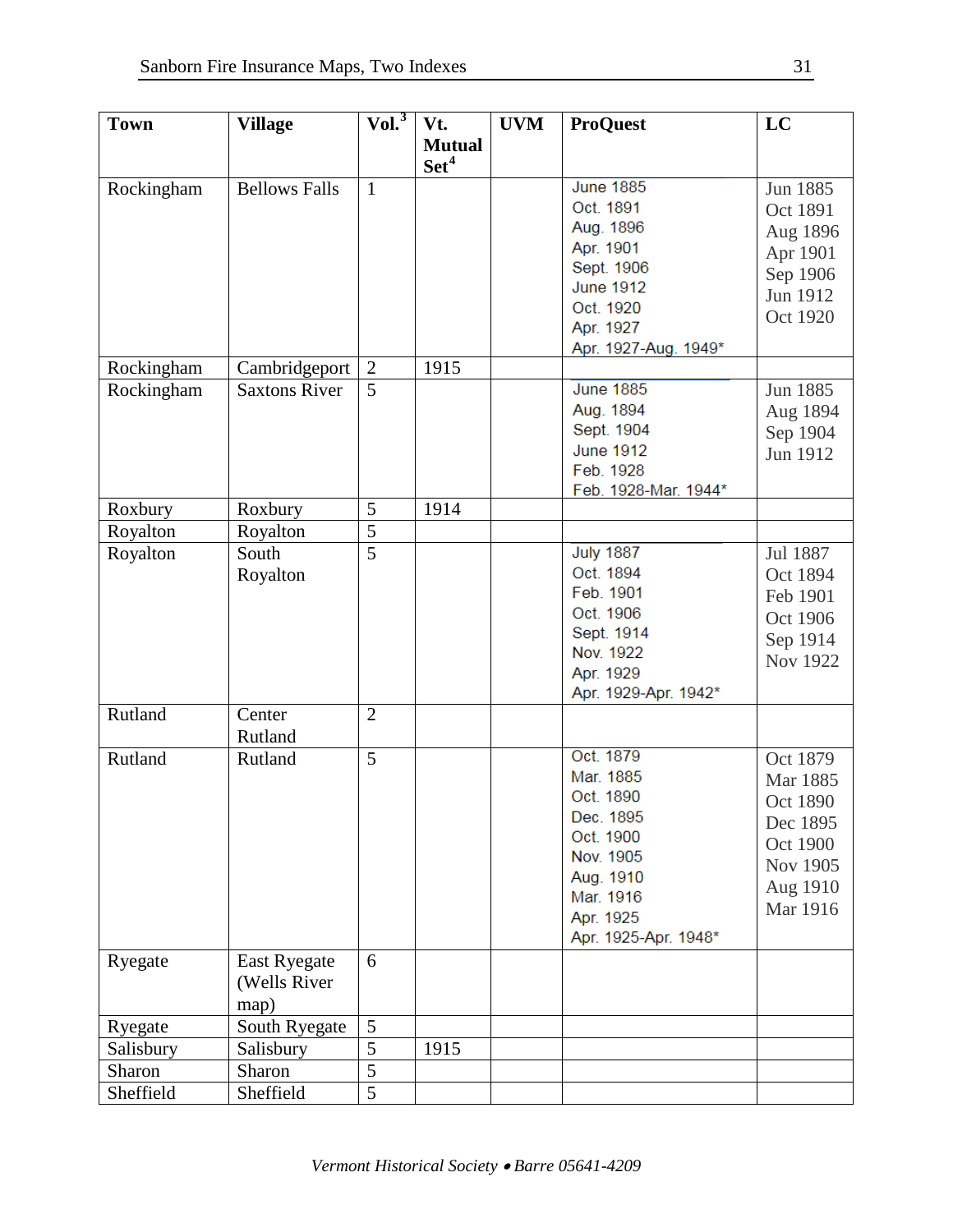| <b>Town</b> | <b>Village</b>       | Vol. <sup>3</sup> | Vt.              | <b>UVM</b> | <b>ProQuest</b>      | LC       |
|-------------|----------------------|-------------------|------------------|------------|----------------------|----------|
|             |                      |                   | <b>Mutual</b>    |            |                      |          |
|             |                      |                   | Set <sup>4</sup> |            |                      |          |
|             | <b>Bellows Falls</b> | $\mathbf{1}$      |                  |            | <b>June 1885</b>     |          |
| Rockingham  |                      |                   |                  |            | Oct. 1891            | Jun 1885 |
|             |                      |                   |                  |            |                      | Oct 1891 |
|             |                      |                   |                  |            | Aug. 1896            | Aug 1896 |
|             |                      |                   |                  |            | Apr. 1901            | Apr 1901 |
|             |                      |                   |                  |            | Sept. 1906           | Sep 1906 |
|             |                      |                   |                  |            | <b>June 1912</b>     | Jun 1912 |
|             |                      |                   |                  |            | Oct. 1920            | Oct 1920 |
|             |                      |                   |                  |            | Apr. 1927            |          |
|             |                      |                   |                  |            | Apr. 1927-Aug. 1949* |          |
| Rockingham  | Cambridgeport        | $\overline{2}$    | 1915             |            |                      |          |
| Rockingham  | <b>Saxtons River</b> | 5                 |                  |            | <b>June 1885</b>     | Jun 1885 |
|             |                      |                   |                  |            | Aug. 1894            | Aug 1894 |
|             |                      |                   |                  |            | Sept. 1904           | Sep 1904 |
|             |                      |                   |                  |            | <b>June 1912</b>     | Jun 1912 |
|             |                      |                   |                  |            | Feb. 1928            |          |
|             |                      |                   |                  |            | Feb. 1928-Mar. 1944* |          |
| Roxbury     | Roxbury              | 5                 | 1914             |            |                      |          |
| Royalton    | Royalton             | 5                 |                  |            |                      |          |
| Royalton    | South                | $\overline{5}$    |                  |            | <b>July 1887</b>     | Jul 1887 |
|             | Royalton             |                   |                  |            | Oct. 1894            | Oct 1894 |
|             |                      |                   |                  |            | Feb. 1901            | Feb 1901 |
|             |                      |                   |                  |            | Oct. 1906            |          |
|             |                      |                   |                  |            | Sept. 1914           | Oct 1906 |
|             |                      |                   |                  |            | Nov. 1922            | Sep 1914 |
|             |                      |                   |                  |            | Apr. 1929            | Nov 1922 |
|             |                      |                   |                  |            | Apr. 1929-Apr. 1942* |          |
| Rutland     | Center               | $\overline{2}$    |                  |            |                      |          |
|             | Rutland              |                   |                  |            |                      |          |
| Rutland     | Rutland              | $\overline{5}$    |                  |            | Oct. 1879            | Oct 1879 |
|             |                      |                   |                  |            | Mar. 1885            |          |
|             |                      |                   |                  |            | Oct. 1890            | Mar 1885 |
|             |                      |                   |                  |            | Dec. 1895            | Oct 1890 |
|             |                      |                   |                  |            | Oct. 1900            | Dec 1895 |
|             |                      |                   |                  |            | Nov. 1905            | Oct 1900 |
|             |                      |                   |                  |            | Aug. 1910            | Nov 1905 |
|             |                      |                   |                  |            | Mar. 1916            | Aug 1910 |
|             |                      |                   |                  |            |                      | Mar 1916 |
|             |                      |                   |                  |            | Apr. 1925            |          |
|             |                      |                   |                  |            | Apr. 1925-Apr. 1948* |          |
| Ryegate     | <b>East Ryegate</b>  | 6                 |                  |            |                      |          |
|             | (Wells River         |                   |                  |            |                      |          |
|             | map)                 |                   |                  |            |                      |          |
| Ryegate     | South Ryegate        | 5                 |                  |            |                      |          |
| Salisbury   | Salisbury            | $\overline{5}$    | 1915             |            |                      |          |
| Sharon      | Sharon               | $\overline{5}$    |                  |            |                      |          |
| Sheffield   | Sheffield            | 5                 |                  |            |                      |          |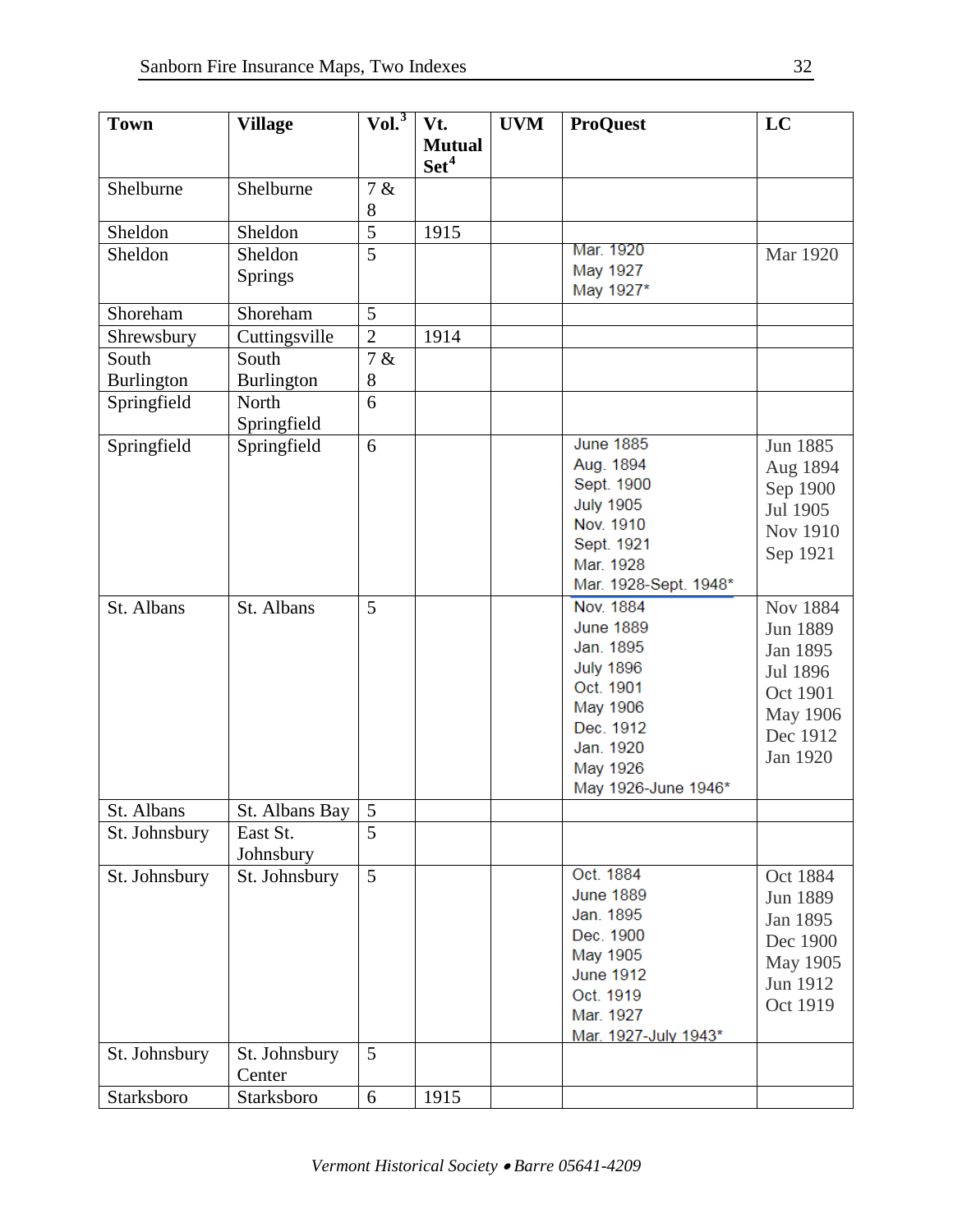| <b>Town</b>       | <b>Village</b>    | Vol. <sup>3</sup> | Vt.              | <b>UVM</b> | <b>ProQuest</b>        | LC              |
|-------------------|-------------------|-------------------|------------------|------------|------------------------|-----------------|
|                   |                   |                   | <b>Mutual</b>    |            |                        |                 |
|                   |                   |                   | Set <sup>4</sup> |            |                        |                 |
| Shelburne         | Shelburne         | 7 &               |                  |            |                        |                 |
|                   |                   | $8\,$             |                  |            |                        |                 |
| Sheldon           | Sheldon           | $\overline{5}$    | 1915             |            |                        |                 |
| Sheldon           | Sheldon           | $\overline{5}$    |                  |            | Mar. 1920              | Mar 1920        |
|                   | <b>Springs</b>    |                   |                  |            | May 1927               |                 |
|                   |                   |                   |                  |            | May 1927*              |                 |
| Shoreham          | Shoreham          | 5                 |                  |            |                        |                 |
| Shrewsbury        | Cuttingsville     | $\overline{2}$    | 1914             |            |                        |                 |
| South             | South             | 7 &               |                  |            |                        |                 |
| <b>Burlington</b> | <b>Burlington</b> | $8\,$             |                  |            |                        |                 |
| Springfield       | North             | 6                 |                  |            |                        |                 |
|                   | Springfield       |                   |                  |            |                        |                 |
| Springfield       | Springfield       | 6                 |                  |            | <b>June 1885</b>       | Jun 1885        |
|                   |                   |                   |                  |            | Aug. 1894              | Aug 1894        |
|                   |                   |                   |                  |            | Sept. 1900             | Sep 1900        |
|                   |                   |                   |                  |            | <b>July 1905</b>       | Jul 1905        |
|                   |                   |                   |                  |            | Nov. 1910              | Nov 1910        |
|                   |                   |                   |                  |            | Sept. 1921             | Sep 1921        |
|                   |                   |                   |                  |            | Mar. 1928              |                 |
|                   |                   |                   |                  |            | Mar. 1928-Sept. 1948*  |                 |
| St. Albans        | St. Albans        | 5                 |                  |            | <b>Nov. 1884</b>       | <b>Nov 1884</b> |
|                   |                   |                   |                  |            | <b>June 1889</b>       | Jun 1889        |
|                   |                   |                   |                  |            | Jan. 1895              | Jan 1895        |
|                   |                   |                   |                  |            | <b>July 1896</b>       | Jul 1896        |
|                   |                   |                   |                  |            | Oct. 1901              | Oct 1901        |
|                   |                   |                   |                  |            | May 1906               | May 1906        |
|                   |                   |                   |                  |            | Dec. 1912              | Dec 1912        |
|                   |                   |                   |                  |            | Jan. 1920              | Jan 1920        |
|                   |                   |                   |                  |            | May 1926               |                 |
|                   |                   |                   |                  |            | May 1926-June 1946*    |                 |
| St. Albans        | St. Albans Bay    | $\overline{5}$    |                  |            |                        |                 |
| St. Johnsbury     | East St.          | $\overline{5}$    |                  |            |                        |                 |
|                   | Johnsbury         |                   |                  |            |                        |                 |
| St. Johnsbury     | St. Johnsbury     | $\overline{5}$    |                  |            | Oct. 1884              | Oct 1884        |
|                   |                   |                   |                  |            | <b>June 1889</b>       | Jun 1889        |
|                   |                   |                   |                  |            | Jan. 1895<br>Dec. 1900 | Jan 1895        |
|                   |                   |                   |                  |            | May 1905               | Dec 1900        |
|                   |                   |                   |                  |            | <b>June 1912</b>       | May 1905        |
|                   |                   |                   |                  |            | Oct. 1919              | Jun 1912        |
|                   |                   |                   |                  |            | Mar. 1927              | Oct 1919        |
|                   |                   |                   |                  |            | Mar. 1927-July 1943*   |                 |
| St. Johnsbury     | St. Johnsbury     | 5                 |                  |            |                        |                 |
|                   | Center            |                   |                  |            |                        |                 |
| Starksboro        | Starksboro        | 6                 | 1915             |            |                        |                 |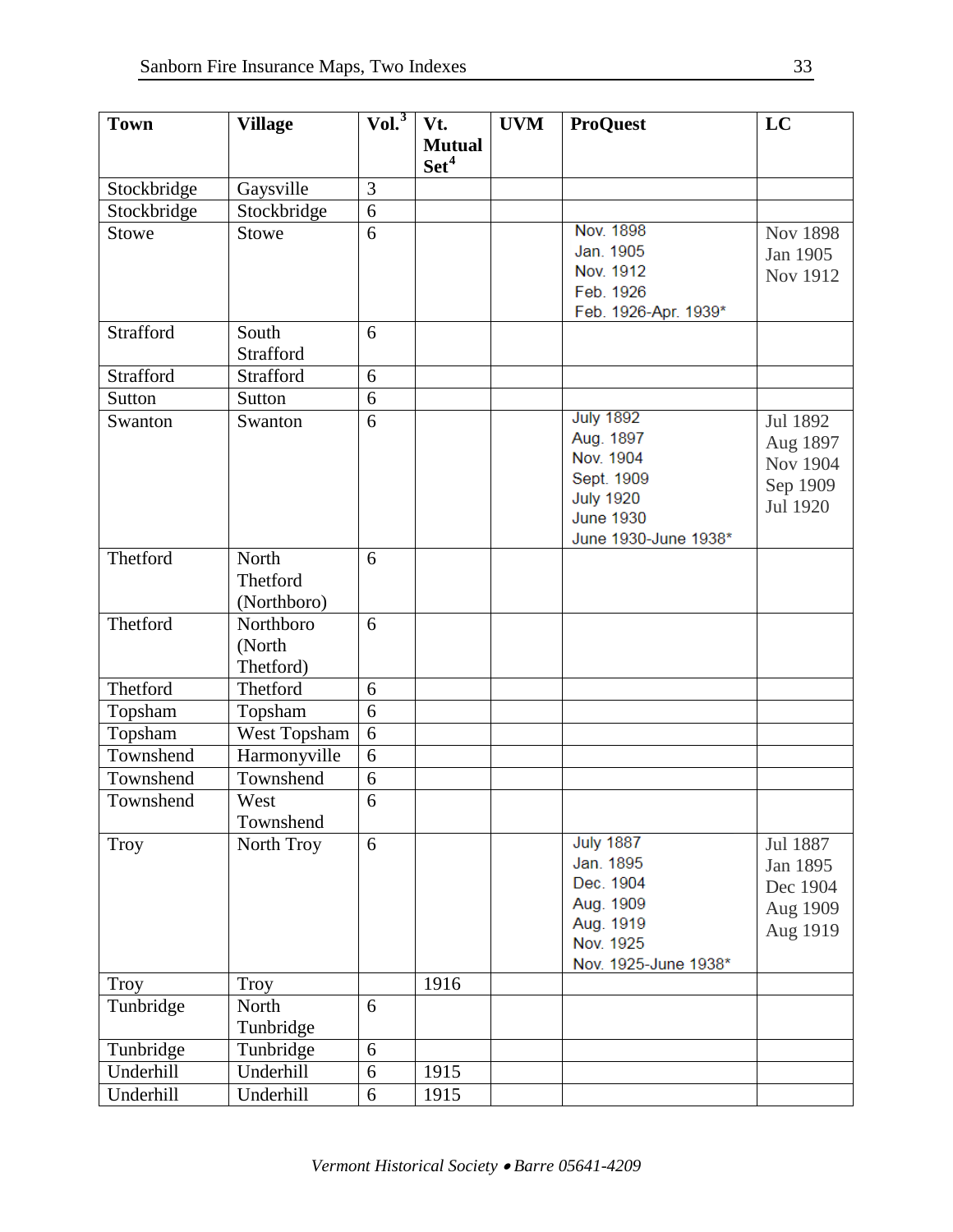| <b>Town</b>  | <b>Village</b> | Vol. <sup>3</sup> | Vt.              | <b>UVM</b> | <b>ProQuest</b>      | LC              |
|--------------|----------------|-------------------|------------------|------------|----------------------|-----------------|
|              |                |                   | <b>Mutual</b>    |            |                      |                 |
|              |                |                   | Set <sup>4</sup> |            |                      |                 |
| Stockbridge  | Gaysville      | 3                 |                  |            |                      |                 |
| Stockbridge  | Stockbridge    | 6                 |                  |            |                      |                 |
| <b>Stowe</b> | <b>Stowe</b>   | 6                 |                  |            | Nov. 1898            | <b>Nov 1898</b> |
|              |                |                   |                  |            | Jan. 1905            | Jan 1905        |
|              |                |                   |                  |            | Nov. 1912            | Nov 1912        |
|              |                |                   |                  |            | Feb. 1926            |                 |
|              |                |                   |                  |            | Feb. 1926-Apr. 1939* |                 |
| Strafford    | South          | 6                 |                  |            |                      |                 |
|              | Strafford      |                   |                  |            |                      |                 |
| Strafford    | Strafford      | 6                 |                  |            |                      |                 |
| Sutton       | Sutton         | $\overline{6}$    |                  |            |                      |                 |
| Swanton      | Swanton        | 6                 |                  |            | <b>July 1892</b>     | Jul 1892        |
|              |                |                   |                  |            | Aug. 1897            | Aug 1897        |
|              |                |                   |                  |            | Nov. 1904            | Nov 1904        |
|              |                |                   |                  |            | Sept. 1909           | Sep 1909        |
|              |                |                   |                  |            | <b>July 1920</b>     | Jul 1920        |
|              |                |                   |                  |            | <b>June 1930</b>     |                 |
|              |                |                   |                  |            | June 1930-June 1938* |                 |
| Thetford     | North          | 6                 |                  |            |                      |                 |
|              | Thetford       |                   |                  |            |                      |                 |
|              | (Northboro)    |                   |                  |            |                      |                 |
| Thetford     | Northboro      | 6                 |                  |            |                      |                 |
|              | (North         |                   |                  |            |                      |                 |
|              | Thetford)      |                   |                  |            |                      |                 |
| Thetford     | Thetford       | 6                 |                  |            |                      |                 |
| Topsham      | Topsham        | 6                 |                  |            |                      |                 |
| Topsham      | West Topsham   | 6                 |                  |            |                      |                 |
| Townshend    | Harmonyville   | 6                 |                  |            |                      |                 |
| Townshend    | Townshend      | 6                 |                  |            |                      |                 |
| Townshend    | West           | 6                 |                  |            |                      |                 |
|              | Townshend      |                   |                  |            |                      |                 |
| <b>Troy</b>  | North Troy     | 6                 |                  |            | <b>July 1887</b>     | Jul 1887        |
|              |                |                   |                  |            | Jan. 1895            | Jan 1895        |
|              |                |                   |                  |            | Dec. 1904            | Dec 1904        |
|              |                |                   |                  |            | Aug. 1909            | Aug 1909        |
|              |                |                   |                  |            | Aug. 1919            | Aug 1919        |
|              |                |                   |                  |            | Nov. 1925            |                 |
| <b>Troy</b>  | Troy           |                   | 1916             |            | Nov. 1925-June 1938* |                 |
| Tunbridge    | North          | 6                 |                  |            |                      |                 |
|              | Tunbridge      |                   |                  |            |                      |                 |
| Tunbridge    | Tunbridge      | 6                 |                  |            |                      |                 |
| Underhill    | Underhill      | 6                 | 1915             |            |                      |                 |
|              |                |                   |                  |            |                      |                 |
| Underhill    | Underhill      | 6                 | 1915             |            |                      |                 |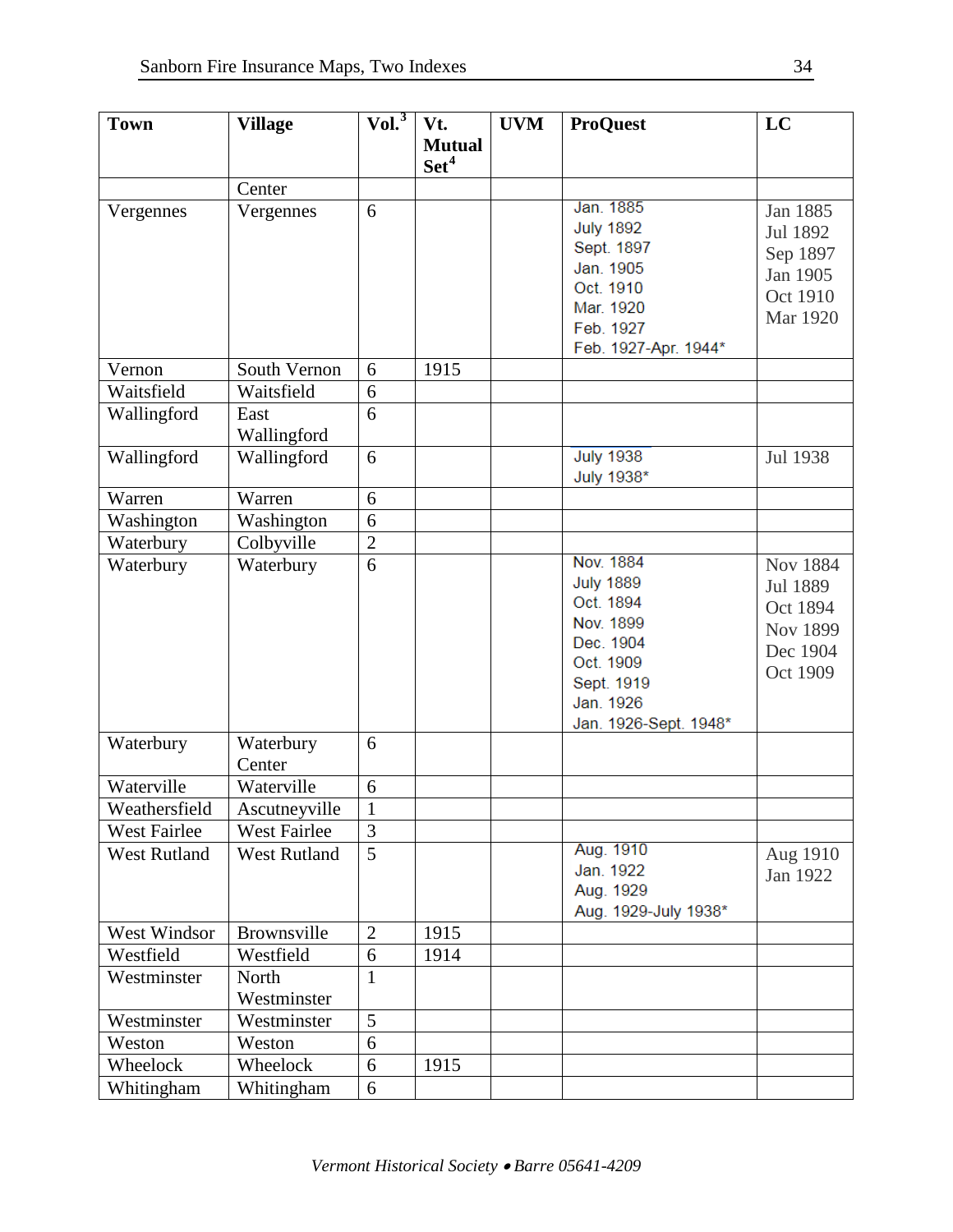| <b>Town</b>         | <b>Village</b>       | Vol. <sup>3</sup> | Vt.                               | <b>UVM</b> | <b>ProQuest</b>                                                                                                                       | LC                                                                   |
|---------------------|----------------------|-------------------|-----------------------------------|------------|---------------------------------------------------------------------------------------------------------------------------------------|----------------------------------------------------------------------|
|                     |                      |                   | <b>Mutual</b><br>Set <sup>4</sup> |            |                                                                                                                                       |                                                                      |
|                     | Center               |                   |                                   |            |                                                                                                                                       |                                                                      |
| Vergennes           | Vergennes            | 6                 |                                   |            | Jan. 1885<br><b>July 1892</b><br>Sept. 1897                                                                                           | Jan 1885<br>Jul 1892<br>Sep 1897                                     |
|                     |                      |                   |                                   |            | Jan. 1905<br>Oct. 1910<br>Mar. 1920<br>Feb. 1927<br>Feb. 1927-Apr. 1944*                                                              | Jan 1905<br>Oct 1910<br>Mar 1920                                     |
| Vernon              | South Vernon         | 6                 | 1915                              |            |                                                                                                                                       |                                                                      |
| Waitsfield          | Waitsfield           | 6                 |                                   |            |                                                                                                                                       |                                                                      |
| Wallingford         | East<br>Wallingford  | 6                 |                                   |            |                                                                                                                                       |                                                                      |
| Wallingford         | Wallingford          | 6                 |                                   |            | <b>July 1938</b><br>July 1938*                                                                                                        | Jul 1938                                                             |
| Warren              | Warren               | 6                 |                                   |            |                                                                                                                                       |                                                                      |
| Washington          | Washington           | 6                 |                                   |            |                                                                                                                                       |                                                                      |
| Waterbury           | Colbyville           | $\overline{2}$    |                                   |            |                                                                                                                                       |                                                                      |
| Waterbury           | Waterbury            | 6                 |                                   |            | Nov. 1884<br><b>July 1889</b><br>Oct. 1894<br>Nov. 1899<br>Dec. 1904<br>Oct. 1909<br>Sept. 1919<br>Jan. 1926<br>Jan. 1926-Sept. 1948* | Nov 1884<br>Jul 1889<br>Oct 1894<br>Nov 1899<br>Dec 1904<br>Oct 1909 |
| Waterbury           | Waterbury<br>Center  | 6                 |                                   |            |                                                                                                                                       |                                                                      |
| Waterville          | Waterville           | 6                 |                                   |            |                                                                                                                                       |                                                                      |
| Weathersfield       | Ascutneyville        | $\mathbf{1}$      |                                   |            |                                                                                                                                       |                                                                      |
| West Fairlee        | <b>West Fairlee</b>  | 3                 |                                   |            |                                                                                                                                       |                                                                      |
| <b>West Rutland</b> | <b>West Rutland</b>  | $\overline{5}$    |                                   |            | Aug. 1910<br>Jan. 1922<br>Aug. 1929<br>Aug. 1929-July 1938*                                                                           | Aug 1910<br>Jan 1922                                                 |
| West Windsor        | Brownsville          | $\mathbf{2}$      | 1915                              |            |                                                                                                                                       |                                                                      |
| Westfield           | Westfield            | 6                 | 1914                              |            |                                                                                                                                       |                                                                      |
| Westminster         | North<br>Westminster | $\mathbf{1}$      |                                   |            |                                                                                                                                       |                                                                      |
| Westminster         | Westminster          | 5                 |                                   |            |                                                                                                                                       |                                                                      |
| Weston              | Weston               | 6                 |                                   |            |                                                                                                                                       |                                                                      |
| Wheelock            | Wheelock             | 6                 | 1915                              |            |                                                                                                                                       |                                                                      |
| Whitingham          | Whitingham           | 6                 |                                   |            |                                                                                                                                       |                                                                      |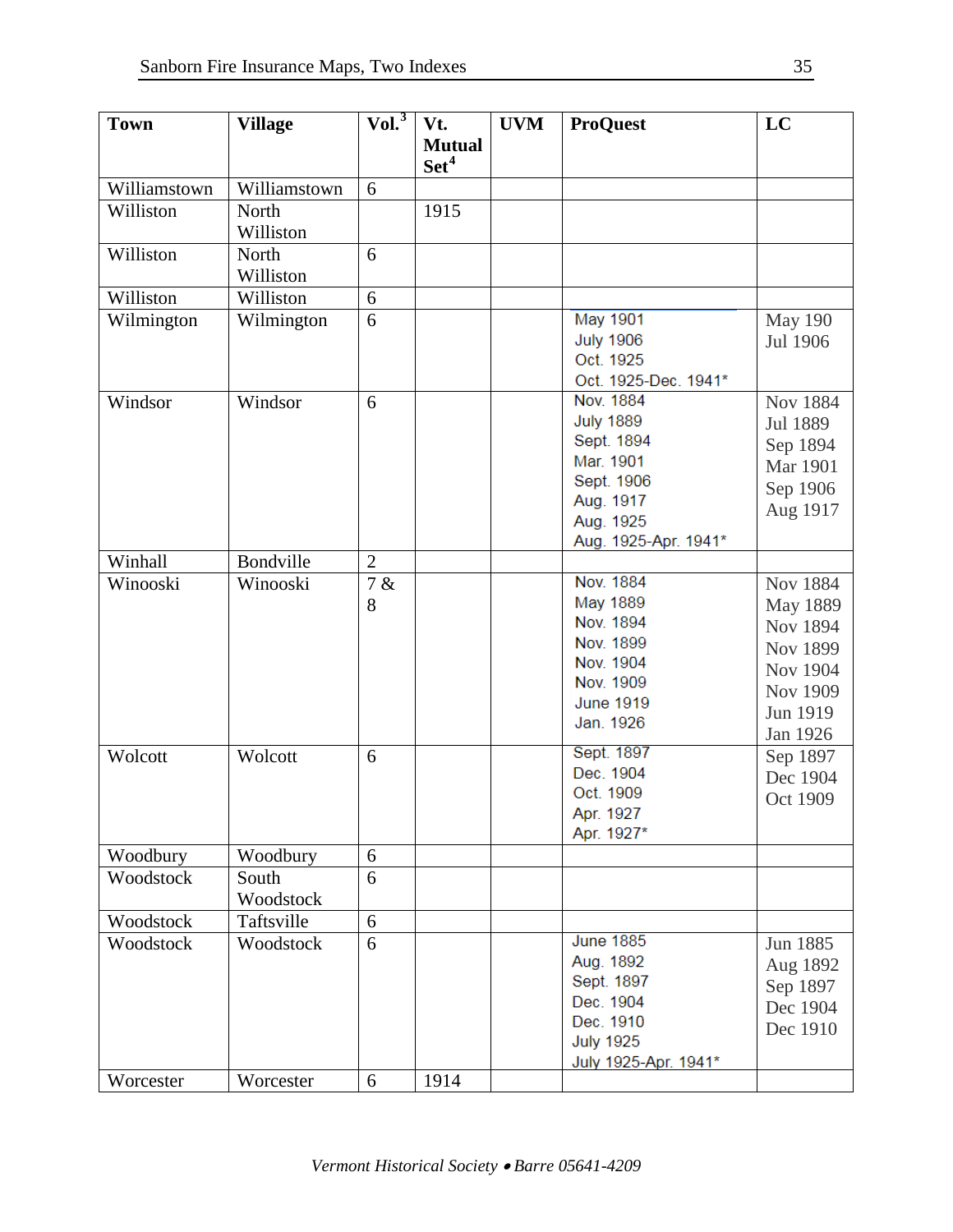| <b>Town</b>  | <b>Village</b> | Vol. <sup>3</sup> | Vt.                               | <b>UVM</b> | <b>ProQuest</b>         | LC              |
|--------------|----------------|-------------------|-----------------------------------|------------|-------------------------|-----------------|
|              |                |                   | <b>Mutual</b><br>Set <sup>4</sup> |            |                         |                 |
| Williamstown | Williamstown   | 6                 |                                   |            |                         |                 |
| Williston    | North          |                   | 1915                              |            |                         |                 |
|              | Williston      |                   |                                   |            |                         |                 |
| Williston    | North          | 6                 |                                   |            |                         |                 |
|              | Williston      |                   |                                   |            |                         |                 |
| Williston    | Williston      | 6                 |                                   |            |                         |                 |
| Wilmington   | Wilmington     | 6                 |                                   |            | May 1901                | <b>May 190</b>  |
|              |                |                   |                                   |            | <b>July 1906</b>        | Jul 1906        |
|              |                |                   |                                   |            | Oct. 1925               |                 |
|              |                |                   |                                   |            | Oct. 1925-Dec. 1941*    |                 |
| Windsor      | Windsor        | 6                 |                                   |            | Nov. 1884               | <b>Nov 1884</b> |
|              |                |                   |                                   |            | <b>July 1889</b>        | Jul 1889        |
|              |                |                   |                                   |            | Sept. 1894<br>Mar. 1901 | Sep 1894        |
|              |                |                   |                                   |            | Sept. 1906              | <b>Mar</b> 1901 |
|              |                |                   |                                   |            | Aug. 1917               | Sep 1906        |
|              |                |                   |                                   |            | Aug. 1925               | Aug 1917        |
|              |                |                   |                                   |            | Aug. 1925-Apr. 1941*    |                 |
| Winhall      | Bondville      | $\overline{2}$    |                                   |            |                         |                 |
| Winooski     | Winooski       | 7 &               |                                   |            | Nov. 1884               | <b>Nov 1884</b> |
|              |                | 8                 |                                   |            | May 1889                | May 1889        |
|              |                |                   |                                   |            | Nov. 1894               | Nov 1894        |
|              |                |                   |                                   |            | Nov. 1899               | Nov 1899        |
|              |                |                   |                                   |            | Nov. 1904               | Nov 1904        |
|              |                |                   |                                   |            | Nov. 1909               | Nov 1909        |
|              |                |                   |                                   |            | <b>June 1919</b>        | Jun 1919        |
|              |                |                   |                                   |            | Jan. 1926               | Jan 1926        |
| Wolcott      | Wolcott        | 6                 |                                   |            | Sept. 1897              | Sep 1897        |
|              |                |                   |                                   |            | Dec. 1904               | Dec 1904        |
|              |                |                   |                                   |            | Oct. 1909               | Oct 1909        |
|              |                |                   |                                   |            | Apr. 1927               |                 |
|              |                |                   |                                   |            | Apr. 1927*              |                 |
| Woodbury     | Woodbury       | 6                 |                                   |            |                         |                 |
| Woodstock    | South          | 6                 |                                   |            |                         |                 |
|              | Woodstock      |                   |                                   |            |                         |                 |
| Woodstock    | Taftsville     | 6                 |                                   |            |                         |                 |
| Woodstock    | Woodstock      | 6                 |                                   |            | <b>June 1885</b>        | Jun 1885        |
|              |                |                   |                                   |            | Aug. 1892               | Aug 1892        |
|              |                |                   |                                   |            | Sept. 1897<br>Dec. 1904 | Sep 1897        |
|              |                |                   |                                   |            | Dec. 1910               | Dec 1904        |
|              |                |                   |                                   |            | <b>July 1925</b>        | Dec 1910        |
|              |                |                   |                                   |            | July 1925-Apr. 1941*    |                 |
| Worcester    | Worcester      | 6                 | 1914                              |            |                         |                 |